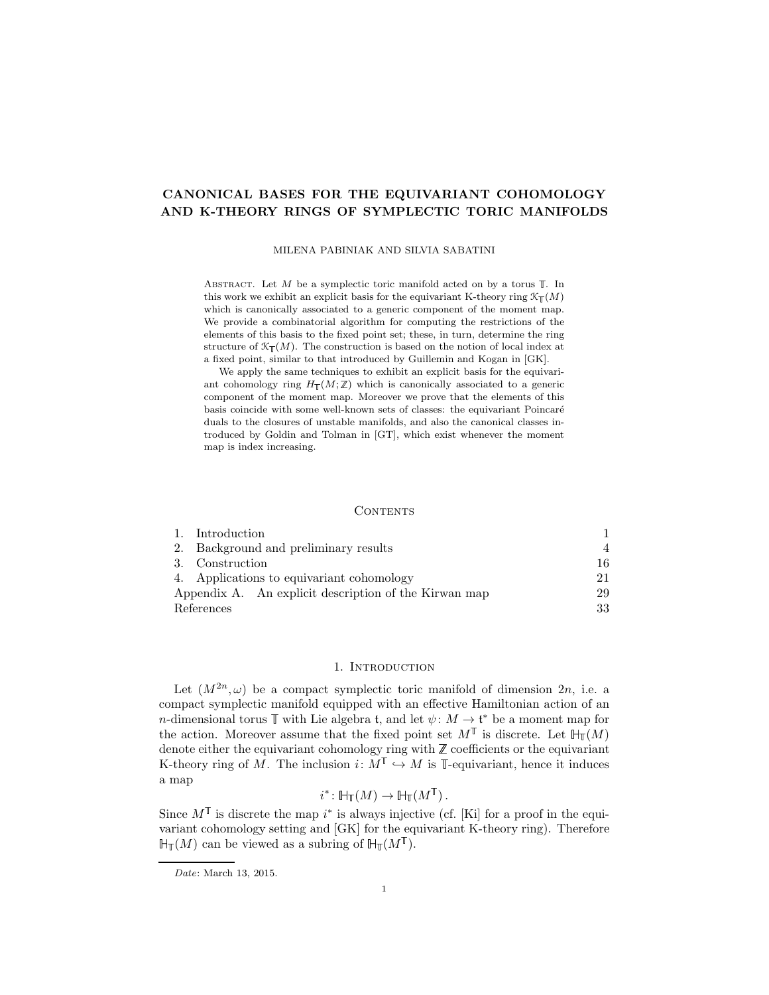# CANONICAL BASES FOR THE EQUIVARIANT COHOMOLOGY AND K-THEORY RINGS OF SYMPLECTIC TORIC MANIFOLDS

MILENA PABINIAK AND SILVIA SABATINI

ABSTRACT. Let  $M$  be a symplectic toric manifold acted on by a torus  $\mathbb T$ . In this work we exhibit an explicit basis for the equivariant K-theory ring  $\mathcal{K}_{\mathbb{T}}(M)$ which is canonically associated to a generic component of the moment map. We provide a combinatorial algorithm for computing the restrictions of the elements of this basis to the fixed point set; these, in turn, determine the ring structure of  $\mathcal{K}_{\mathbb{T}}(M)$ . The construction is based on the notion of local index at a fixed point, similar to that introduced by Guillemin and Kogan in [\[GK\]](#page-32-0).

We apply the same techniques to exhibit an explicit basis for the equivariant cohomology ring  $H_{\mathbb{T}}(M;\mathbb{Z})$  which is canonically associated to a generic component of the moment map. Moreover we prove that the elements of this basis coincide with some well-known sets of classes: the equivariant Poincaré duals to the closures of unstable manifolds, and also the canonical classes introduced by Goldin and Tolman in [\[GT\]](#page-32-1), which exist whenever the moment map is index increasing.

### CONTENTS

|            | 1. Introduction                                       |    |
|------------|-------------------------------------------------------|----|
|            | 2. Background and preliminary results                 |    |
|            | 3. Construction                                       | 16 |
|            | 4. Applications to equivariant cohomology             | 21 |
|            | Appendix A. An explicit description of the Kirwan map | 29 |
| References |                                                       | 33 |

## 1. INTRODUCTION

<span id="page-0-0"></span>Let  $(M^{2n}, \omega)$  be a compact symplectic toric manifold of dimension  $2n$ , i.e. a compact symplectic manifold equipped with an effective Hamiltonian action of an *n*-dimensional torus  $\mathbb T$  with Lie algebra t, and let  $\psi: M \to \mathfrak t^*$  be a moment map for the action. Moreover assume that the fixed point set  $M^{\mathbb{T}}$  is discrete. Let  $\mathbb{H}_{\mathbb{T}}(M)$ denote either the equivariant cohomology ring with  $\mathbb Z$  coefficients or the equivariant K-theory ring of M. The inclusion  $i: M^{\mathbb{T}} \hookrightarrow M$  is  $\mathbb{T}$ -equivariant, hence it induces a map

$$
i^* \colon \mathbb{H}_{\mathbb{T}}(M) \to \mathbb{H}_{\mathbb{T}}(M^{\mathbb{T}}).
$$

Since  $M^{\mathbb{T}}$  is discrete the map  $i^*$  is always injective (cf. [\[Ki\]](#page-32-3) for a proof in the equivariant cohomology setting and [\[GK\]](#page-32-0) for the equivariant K-theory ring). Therefore  $\mathbb{H}_{\mathbb{T}}(M)$  can be viewed as a subring of  $\mathbb{H}_{\mathbb{T}}(M^{\mathbb{T}})$ .

Date: March 13, 2015.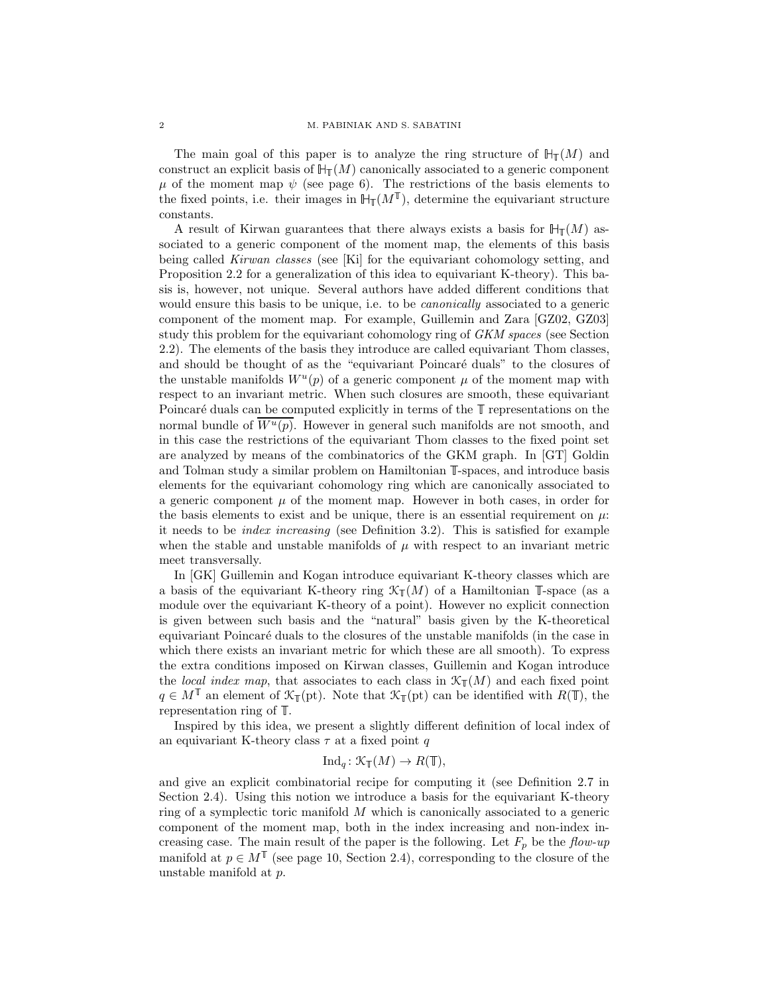The main goal of this paper is to analyze the ring structure of  $\mathbb{H}_{\mathbb{T}}(M)$  and construct an explicit basis of  $\mathbb{H}_{\mathbb{T}}(M)$  canonically associated to a generic component  $\mu$  of the moment map  $\psi$  (see page [6\)](#page-5-0). The restrictions of the basis elements to the fixed points, i.e. their images in  $\mathbb{H}_{\mathbb{T}}(M^{\mathbb{T}})$ , determine the equivariant structure constants.

A result of Kirwan guarantees that there always exists a basis for  $H_{\mathbb{T}}(M)$  associated to a generic component of the moment map, the elements of this basis being called Kirwan classes (see [\[Ki\]](#page-32-3) for the equivariant cohomology setting, and Proposition [2.2](#page-5-1) for a generalization of this idea to equivariant K-theory). This basis is, however, not unique. Several authors have added different conditions that would ensure this basis to be unique, i.e. to be canonically associated to a generic component of the moment map. For example, Guillemin and Zara [\[GZ02,](#page-32-4) [GZ03\]](#page-32-5) study this problem for the equivariant cohomology ring of GKM spaces (see Section [2.2\)](#page-7-0). The elements of the basis they introduce are called equivariant Thom classes, and should be thought of as the "equivariant Poincaré duals" to the closures of the unstable manifolds  $W^u(p)$  of a generic component  $\mu$  of the moment map with respect to an invariant metric. When such closures are smooth, these equivariant Poincaré duals can be computed explicitly in terms of the  $\mathbb T$  representations on the normal bundle of  $\overline{W^u(p)}$ . However in general such manifolds are not smooth, and in this case the restrictions of the equivariant Thom classes to the fixed point set are analyzed by means of the combinatorics of the GKM graph. In [\[GT\]](#page-32-1) Goldin and Tolman study a similar problem on Hamiltonian  $\mathbb{I}$ -spaces, and introduce basis elements for the equivariant cohomology ring which are canonically associated to a generic component  $\mu$  of the moment map. However in both cases, in order for the basis elements to exist and be unique, there is an essential requirement on  $\mu$ : it needs to be index increasing (see Definition [3.2\)](#page-15-1). This is satisfied for example when the stable and unstable manifolds of  $\mu$  with respect to an invariant metric meet transversally.

In [\[GK\]](#page-32-0) Guillemin and Kogan introduce equivariant K-theory classes which are a basis of the equivariant K-theory ring  $\mathcal{K}_{\mathbb{I}}(M)$  of a Hamiltonian  $\mathbb{I}$ -space (as a module over the equivariant K-theory of a point). However no explicit connection is given between such basis and the "natural" basis given by the K-theoretical equivariant Poincar´e duals to the closures of the unstable manifolds (in the case in which there exists an invariant metric for which these are all smooth). To express the extra conditions imposed on Kirwan classes, Guillemin and Kogan introduce the local index map, that associates to each class in  $\mathcal{K}_{\mathbb{T}}(M)$  and each fixed point  $q \in M^{\mathbb{T}}$  an element of  $\mathcal{K}_{\mathbb{T}}(\text{pt})$ . Note that  $\mathcal{K}_{\mathbb{T}}(\text{pt})$  can be identified with  $R(\mathbb{T})$ , the representation ring of  $\mathbb{T}$ .

Inspired by this idea, we present a slightly different definition of local index of an equivariant K-theory class  $\tau$  at a fixed point q

# $\text{Ind}_q : \mathcal{K}_{\mathbb{T}}(M) \to R(\mathbb{T}),$

and give an explicit combinatorial recipe for computing it (see Definition [2.7](#page-12-0) in Section [2.4\)](#page-8-0). Using this notion we introduce a basis for the equivariant K-theory ring of a symplectic toric manifold M which is canonically associated to a generic component of the moment map, both in the index increasing and non-index increasing case. The main result of the paper is the following. Let  $F_p$  be the flow-up manifold at  $p \in M^{\mathbb{T}}$  (see page [10,](#page-9-0) Section [2.4\)](#page-8-0), corresponding to the closure of the unstable manifold at p.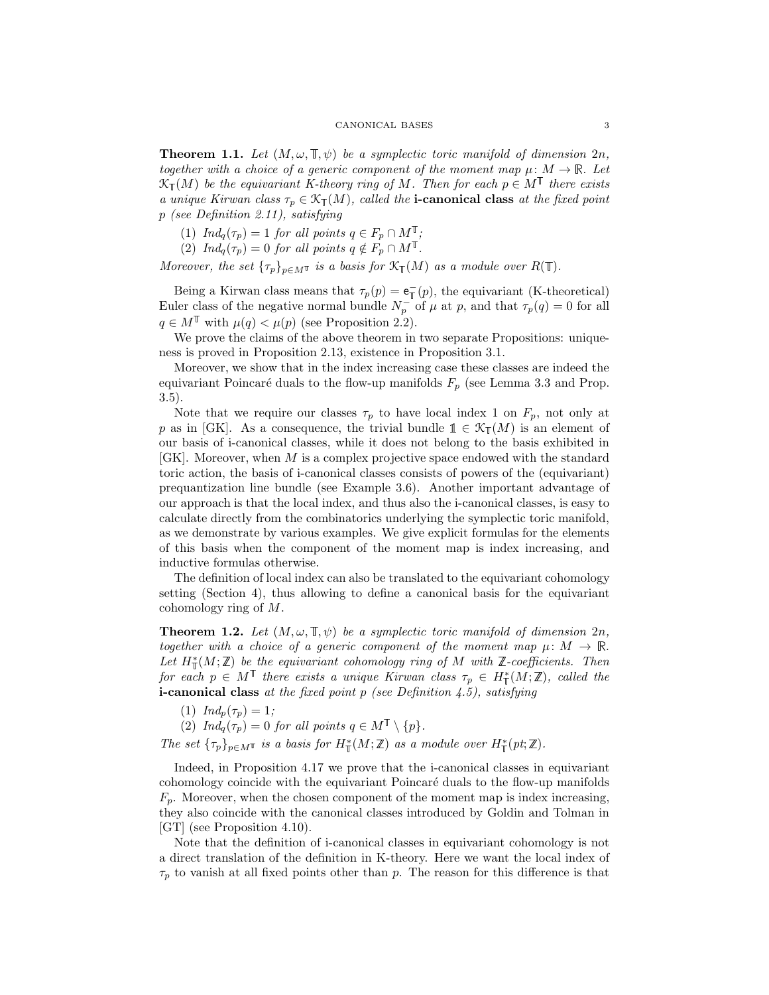**Theorem 1.1.** Let  $(M, \omega, \mathbb{T}, \psi)$  be a symplectic toric manifold of dimension  $2n$ , together with a choice of a generic component of the moment map  $\mu: M \to \mathbb{R}$ . Let  $\mathfrak{K}_{\mathbb T}(M)$  be the equivariant K-theory ring of M. Then for each  $p \in M^{\mathbb T}$  there exists a unique Kirwan class  $\tau_p \in \mathcal{K}_{\mathbb{T}}(M)$ , called the **i-canonical class** at the fixed point p (see Definition [2.11\)](#page-14-0), satisfying

(1)  $Ind_q(\tau_p)=1$  for all points  $q \in F_p \cap M^{\mathbb{T}}$ ;

(2)  $Ind_q(\tau_p)=0$  for all points  $q \notin F_p \cap M^{\mathbb{T}}$ .

Moreover, the set  $\{\tau_p\}_{p \in M}$  is a basis for  $\mathcal{K}_{\mathbb{I}}(M)$  as a module over  $R(\mathbb{T})$ .

Being a Kirwan class means that  $\tau_p(p) = \mathbf{e}_{\mathbb{T}}^-(p)$ , the equivariant (K-theoretical) Euler class of the negative normal bundle  $N_p^-$  of  $\mu$  at p, and that  $\tau_p(q) = 0$  for all  $q \in M^{\mathbb{T}}$  with  $\mu(q) < \mu(p)$  (see Proposition [2.2\)](#page-5-1).

We prove the claims of the above theorem in two separate Propositions: uniqueness is proved in Proposition [2.13,](#page-14-1) existence in Proposition [3.1.](#page-15-2)

Moreover, we show that in the index increasing case these classes are indeed the equivariant Poincaré duals to the flow-up manifolds  $F_p$  (see Lemma [3.3](#page-15-3) and Prop. [3.5\)](#page-16-0).

Note that we require our classes  $\tau_p$  to have local index 1 on  $F_p$ , not only at p as in [\[GK\]](#page-32-0). As a consequence, the trivial bundle  $\mathbb{1} \in \mathcal{K}_{\mathbb{I}}(M)$  is an element of our basis of i-canonical classes, while it does not belong to the basis exhibited in  $[GK]$ . Moreover, when M is a complex projective space endowed with the standard toric action, the basis of i-canonical classes consists of powers of the (equivariant) prequantization line bundle (see Example [3.6\)](#page-18-0). Another important advantage of our approach is that the local index, and thus also the i-canonical classes, is easy to calculate directly from the combinatorics underlying the symplectic toric manifold, as we demonstrate by various examples. We give explicit formulas for the elements of this basis when the component of the moment map is index increasing, and inductive formulas otherwise.

The definition of local index can also be translated to the equivariant cohomology setting (Section [4\)](#page-20-0), thus allowing to define a canonical basis for the equivariant cohomology ring of M.

<span id="page-2-0"></span>**Theorem 1.2.** Let  $(M, \omega, \mathbb{T}, \psi)$  be a symplectic toric manifold of dimension  $2n$ , together with a choice of a generic component of the moment map  $\mu: M \to \mathbb{R}$ . Let  $H^*_\mathbb{T}(M;\mathbb{Z})$  be the equivariant cohomology ring of M with  $\mathbb{Z}$ -coefficients. Then for each  $p \in M^{\mathbb{T}}$  there exists a unique Kirwan class  $\tau_p \in H^*_{\mathbb{T}}(M;\mathbb{Z})$ , called the **i-canonical class** at the fixed point p (see Definition [4.5\)](#page-23-0), satisfying

$$
(1) Ind_p(\tau_p) = 1;
$$

(2)  $Ind_q(\tau_p)=0$  for all points  $q \in M^{\mathbb{T}} \setminus \{p\}.$ 

The set  $\{\tau_p\}_{p\in M^{\mathbb{T}}}$  is a basis for  $H^*_{\mathbb{T}}(M;\mathbb{Z})$  as a module over  $H^*_{\mathbb{T}}(pt;\mathbb{Z})$ .

Indeed, in Proposition [4.17](#page-27-0) we prove that the i-canonical classes in equivariant cohomology coincide with the equivariant Poincaré duals to the flow-up manifolds  $F_p$ . Moreover, when the chosen component of the moment map is index increasing, they also coincide with the canonical classes introduced by Goldin and Tolman in [\[GT\]](#page-32-1) (see Proposition [4.10\)](#page-25-0).

Note that the definition of i-canonical classes in equivariant cohomology is not a direct translation of the definition in K-theory. Here we want the local index of  $\tau_p$  to vanish at all fixed points other than p. The reason for this difference is that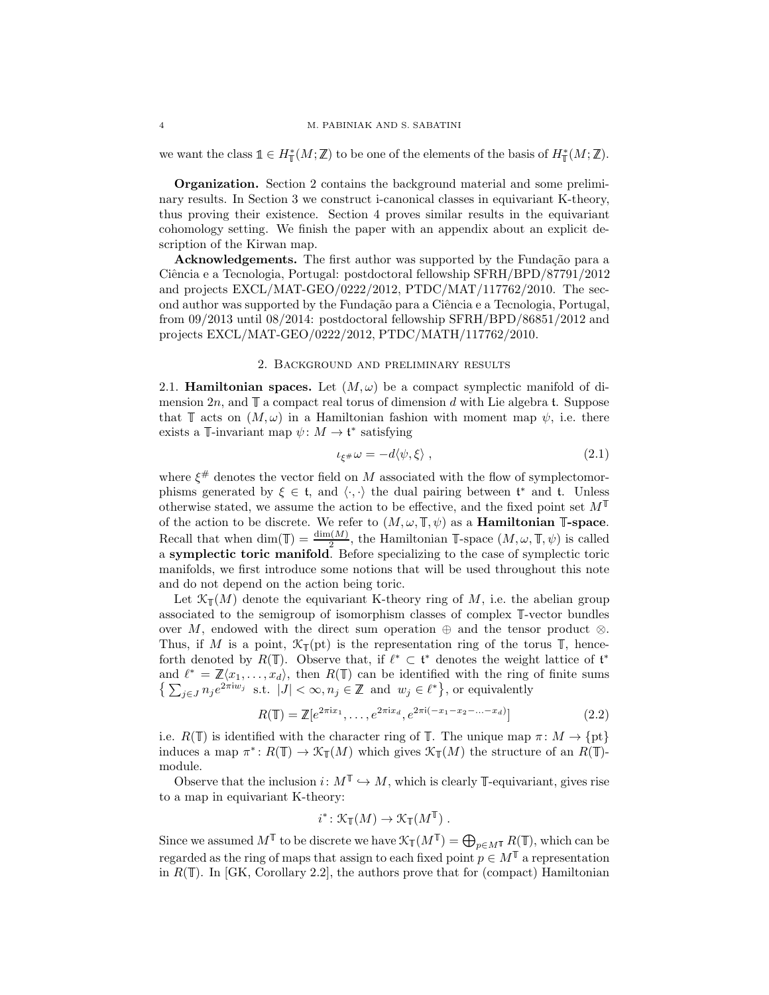we want the class  $\mathbb{1} \in H^*_{\mathbb{T}}(M;\mathbb{Z})$  to be one of the elements of the basis of  $H^*_{\mathbb{T}}(M;\mathbb{Z})$ .

Organization. Section [2](#page-3-0) contains the background material and some preliminary results. In Section [3](#page-15-0) we construct i-canonical classes in equivariant K-theory, thus proving their existence. Section [4](#page-20-0) proves similar results in the equivariant cohomology setting. We finish the paper with an appendix about an explicit description of the Kirwan map.

Acknowledgements. The first author was supported by the Fundação para a Ciência e a Tecnologia, Portugal: postdoctoral fellowship SFRH/BPD/87791/2012 and projects EXCL/MAT-GEO/0222/2012, PTDC/MAT/117762/2010. The second author was supported by the Fundação para a Ciência e a Tecnologia, Portugal, from 09/2013 until 08/2014: postdoctoral fellowship SFRH/BPD/86851/2012 and projects EXCL/MAT-GEO/0222/2012, PTDC/MATH/117762/2010.

# 2. Background and preliminary results

<span id="page-3-3"></span><span id="page-3-0"></span>2.1. **Hamiltonian spaces.** Let  $(M, \omega)$  be a compact symplectic manifold of dimension  $2n$ , and  $\mathbb T$  a compact real torus of dimension d with Lie algebra t. Suppose that  $\mathbb T$  acts on  $(M, \omega)$  in a Hamiltonian fashion with moment map  $\psi$ , i.e. there exists a  $\mathbb{T}$ -invariant map  $\psi \colon M \to \mathfrak{t}^*$  satisfying

<span id="page-3-1"></span>
$$
\iota_{\xi^{\#}}\omega = -d\langle \psi, \xi \rangle \;, \tag{2.1}
$$

where  $\xi^{\#}$  denotes the vector field on M associated with the flow of symplectomorphisms generated by  $\xi \in \mathfrak{t}$ , and  $\langle \cdot, \cdot \rangle$  the dual pairing between  $\mathfrak{t}^*$  and  $\mathfrak{t}$ . Unless otherwise stated, we assume the action to be effective, and the fixed point set  $M^{\mathbb{I}}$ of the action to be discrete. We refer to  $(M, \omega, \mathbb{T}, \psi)$  as a **Hamiltonian <sup>T</sup>-space**. Recall that when  $\dim(\mathbb{T}) = \frac{\dim(M)}{2}$ , the Hamiltonian  $\mathbb{T}$ -space  $(M, \omega, \mathbb{T}, \psi)$  is called a symplectic toric manifold. Before specializing to the case of symplectic toric manifolds, we first introduce some notions that will be used throughout this note and do not depend on the action being toric.

Let  $\mathcal{K}_{\mathbb{T}}(M)$  denote the equivariant K-theory ring of M, i.e. the abelian group associated to the semigroup of isomorphism classes of complex  $\mathbb{T}$ -vector bundles over M, endowed with the direct sum operation  $\oplus$  and the tensor product  $\otimes$ . Thus, if M is a point,  $\mathcal{K}_{\mathbb{T}}(\text{pt})$  is the representation ring of the torus  $\mathbb{T}$ , henceforth denoted by  $R(\mathbb{T})$ . Observe that, if  $\ell^* \subset \mathfrak{t}^*$  denotes the weight lattice of  $\mathfrak{t}^*$ and  $\ell^* = \mathbb{Z}\langle x_1,\ldots,x_d\rangle$ , then  $R(\mathbb{T})$  can be identified with the ring of finite sums  $\{\sum_{j\in J} n_j e^{2\pi i w_j} \text{ s.t. } |J| < \infty, n_j \in \mathbb{Z} \text{ and } w_j \in \ell^*\},\text{ or equivalently}$ 

<span id="page-3-2"></span>
$$
R(\mathbb{T}) = \mathbb{Z}[e^{2\pi ix_1}, \dots, e^{2\pi ix_d}, e^{2\pi i(-x_1 - x_2 - \dots - x_d)}]
$$
\n(2.2)

i.e.  $R(\mathbb{T})$  is identified with the character ring of  $\mathbb{T}$ . The unique map  $\pi \colon M \to \{\text{pt}\}\$ induces a map  $\pi^*: R(\mathbb{T}) \to \mathcal{K}_{\mathbb{T}}(M)$  which gives  $\mathcal{K}_{\mathbb{T}}(M)$  the structure of an  $R(\mathbb{T})$ module.

Observe that the inclusion  $i: M^{\mathbb{T}} \hookrightarrow M$ , which is clearly  $\mathbb{T}$ -equivariant, gives rise to a map in equivariant K-theory:

$$
i^* \colon \mathfrak{K}_{\mathbb{T}}(M) \to \mathfrak{K}_{\mathbb{T}}(M^{\mathbb{T}}) .
$$

Since we assumed  $M^{\mathbb{T}}$  to be discrete we have  $\mathcal{K}_{\mathbb{T}}(M^{\mathbb{T}}) = \bigoplus_{p \in M^{\mathbb{T}}} R(\mathbb{T})$ , which can be regarded as the ring of maps that assign to each fixed point  $p \in M^{\mathbb{T}}$  a representation in  $R(\mathbb{T})$ . In [\[GK,](#page-32-0) Corollary 2.2], the authors prove that for (compact) Hamiltonian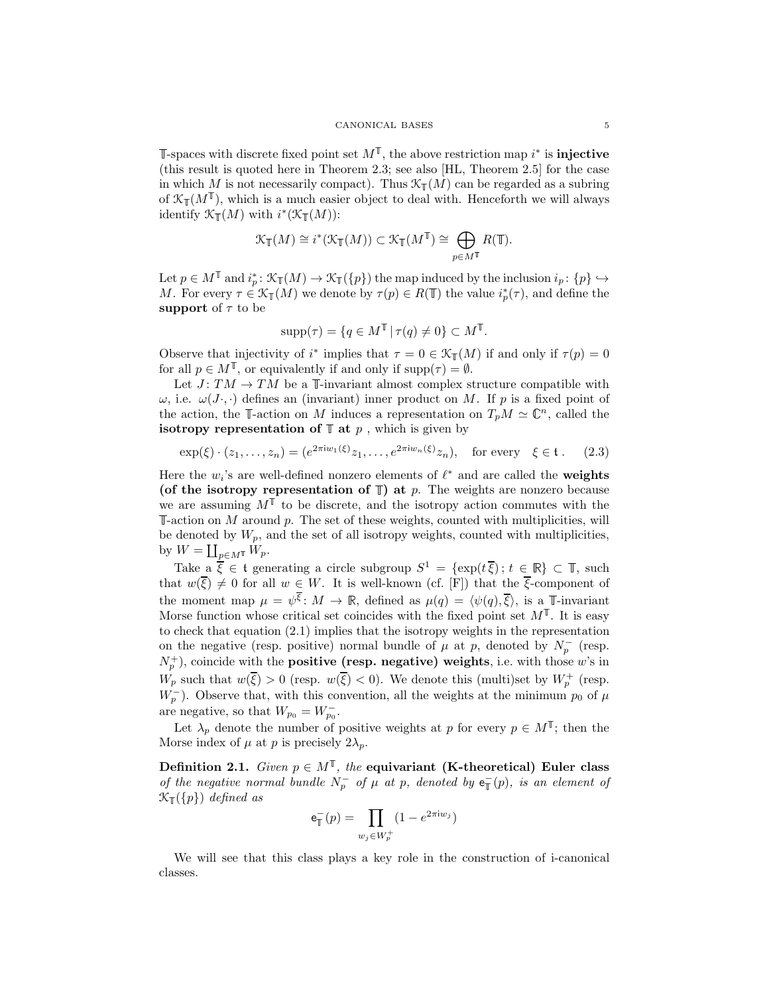-spaces with discrete fixed point set  $M^{\mathbb{T}}$ , the above restriction map  $i^*$  is **injective** (this result is quoted here in Theorem [2.3;](#page-5-2) see also [\[HL,](#page-32-6) Theorem 2.5] for the case in which M is not necessarily compact). Thus  $\mathcal{K}_{\mathbb{T}}(M)$  can be regarded as a subring of  $\mathfrak{K}_{\mathbb T}(M^{\mathbb T})$ , which is a much easier object to deal with. Henceforth we will always identify  $\mathcal{K}_{\mathbb{T}}(M)$  with  $i^*(\mathcal{K}_{\mathbb{T}}(M))$ :

$$
\mathcal{K}_{\mathbb{T}}(M) \cong i^*(\mathcal{K}_{\mathbb{T}}(M)) \subset \mathcal{K}_{\mathbb{T}}(M^{\mathbb{T}}) \cong \bigoplus_{p \in M^{\mathbb{T}}} R(\mathbb{T}).
$$

Let  $p \in M^{\mathbb{T}}$  and  $i_p^* \colon \mathcal{K}_{\mathbb{T}}(M) \to \mathcal{K}_{\mathbb{T}}(\{p\})$  the map induced by the inclusion  $i_p \colon \{p\} \hookrightarrow$ M. For every  $\tau \in \mathcal{K}_{\mathbb{T}}(M)$  we denote by  $\tau(p) \in R(\mathbb{T})$  the value  $i_p^*(\tau)$ , and define the support of  $\tau$  to be

$$
supp(\tau) = \{ q \in M^{\mathbb{T}} \mid \tau(q) \neq 0 \} \subset M^{\mathbb{T}}.
$$

Observe that injectivity of  $i^*$  implies that  $\tau = 0 \in \mathcal{K}_{\mathbb{T}}(M)$  if and only if  $\tau(p) = 0$ for all  $p \in M^{\mathbb{T}}$ , or equivalently if and only if  $\text{supp}(\tau) = \emptyset$ .

Let  $J: TM \rightarrow TM$  be a  $\mathbb{I}\text{-invariant almost complex structure compatible with}$  $\omega$ , i.e.  $\omega(J\cdot, \cdot)$  defines an (invariant) inner product on M. If p is a fixed point of the action, the T-action on M induces a representation on  $T_pM \simeq \mathbb{C}^n$ , called the isotropy representation of  $\mathbb{T}$  at  $p$ , which is given by

$$
\exp(\xi) \cdot (z_1, \dots, z_n) = (e^{2\pi i w_1(\xi)} z_1, \dots, e^{2\pi i w_n(\xi)} z_n), \text{ for every } \xi \in \mathfrak{t}. \tag{2.3}
$$

Here the  $w_i$ 's are well-defined nonzero elements of  $\ell^*$  and are called the **weights** (of the isotropy representation of  $\mathbb{T}$ ) at p. The weights are nonzero because we are assuming  $M^{\mathbb{T}}$  to be discrete, and the isotropy action commutes with the  $\mathbb{I}\text{-action on }M$  around p. The set of these weights, counted with multiplicities, will be denoted by  $W_p$ , and the set of all isotropy weights, counted with multiplicities, by  $W = \coprod_{p \in M^{\mathsf{T}}} W_p$ .

Take  $a \overline{\xi} \in \mathfrak{t}$  generating a circle subgroup  $S^1 = \{\exp(t\overline{\xi})\colon t \in \mathbb{R}\}\subset \mathbb{T}$ , such that  $w(\overline{\xi}) \neq 0$  for all  $w \in W$ . It is well-known (cf. [\[F\]](#page-32-7)) that the  $\overline{\xi}$ -component of the moment map  $\mu = \psi^{\overline{\xi}}$ :  $M \to \mathbb{R}$ , defined as  $\mu(q) = \langle \psi(q), \overline{\xi} \rangle$ , is a T-invariant Morse function whose critical set coincides with the fixed point set  $M^{\mathbb{T}}$ . It is easy to check that equation [\(2.1\)](#page-3-1) implies that the isotropy weights in the representation on the negative (resp. positive) normal bundle of  $\mu$  at p, denoted by  $N_p^-$  (resp.  $(N_p^+)$ , coincide with the **positive (resp. negative) weights**, i.e. with those w's in  $W_p$  such that  $w(\overline{\xi}) > 0$  (resp.  $w(\overline{\xi}) < 0$ ). We denote this (multi)set by  $W_p^+$  (resp.  $W_p^-$ ). Observe that, with this convention, all the weights at the minimum  $p_0$  of  $\mu$ are negative, so that  $W_{p_0} = W_{p_0}^-$ .

Let  $\lambda_p$  denote the number of positive weights at p for every  $p \in M^{\mathbb{T}}$ ; then the Morse index of  $\mu$  at p is precisely  $2\lambda_p$ .

<span id="page-4-0"></span>Definition 2.1. Given  $p \in M^{\mathbb{T}}$ , the equivariant (K-theoretical) Euler class of the negative normal bundle  $N_p^-$  of  $\mu$  at p, denoted by  $e^-_T(p)$ , is an element of  $\mathcal{K}_{\mathbb{T}}(\{p\})$  defined as

$$
\mathbf{e}_{\mathbb{T}}^-(p) = \prod_{w_j \in W_p^+} (1 - e^{2\pi \mathrm{i} w_j})
$$

We will see that this class plays a key role in the construction of i-canonical classes.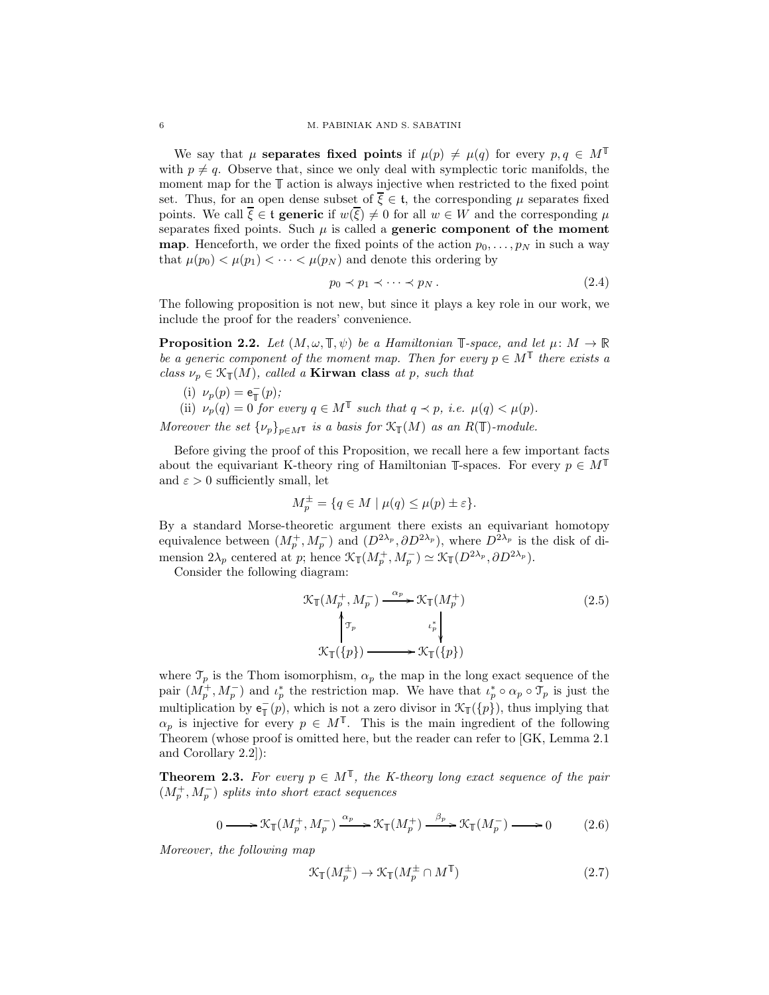We say that  $\mu$  separates fixed points if  $\mu(p) \neq \mu(q)$  for every  $p, q \in M^{\mathbb{T}}$ with  $p \neq q$ . Observe that, since we only deal with symplectic toric manifolds, the moment map for the  $\mathbb T$  action is always injective when restricted to the fixed point set. Thus, for an open dense subset of  $\overline{\xi} \in \mathfrak{t}$ , the corresponding  $\mu$  separates fixed points. We call  $\xi \in \mathfrak{t}$  generic if  $w(\xi) \neq 0$  for all  $w \in W$  and the corresponding  $\mu$ separates fixed points. Such  $\mu$  is called a **generic component of the moment map**. Henceforth, we order the fixed points of the action  $p_0, \ldots, p_N$  in such a way that  $\mu(p_0) < \mu(p_1) < \cdots < \mu(p_N)$  and denote this ordering by

<span id="page-5-0"></span>
$$
p_0 \prec p_1 \prec \cdots \prec p_N. \tag{2.4}
$$

The following proposition is not new, but since it plays a key role in our work, we include the proof for the readers' convenience.

<span id="page-5-1"></span>**Proposition 2.2.** Let  $(M, \omega, \mathbb{T}, \psi)$  be a Hamiltonian  $\mathbb{T}$ -space, and let  $\mu \colon M \to \mathbb{R}$ be a generic component of the moment map. Then for every  $p \in M^{\mathbb{T}}$  there exists a class  $\nu_p \in \mathcal{K}_{\mathbb{T}}(M)$ , called a **Kirwan class** at p, such that

(i) 
$$
\nu_p(p) = \mathsf{e}_{\mathbb{T}}^-(p)
$$
;

(ii)  $\nu_p(q) = 0$  for every  $q \in M^{\mathbb{T}}$  such that  $q \prec p$ , i.e.  $\mu(q) < \mu(p)$ .

Moreover the set  $\{\nu_p\}_{p \in M}$  is a basis for  $\mathfrak{X}_{\mathbb{T}}(M)$  as an  $R(\mathbb{T})$ -module.

Before giving the proof of this Proposition, we recall here a few important facts about the equivariant K-theory ring of Hamiltonian  $\mathbb{T}$ -spaces. For every  $p \in M^{\mathbb{T}}$ and  $\varepsilon > 0$  sufficiently small, let

$$
M_p^{\pm} = \{ q \in M \mid \mu(q) \le \mu(p) \pm \varepsilon \}.
$$

By a standard Morse-theoretic argument there exists an equivariant homotopy equivalence between  $(M_p^+, M_p^-)$  and  $(D^{2\lambda_p}, \partial D^{2\lambda_p})$ , where  $D^{2\lambda_p}$  is the disk of dimension  $2\lambda_p$  centered at p; hence  $\mathcal{K}_{\mathbb{T}}(M_p^+, M_p^-) \simeq \mathcal{K}_{\mathbb{T}}(D^{2\lambda_p}, \partial D^{2\lambda_p}).$ 

Consider the following diagram:

<span id="page-5-4"></span>
$$
\mathcal{K}_{\mathbb{T}}(M_p^+, M_p^-) \xrightarrow{\alpha_p} \mathcal{K}_{\mathbb{T}}(M_p^+) \tag{2.5}
$$
\n
$$
\uparrow_{\mathcal{T}_p} \qquad \qquad \iota_p^* \downarrow \qquad \mathcal{K}_{\mathbb{T}}(\{p\}) \xrightarrow{\alpha_p} \mathcal{K}_{\mathbb{T}}(\{p\})
$$

where  $\mathcal{T}_p$  is the Thom isomorphism,  $\alpha_p$  the map in the long exact sequence of the pair  $(M_p^+, M_p^-)$  and  $\iota_p^*$  the restriction map. We have that  $\iota_p^* \circ \alpha_p \circ \mathcal{T}_p$  is just the multiplication by  $e_{\mathbb{T}}(p)$ , which is not a zero divisor in  $\mathcal{K}_{\mathbb{T}}(\{p\})$ , thus implying that  $\alpha_p$  is injective for every  $p \in M^{\mathbb{T}}$ . This is the main ingredient of the following Theorem (whose proof is omitted here, but the reader can refer to [\[GK,](#page-32-0) Lemma 2.1 and Corollary 2.2]):

<span id="page-5-2"></span>**Theorem 2.3.** For every  $p \in M^{\mathbb{T}}$ , the K-theory long exact sequence of the pair  $(M_p^+, M_p^-)$  splits into short exact sequences

<span id="page-5-3"></span>
$$
0 \longrightarrow \mathcal{K}_{\mathbb{T}}(M_p^+, M_p^-) \xrightarrow{\alpha_p} \mathcal{K}_{\mathbb{T}}(M_p^+) \xrightarrow{\beta_p} \mathcal{K}_{\mathbb{T}}(M_p^-) \longrightarrow 0 \tag{2.6}
$$

Moreover, the following map

$$
\mathcal{K}_{\mathbb{T}}(M_p^{\pm}) \to \mathcal{K}_{\mathbb{T}}(M_p^{\pm} \cap M^{\mathbb{T}})
$$
\n(2.7)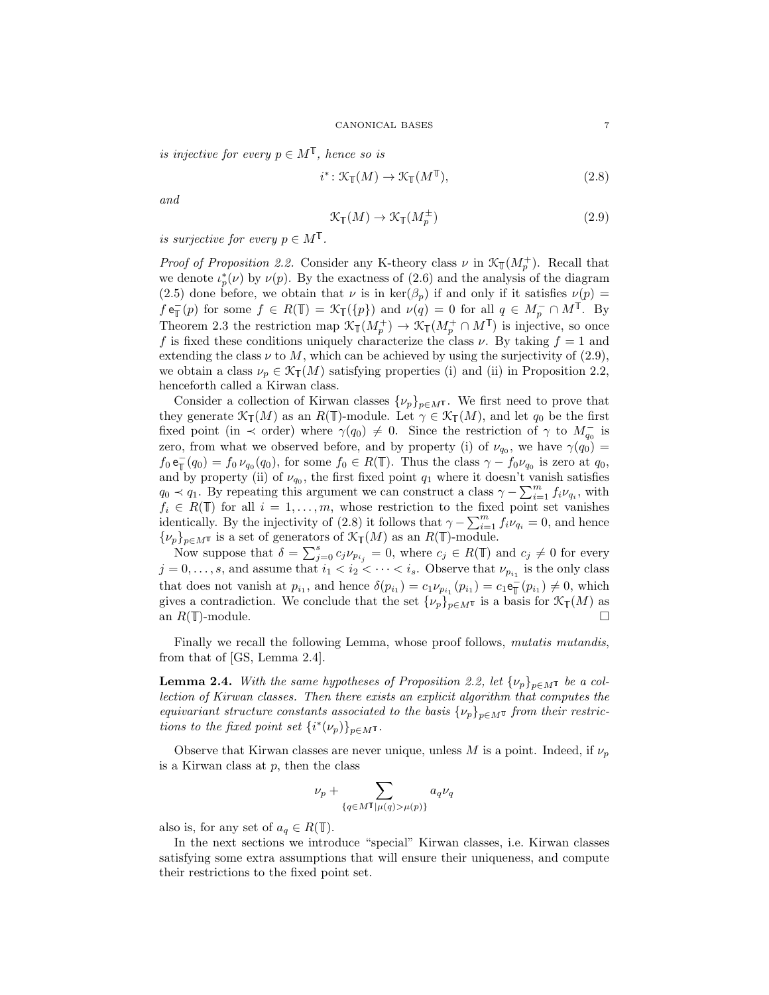is injective for every  $p \in M^{\mathbb{T}}$ , hence so is

<span id="page-6-1"></span>
$$
i^* \colon \mathcal{K}_{\mathbb{T}}(M) \to \mathcal{K}_{\mathbb{T}}(M^{\mathbb{T}}), \tag{2.8}
$$

and

<span id="page-6-0"></span>
$$
\mathcal{K}_{\mathbb{T}}(M) \to \mathcal{K}_{\mathbb{T}}(M_p^{\pm})
$$
\n
$$
(2.9)
$$

is surjective for every  $p \in M^{\mathbb{T}}$ .

*Proof of Proposition [2.2.](#page-5-1)* Consider any K-theory class  $\nu$  in  $\mathcal{K}_{\mathbb{T}}(M_p^+)$ . Recall that we denote  $\iota_p^*(\nu)$  by  $\nu(p)$ . By the exactness of [\(2.6\)](#page-5-3) and the analysis of the diagram [\(2.5\)](#page-5-4) done before, we obtain that  $\nu$  is in  $\text{ker}(\beta_p)$  if and only if it satisfies  $\nu(p)$  =  $f \in_{\mathbb{T}}(p)$  for some  $f \in R(\mathbb{T}) = \mathcal{K}_{\mathbb{T}}(\{p\})$  and  $\nu(q) = 0$  for all  $q \in M_p^-\cap M^{\mathbb{T}}$ . By Theorem [2.3](#page-5-2) the restriction map  $\mathcal{K}_{\mathbb{T}}(M_p^+) \to \mathcal{K}_{\mathbb{T}}(M_p^+ \cap M^{\mathbb{T}})$  is injective, so once f is fixed these conditions uniquely characterize the class  $\nu$ . By taking  $f = 1$  and extending the class  $\nu$  to M, which can be achieved by using the surjectivity of [\(2.9\)](#page-6-0), we obtain a class  $\nu_p \in \mathcal{K}_{\mathbb{T}}(M)$  satisfying properties (i) and (ii) in Proposition [2.2,](#page-5-1) henceforth called a Kirwan class.

Consider a collection of Kirwan classes  $\{\nu_p\}_{p \in M}$ . We first need to prove that they generate  $\mathcal{K}_{\mathbb{T}}(M)$  as an  $R(\mathbb{T})$ -module. Let  $\gamma \in \mathcal{K}_{\mathbb{T}}(M)$ , and let  $q_0$  be the first fixed point (in  $\prec$  order) where  $\gamma(q_0) \neq 0$ . Since the restriction of  $\gamma$  to  $M_{q_0}^-$  is zero, from what we observed before, and by property (i) of  $\nu_{q_0}$ , we have  $\gamma(q_0)$  =  $f_0 e_{\mathbb{T}}^-(q_0) = f_0 \nu_{q_0}(q_0)$ , for some  $f_0 \in R(\mathbb{T})$ . Thus the class  $\gamma - f_0 \nu_{q_0}$  is zero at  $q_0$ , and by property (ii) of  $\nu_{q_0}$ , the first fixed point  $q_1$  where it doesn't vanish satisfies  $q_0 \prec q_1$ . By repeating this argument we can construct a class  $\gamma - \sum_{i=1}^m f_i \nu_{q_i}$ , with  $f_i \in R(\mathbb{T})$  for all  $i = 1, \ldots, m$ , whose restriction to the fixed point set vanishes identically. By the injectivity of [\(2.8\)](#page-6-1) it follows that  $\gamma - \sum_{i=1}^{m} f_i \nu_{q_i} = 0$ , and hence  $\{\nu_p\}_{p\in M^{\mathbb{T}}}$  is a set of generators of  $\mathcal{K}_{\mathbb{T}}(M)$  as an  $R(\mathbb{T})$ -module.

Now suppose that  $\delta = \sum_{j=0}^{s} c_j \nu_{p_{i_j}} = 0$ , where  $c_j \in R(\mathbb{T})$  and  $c_j \neq 0$  for every  $j = 0, \ldots, s$ , and assume that  $i_1 < i_2 < \cdots < i_s$ . Observe that  $\nu_{p_{i_1}}$  is the only class that does not vanish at  $p_{i_1}$ , and hence  $\delta(p_{i_1}) = c_1 \nu_{p_{i_1}}(p_{i_1}) = c_1 e_{\mathbb{T}}(p_{i_1}) \neq 0$ , which gives a contradiction. We conclude that the set  $\{\nu_p\}_{p\in M}$  is a basis for  $\mathcal{K}_{\mathbb{T}}(M)$  as an  $R(\mathbb{T})$ -module.  $\Box$ 

Finally we recall the following Lemma, whose proof follows, *mutatis mutandis*, from that of [\[GS,](#page-32-8) Lemma 2.4].

**Lemma 2.4.** With the same hypotheses of Proposition [2.2,](#page-5-1) let  $\{\nu_p\}_{p \in M}$  be a collection of Kirwan classes. Then there exists an explicit algorithm that computes the equivariant structure constants associated to the basis  $\{\nu_p\}_{p \in M}$  from their restrictions to the fixed point set  $\{i^*(\nu_p)\}_{p\in M}$ <sup> $\texttt{t}$ </sup>.

Observe that Kirwan classes are never unique, unless M is a point. Indeed, if  $\nu_p$ is a Kirwan class at  $p$ , then the class

$$
\nu_p + \sum_{\{q \in M^{\mathbb{T}} \mid \mu(q) > \mu(p)\}} a_q \nu_q
$$

also is, for any set of  $a_q \in R(\mathbb{T})$ .

In the next sections we introduce "special" Kirwan classes, i.e. Kirwan classes satisfying some extra assumptions that will ensure their uniqueness, and compute their restrictions to the fixed point set.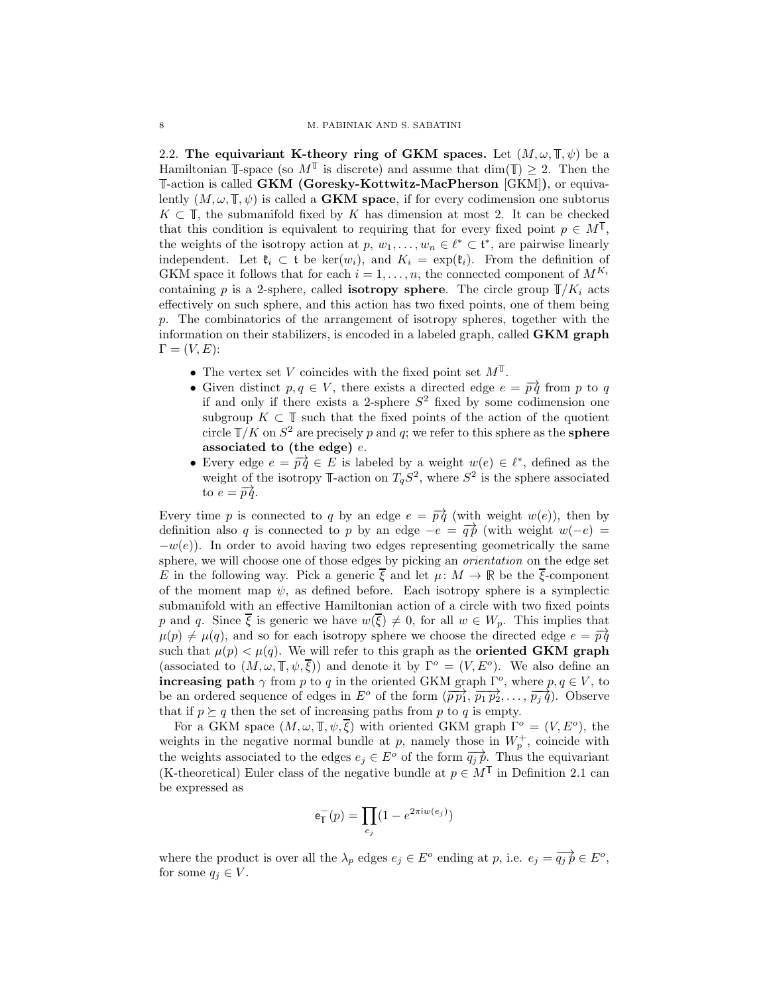<span id="page-7-0"></span>2.2. The equivariant K-theory ring of GKM spaces. Let  $(M, \omega, \mathbb{T}, \psi)$  be a Hamiltonian  $\mathbb{I}\text{-space}$  (so  $M^{\mathbb{I}}$  is discrete) and assume that  $\dim(\mathbb{I}) \geq 2$ . Then the -action is called GKM (Goresky-Kottwitz-MacPherson [\[GKM\]](#page-32-9)), or equivalently  $(M, \omega, \mathbb{T}, \psi)$  is called a **GKM space**, if for every codimension one subtorus  $K \subset \mathbb{T}$ , the submanifold fixed by K has dimension at most 2. It can be checked that this condition is equivalent to requiring that for every fixed point  $p \in M^{\mathbb{T}}$ , the weights of the isotropy action at  $p, w_1, \ldots, w_n \in \ell^* \subset \mathfrak{t}^*$ , are pairwise linearly independent. Let  $\mathfrak{k}_i \subset \mathfrak{t}$  be ker $(w_i)$ , and  $K_i = \exp(\mathfrak{k}_i)$ . From the definition of GKM space it follows that for each  $i = 1, \ldots, n$ , the connected component of  $M^{K_i}$ containing p is a 2-sphere, called **isotropy sphere**. The circle group  $\mathbb{T}/K_i$  acts effectively on such sphere, and this action has two fixed points, one of them being p. The combinatorics of the arrangement of isotropy spheres, together with the information on their stabilizers, is encoded in a labeled graph, called  $GKM$  graph  $\Gamma = (V, E)$ :

- The vertex set V coincides with the fixed point set  $M^{\mathbb{T}}$ .
- Given distinct  $p, q \in V$ , there exists a directed edge  $e = \overrightarrow{pq}$  from p to q if and only if there exists a 2-sphere  $S^2$  fixed by some codimension one subgroup  $K \subset \mathbb{T}$  such that the fixed points of the action of the quotient circle  $\mathbb{T}/K$  on  $S^2$  are precisely p and q; we refer to this sphere as the **sphere** associated to (the edge)  $e$ .
- Every edge  $e = \overrightarrow{pq} \in E$  is labeled by a weight  $w(e) \in \ell^*$ , defined as the weight of the isotropy  $\mathbb{T}$ -action on  $T_qS^2$ , where  $S^2$  is the sphere associated to  $e = \overrightarrow{pq}$ .

Every time p is connected to q by an edge  $e = \overrightarrow{pq}$  (with weight  $w(e)$ ), then by definition also q is connected to p by an edge  $-e = \overrightarrow{q} \hat{p}$  (with weight  $w(-e) =$  $-w(e)$ ). In order to avoid having two edges representing geometrically the same sphere, we will choose one of those edges by picking an orientation on the edge set E in the following way. Pick a generic  $\overline{\xi}$  and let  $\mu: M \to \mathbb{R}$  be the  $\overline{\xi}$ -component of the moment map  $\psi$ , as defined before. Each isotropy sphere is a symplectic submanifold with an effective Hamiltonian action of a circle with two fixed points p and q. Since  $\overline{\xi}$  is generic we have  $w(\overline{\xi}) \neq 0$ , for all  $w \in W_p$ . This implies that  $\mu(p) \neq \mu(q)$ , and so for each isotropy sphere we choose the directed edge  $e = \overrightarrow{pq}$ such that  $\mu(p) < \mu(q)$ . We will refer to this graph as the **oriented GKM** graph (associated to  $(M, \omega, \mathbb{T}, \psi, \overline{\xi})$ ) and denote it by  $\Gamma^o = (V, E^o)$ . We also define an increasing path  $\gamma$  from p to q in the oriented GKM graph  $\Gamma^o$ , where  $p, q \in V$ , to be an ordered sequence of edges in  $E^o$  of the form  $(\overrightarrow{p p_1}, \overrightarrow{p_1 p_2}, \ldots, \overrightarrow{p_i q})$ . Observe that if  $p \succeq q$  then the set of increasing paths from p to q is empty.

For a GKM space  $(M, \omega, \mathbb{I}, \psi, \overline{\xi})$  with oriented GKM graph  $\Gamma^o = (V, E^o)$ , the weights in the negative normal bundle at p, namely those in  $W_p^+$ , coincide with the weights associated to the edges  $e_j \in E^o$  of the form  $\overrightarrow{q_i p}$ . Thus the equivariant (K-theoretical) Euler class of the negative bundle at  $p \in M^{\mathbb{T}}$  in Definition [2.1](#page-4-0) can be expressed as

$$
\mathbf{e}_{\mathbb{T}}^-(p) = \prod_{e_j} (1 - e^{2\pi \mathrm{i} w(e_j)})
$$

where the product is over all the  $\lambda_p$  edges  $e_j \in E^o$  ending at p, i.e.  $e_j = \overrightarrow{q_j p} \in E^o$ , for some  $q_i \in V$ .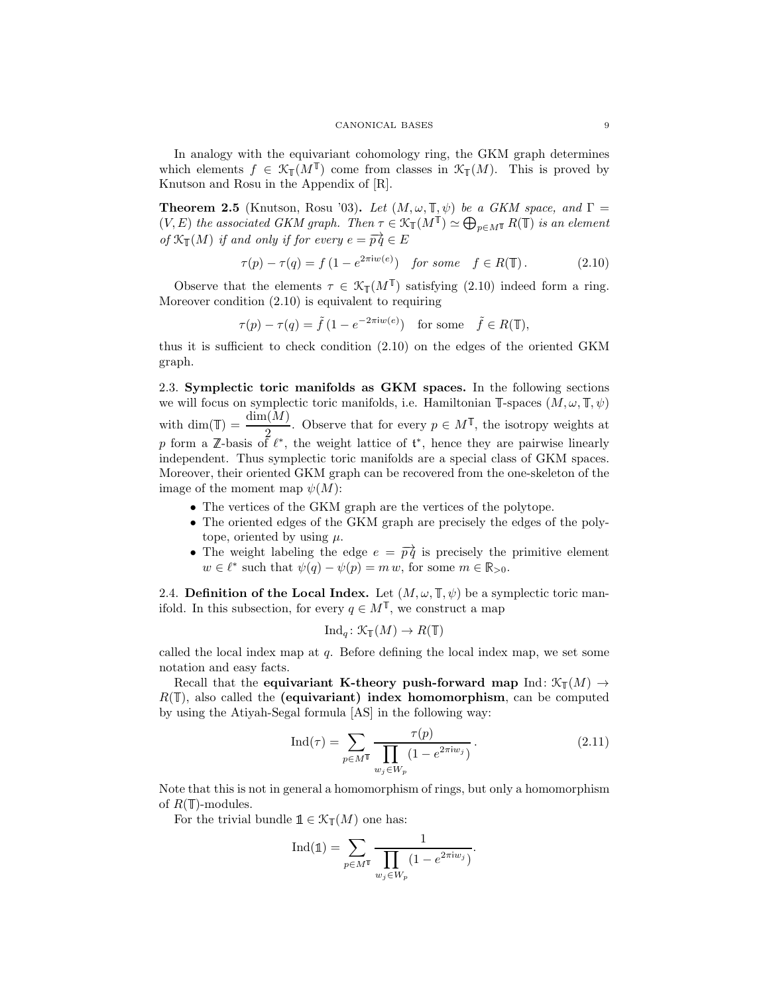In analogy with the equivariant cohomology ring, the GKM graph determines which elements  $f \in \mathfrak{K}_{\mathbb{T}}(M^{\mathbb{T}})$  come from classes in  $\mathfrak{K}_{\mathbb{T}}(M)$ . This is proved by Knutson and Rosu in the Appendix of [\[R\]](#page-32-10).

<span id="page-8-2"></span>**Theorem 2.5** (Knutson, Rosu '03). Let  $(M, \omega, \mathbb{T}, \psi)$  be a GKM space, and  $\Gamma$  =  $(V, E)$  the associated GKM graph. Then  $\tau \in \mathcal{K}_{\mathbb{T}}(M^{\mathbb{T}}) \simeq \bigoplus_{p \in M^{\mathbb{T}}} R(\mathbb{T})$  is an element of  $\mathcal{K}_{\mathbb{T}}(M)$  if and only if for every  $e = \overrightarrow{pq} \in E$ 

<span id="page-8-1"></span>
$$
\tau(p) - \tau(q) = f(1 - e^{2\pi i w(e)}) \quad \text{for some} \quad f \in R(\mathbb{T}). \tag{2.10}
$$

Observe that the elements  $\tau \in \mathcal{K}_{\mathbb{T}}(M^{\mathbb{T}})$  satisfying [\(2.10\)](#page-8-1) indeed form a ring. Moreover condition [\(2.10\)](#page-8-1) is equivalent to requiring

$$
\tau(p) - \tau(q) = \tilde{f} \left( 1 - e^{-2\pi i w(e)} \right) \quad \text{for some} \quad \tilde{f} \in R(\mathbb{T}),
$$

thus it is sufficient to check condition [\(2.10\)](#page-8-1) on the edges of the oriented GKM graph.

2.3. Symplectic toric manifolds as GKM spaces. In the following sections we will focus on symplectic toric manifolds, i.e. Hamiltonian  $\mathbb{T}\text{-spaces } (M, \omega, \mathbb{T}, \psi)$ with dim( $\mathbb{T}$ ) =  $\frac{\dim(M)}{2}$ . Observe that for every  $p \in M^{\mathbb{T}}$ , the isotropy weights at <br>p form a Z-basis of  $\ell^*$ , the weight lattice of  $\mathfrak{t}^*$ , hence they are pairwise linearly independent. Thus symplectic toric manifolds are a special class of GKM spaces. Moreover, their oriented GKM graph can be recovered from the one-skeleton of the image of the moment map  $\psi(M)$ :

- The vertices of the GKM graph are the vertices of the polytope.
- The oriented edges of the GKM graph are precisely the edges of the polytope, oriented by using  $\mu$ .
- The weight labeling the edge  $e = \overrightarrow{pq}$  is precisely the primitive element  $w \in \ell^*$  such that  $\psi(q) - \psi(p) = m w$ , for some  $m \in \mathbb{R}_{>0}$ .

<span id="page-8-0"></span>2.4. Definition of the Local Index. Let  $(M, \omega, \mathbb{T}, \psi)$  be a symplectic toric manifold. In this subsection, for every  $q \in M^{\mathbb{T}}$ , we construct a map

$$
\mathrm{Ind}_q\colon \mathcal{K}_\mathbb{T}(M)\to R(\mathbb{T})
$$

called the local index map at q. Before defining the local index map, we set some notation and easy facts.

Recall that the equivariant K-theory push-forward map Ind:  $\mathcal{K}_{\mathbb{T}}(M) \rightarrow$  $R(\mathbb T)$ , also called the (equivariant) index homomorphism, can be computed by using the Atiyah-Segal formula [\[AS\]](#page-32-11) in the following way:

<span id="page-8-3"></span>
$$
\text{Ind}(\tau) = \sum_{p \in M^{\mathbb{T}}} \frac{\tau(p)}{\prod_{w_j \in W_p} (1 - e^{2\pi i w_j})}.
$$
 (2.11)

Note that this is not in general a homomorphism of rings, but only a homomorphism of  $R(\mathbb{T})$ -modules.

For the trivial bundle  $\mathbb{1} \in \mathcal{K}_{\mathbb{I}}(M)$  one has:

$$
\operatorname{Ind}(\mathbb{1}) = \sum_{p \in M^{\mathbb{T}}} \frac{1}{\prod_{w_j \in W_p} (1 - e^{2\pi i w_j})}.
$$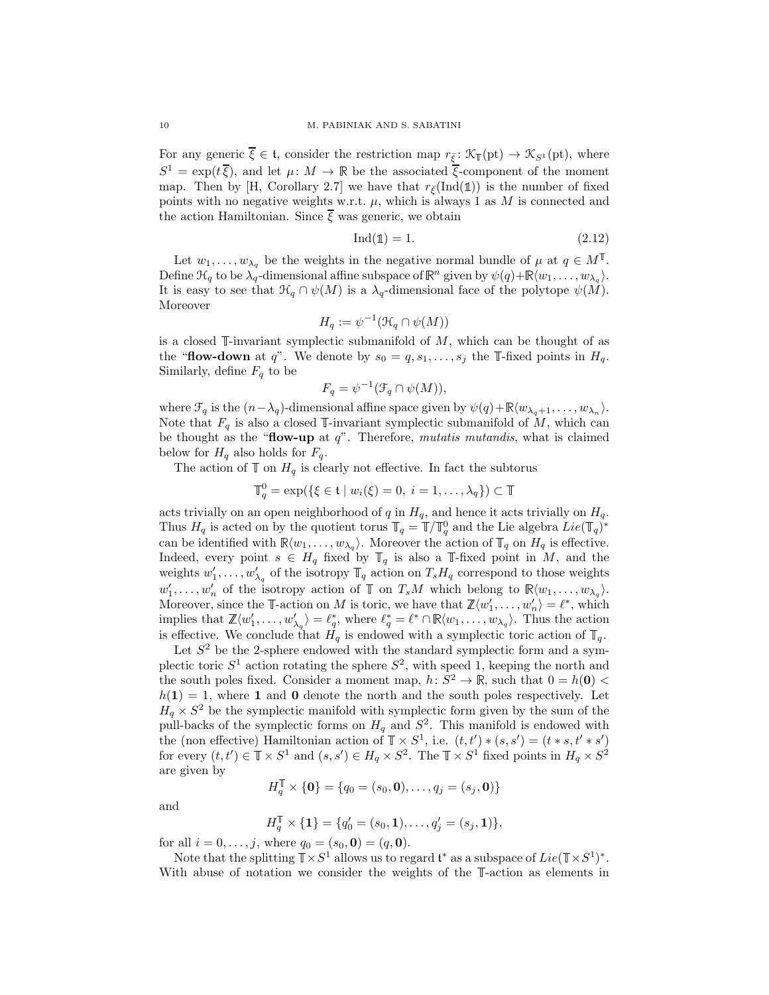For any generic  $\overline{\xi} \in \mathfrak{t}$ , consider the restriction map  $r_{\overline{\xi}} \colon \mathcal{K}_{\mathbb{T}}(\text{pt}) \to \mathcal{K}_{S^1}(\text{pt})$ , where  $S^1 = \exp(t\overline{\xi})$ , and let  $\mu: M \to \mathbb{R}$  be the associated  $\overline{\xi}$ -component of the moment map. Then by [\[H,](#page-32-12) Corollary 2.7] we have that  $r_{\xi}(\text{Ind}(\mathbb{1}))$  is the number of fixed points with no negative weights w.r.t.  $\mu$ , which is always 1 as M is connected and the action Hamiltonian. Since  $\overline{\xi}$  was generic, we obtain

<span id="page-9-0"></span>
$$
Ind(\mathbb{1}) = 1.
$$
\n<sup>(2.12)</sup>

Let  $w_1,\ldots,w_{\lambda_q}$  be the weights in the negative normal bundle of  $\mu$  at  $q \in M^{\mathbb{I}}$ . Define  $\mathcal{H}_q$  to be  $\lambda_q$ -dimensional affine subspace of  $\mathbb{R}^n$  given by  $\psi(q)+\mathbb{R}\langle w_1,\ldots,w_{\lambda_q}\rangle$ . It is easy to see that  $\mathcal{H}_q \cap \psi(M)$  is a  $\lambda_q$ -dimensional face of the polytope  $\psi(M)$ . Moreover

$$
H_q := \psi^{-1}(\mathcal{H}_q \cap \psi(M))
$$

is a closed  $\mathbb{I}\text{-invariant symplectic submanifold of }M$ , which can be thought of as the "flow-down at q". We denote by  $s_0 = q, s_1, \ldots, s_j$  the T-fixed points in  $H_q$ . Similarly, define  $F_q$  to be

$$
F_q = \psi^{-1}(\mathcal{F}_q \cap \psi(M)),
$$

where  $\mathcal{F}_q$  is the  $(n-\lambda_q)$ -dimensional affine space given by  $\psi(q) + \mathbb{R}\langle w_{\lambda_q+1},\ldots,w_{\lambda_n}\rangle$ . Note that  $F_q$  is also a closed T-invariant symplectic submanifold of M, which can be thought as the "**flow-up** at  $q$ ". Therefore, *mutatis mutandis*, what is claimed below for  $H_q$  also holds for  $F_q$ .

The action of  $\mathbb T$  on  $H_q$  is clearly not effective. In fact the subtorus

$$
\mathbb{T}_q^0 = \exp(\{\xi \in \mathfrak{t} \mid w_i(\xi) = 0, i = 1,\ldots,\lambda_q\}) \subset \mathbb{T}
$$

acts trivially on an open neighborhood of q in  $H_q$ , and hence it acts trivially on  $H_q$ . Thus  $H_q$  is acted on by the quotient torus  $\mathbb{T}_q = \mathbb{T}/\mathbb{T}_q^0$  and the Lie algebra  $Lie(\mathbb{T}_q)^*$ can be identified with  $\mathbb{R}\langle w_1,\ldots,w_{\lambda_q}\rangle$ . Moreover the action of  $\mathbb{T}_q$  on  $H_q$  is effective. Indeed, every point  $s \in H_q$  fixed by  $\mathbb{T}_q$  is also a  $\mathbb{T}$ -fixed point in M, and the weights  $w'_1, \ldots, w'_{\lambda_q}$  of the isotropy  $\mathbb{T}_q$  action on  $T_s H_q$  correspond to those weights  $w'_1, \ldots, w'_n$  of the isotropy action of  $\mathbb T$  on  $T_sM$  which belong to  $\mathbb R\langle w_1, \ldots, w_{\lambda_q}\rangle$ . Moreover, since the  $\mathbb{T}\text{-action}$  on M is toric, we have that  $\mathbb{Z}\langle w'_1,\ldots,w'_n\rangle = \ell^*$ , which implies that  $\mathbb{Z}\langle w'_1,\ldots,w'_{\lambda_q}\rangle=\ell_q^*$ , where  $\ell_q^*=\ell^*\cap\mathbb{R}\langle w_1,\ldots,w_{\lambda_q}\rangle$ . Thus the action is effective. We conclude that  $H_q$  is endowed with a symplectic toric action of  $\mathbb{T}_q$ .

Let  $S<sup>2</sup>$  be the 2-sphere endowed with the standard symplectic form and a symplectic toric  $S^1$  action rotating the sphere  $S^2$ , with speed 1, keeping the north and the south poles fixed. Consider a moment map,  $h: S^2 \to \mathbb{R}$ , such that  $0 = h(\mathbf{0})$  $h(1) = 1$ , where 1 and 0 denote the north and the south poles respectively. Let  $H_q \times S^2$  be the symplectic manifold with symplectic form given by the sum of the pull-backs of the symplectic forms on  $H_q$  and  $S^2$ . This manifold is endowed with the (non effective) Hamiltonian action of  $\mathbb{T} \times S^1$ , i.e.  $(t, t') * (s, s') = (t * s, t' * s')$ for every  $(t, t') \in \mathbb{T} \times S^1$  and  $(s, s') \in H_q \times S^2$ . The  $\mathbb{T} \times S^1$  fixed points in  $H_q \times S^2$ are given by

$$
H_q^{\mathbb{T}} \times \{\mathbf{0}\} = \{q_0 = (s_0, \mathbf{0}), \dots, q_j = (s_j, \mathbf{0})\}
$$

and

$$
H_q^{\mathbb{T}} \times \{\mathbf{1}\} = \{q'_0 = (s_0, \mathbf{1}), \dots, q'_j = (s_j, \mathbf{1})\},\
$$

for all  $i = 0, ..., j$ , where  $q_0 = (s_0, \mathbf{0}) = (q, \mathbf{0}).$ 

Note that the splitting  $\mathbb{T} \times S^1$  allows us to regard  $\mathfrak{t}^*$  as a subspace of  $Lie(\mathbb{T} \times S^1)^*$ . With abuse of notation we consider the weights of the  $\mathbb{T}$ -action as elements in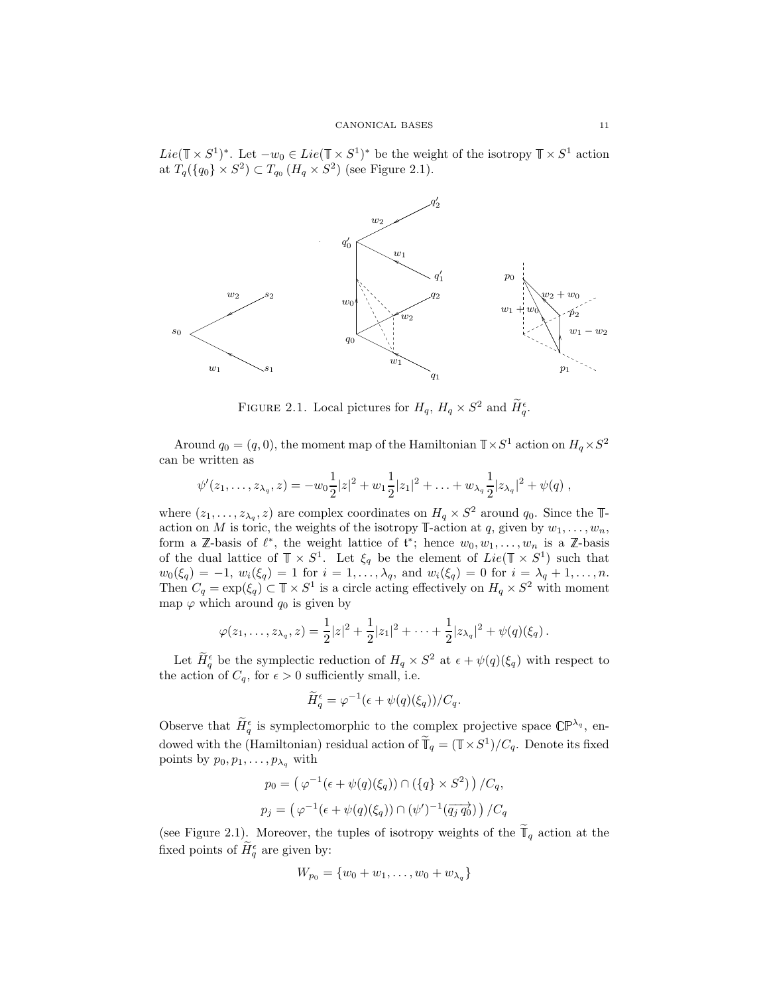$Lie(\mathbb{T} \times S^1)^*$ . Let  $-w_0 \in Lie(\mathbb{T} \times S^1)^*$  be the weight of the isotropy  $\mathbb{T} \times S^1$  action at  $T_q(\lbrace q_0 \rbrace \times S^2) \subset T_{q_0} (H_q \times S^2)$  (see Figure [2.1\)](#page-10-0).



<span id="page-10-0"></span>FIGURE 2.1. Local pictures for  $H_q$ ,  $H_q \times S^2$  and  $H_q^{\epsilon}$ .

Around  $q_0 = (q, 0)$ , the moment map of the Hamiltonian  $\mathbb{T} \times S^1$  action on  $H_q \times S^2$ can be written as

$$
\psi'(z_1,\ldots,z_{\lambda_q},z)=-w_0\frac{1}{2}|z|^2+w_1\frac{1}{2}|z_1|^2+\ldots+w_{\lambda_q}\frac{1}{2}|z_{\lambda_q}|^2+\psi(q) ,
$$

where  $(z_1,...,z_{\lambda_q}, z)$  are complex coordinates on  $H_q \times S^2$  around  $q_0$ . Since the  $\mathbb{T}$ action on M is toric, the weights of the isotropy  $\mathbb{T}$ -action at q, given by  $w_1, \ldots, w_n$ , form a  $\mathbb{Z}$ -basis of  $\ell^*$ , the weight lattice of  $\mathfrak{t}^*$ ; hence  $w_0, w_1, \ldots, w_n$  is a  $\mathbb{Z}$ -basis of the dual lattice of  $\mathbb{T} \times S^1$ . Let  $\xi_q$  be the element of  $Lie(\mathbb{T} \times S^1)$  such that  $w_0(\xi_q) = -1, w_i(\xi_q) = 1$  for  $i = 1, ..., \lambda_q$ , and  $w_i(\xi_q) = 0$  for  $i = \lambda_q + 1, ..., n$ . Then  $C_q = \exp(\xi_q) \subset \mathbb{T} \times S^1$  is a circle acting effectively on  $H_q \times S^2$  with moment map  $\varphi$  which around  $q_0$  is given by

$$
\varphi(z_1,\ldots,z_{\lambda_q},z) = \frac{1}{2}|z|^2 + \frac{1}{2}|z_1|^2 + \cdots + \frac{1}{2}|z_{\lambda_q}|^2 + \psi(q)(\xi_q).
$$

Let  $\tilde{H}_q^{\epsilon}$  be the symplectic reduction of  $H_q \times S^2$  at  $\epsilon + \psi(q)(\xi_q)$  with respect to the action of  $C_q$ , for  $\epsilon > 0$  sufficiently small, i.e.

$$
\widetilde{H}_q^{\epsilon} = \varphi^{-1}(\epsilon + \psi(q)(\xi_q))/C_q.
$$

Observe that  $\hat{H}_{q}^{\epsilon}$  is symplectomorphic to the complex projective space  $\mathbb{CP}^{\lambda_q}$ , endowed with the (Hamiltonian) residual action of  $\tilde{\mathbb{T}}_q = (\mathbb{T} \times S^1)/C_q$ . Denote its fixed points by  $p_0, p_1, \ldots, p_{\lambda_q}$  with

$$
p_0 = (\varphi^{-1}(\epsilon + \psi(q)(\xi_q)) \cap (\{q\} \times S^2)) / C_q,
$$
  

$$
p_j = (\varphi^{-1}(\epsilon + \psi(q)(\xi_q)) \cap (\psi')^{-1}(\overrightarrow{q_j q_0}) ) / C_q
$$

(see Figure [2.1\)](#page-10-0). Moreover, the tuples of isotropy weights of the  $\mathbb{I}_q$  action at the fixed points of  $H_q^{\epsilon}$  are given by:

$$
W_{p_0} = \{w_0 + w_1, \ldots, w_0 + w_{\lambda_q}\}\
$$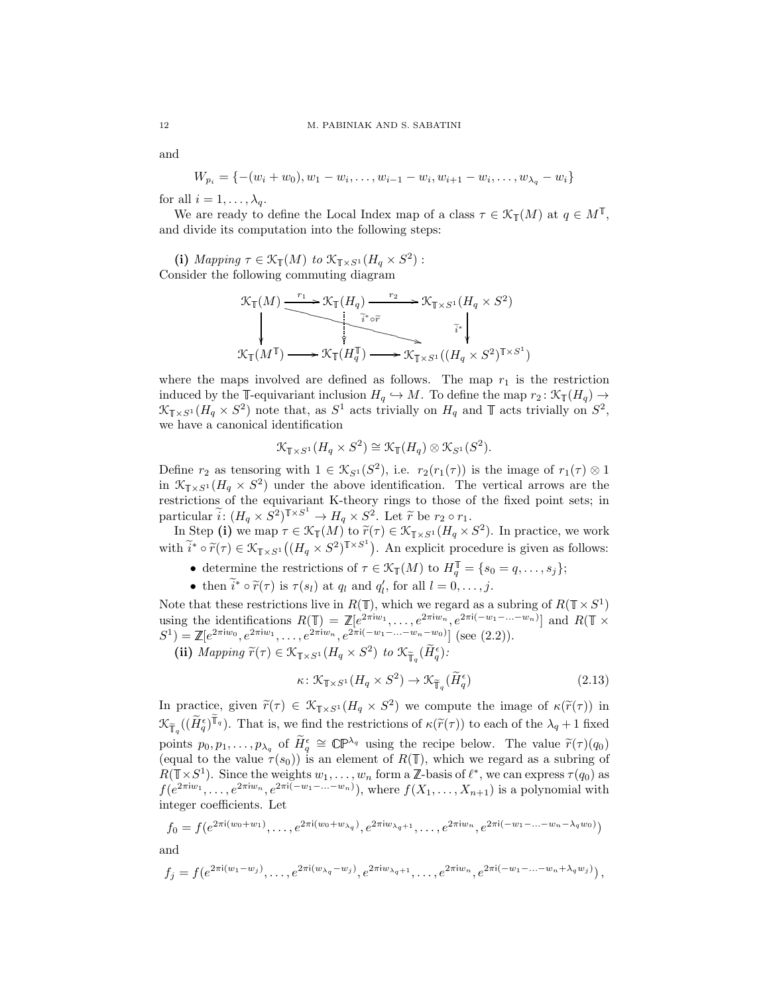and

$$
W_{p_i} = \{-(w_i+w_0), w_1-w_i, \ldots, w_{i-1}-w_i, w_{i+1}-w_i, \ldots, w_{\lambda_q}-w_i\}
$$

for all  $i = 1, \ldots, \lambda_q$ .

We are ready to define the Local Index map of a class  $\tau \in \mathcal{K}_{\mathbb{T}}(M)$  at  $q \in M^{\mathbb{T}}$ , and divide its computation into the following steps:

(i) Mapping  $\tau \in \mathcal{K}_{\mathbb{T}}(M)$  to  $\mathcal{K}_{\mathbb{T} \times S^1}(H_q \times S^2)$ : Consider the following commuting diagram

$$
\mathcal{K}_{\mathbb{T}}(M) \xrightarrow{r_1} \mathcal{K}_{\mathbb{T}}(H_q) \xrightarrow{r_2} \mathcal{K}_{\mathbb{T} \times S^1}(H_q \times S^2)
$$
\n
$$
\downarrow \qquad \qquad \downarrow \qquad \qquad \downarrow \qquad \downarrow \qquad \downarrow \qquad \downarrow
$$
\n
$$
\mathcal{K}_{\mathbb{T}}(M^{\mathbb{T}}) \longrightarrow \mathcal{K}_{\mathbb{T}}(H_q^{\mathbb{T}}) \longrightarrow \mathcal{K}_{\mathbb{T} \times S^1}((H_q \times S^2)^{\mathbb{T} \times S^1})
$$

where the maps involved are defined as follows. The map  $r_1$  is the restriction induced by the  $\mathbb{T}\text{-}\text{equivariant inclusion } H_q \hookrightarrow M$ . To define the map  $r_2 : \mathcal{K}_{\mathbb{T}}(H_q) \to$  $\mathcal{K}_{\mathbb{T}\times S^1}(H_q \times S^2)$  note that, as  $S^1$  acts trivially on  $H_q$  and  $\mathbb{T}$  acts trivially on  $S^2$ , we have a canonical identification

$$
\mathcal{K}_{\mathbb{T}\times S^1}(H_q\times S^2)\cong \mathcal{K}_{\mathbb{T}}(H_q)\otimes \mathcal{K}_{S^1}(S^2).
$$

Define  $r_2$  as tensoring with  $1 \in \mathcal{K}_{S^1}(S^2)$ , i.e.  $r_2(r_1(\tau))$  is the image of  $r_1(\tau) \otimes 1$ in  $\mathcal{K}_{\mathbb{T}\times S^1}(H_q \times S^2)$  under the above identification. The vertical arrows are the restrictions of the equivariant K-theory rings to those of the fixed point sets; in particular  $\widetilde{i}: (H_q \times S^2)^{\mathbb{T} \times S^1} \to H_q \times S^2$ . Let  $\widetilde{r}$  be  $r_2 \circ r_1$ .<br>Let  $\widetilde{r}$  be  $r_2 \circ r_1$ .

In Step (i) we map  $\tau \in \mathcal{K}_{\mathbb{T}}(M)$  to  $\widetilde{r}(\tau) \in \mathcal{K}_{\mathbb{T} \times S^1}(\overline{H}_q \times S^2)$ . In practice, we work with  $\widetilde{i}^* \circ \widetilde{r}(\tau) \in \mathcal{K}_{\mathbb{T} \times S^1}((H_q \times S^2)^{\mathbb{T} \times S^1})$ . An explicit procedure is given as follows:

- determine the restrictions of  $\tau \in \mathcal{K}_{\mathbb{T}}(M)$  to  $H_q^{\mathbb{T}} = \{s_0 = q, \ldots, s_j\};$
- then  $\tilde{i}^* \circ \tilde{r}(\tau)$  is  $\tau(s_l)$  at  $q_l$  and  $q'_l$ , for all  $l = 0, \ldots, j$ .

Note that these restrictions live in  $R(\mathbb{T})$ , which we regard as a subring of  $R(\mathbb{T} \times S^1)$ using the identifications  $R(\mathbb{T}) = \mathbb{Z}[e^{2\pi i w_1}, \ldots, e^{2\pi i w_n}, e^{2\pi i (-w_1 - \ldots - w_n)}]$  and  $R(\mathbb{T} \times$  $S^1$ ) =  $\mathbb{Z}[e^{2\pi i w_0}, e^{2\pi i w_1}, \dots, e^{2\pi i w_n}, e^{2\pi i (-w_1 - \dots - w_n - w_0)}]$  (see [\(2.2\)](#page-3-2)).

(ii) Mapping  $\widetilde{r}(\tau) \in \mathcal{K}_{\mathbb{T} \times S^1}(H_q \times S^2)$  to  $\mathcal{K}_{\mathbb{T}_q}(\widetilde{H}_q^{\epsilon})$ :

$$
\kappa \colon \mathcal{K}_{\mathbb{T} \times S^1} (H_q \times S^2) \to \mathcal{K}_{\widetilde{\mathbb{T}}_q} (\widetilde{H}_q^{\epsilon})
$$
\n(2.13)

In practice, given  $\tilde{r}(\tau) \in \mathcal{K}_{\mathbb{T} \times S^1}(H_q \times S^2)$  we compute the image of  $\kappa(\tilde{r}(\tau))$  in  $\mathcal{K}_{\widetilde{\mathbb{F}}_q}((\widetilde{H}_q^{\epsilon})^{\widetilde{\mathbb{T}}_q})$ . That is, we find the restrictions of  $\kappa(\widetilde{r}(\tau))$  to each of the  $\lambda_q + 1$  fixed points  $p_0, p_1, \ldots, p_{\lambda_q}$  of  $\widetilde{H}_q^{\epsilon} \cong \mathbb{CP}^{\lambda_q}$  using the recipe below. The value  $\widetilde{r}(\tau)(q_0)$ (equal to the value  $\tau(s_0)$ ) is an element of  $R(\mathbb{T})$ , which we regard as a subring of  $R(\mathbb{T} \times S^1)$ . Since the weights  $w_1, \ldots, w_n$  form a  $\mathbb{Z}$ -basis of  $\ell^*$ , we can express  $\tau(q_0)$  as  $f(e^{2\pi i w_1}, \ldots, e^{2\pi i w_n}, e^{2\pi i (-w_1 - \ldots - w_n)}),$  where  $f(X_1, \ldots, X_{n+1})$  is a polynomial with integer coefficients. Let

$$
f_0 = f(e^{2\pi i (w_0 + w_1)}, \dots, e^{2\pi i (w_0 + w_{\lambda_q})}, e^{2\pi i w_{\lambda_q + 1}}, \dots, e^{2\pi i w_n}, e^{2\pi i (-w_1 - \dots - w_n - \lambda_q w_0)})
$$

and

$$
f_j = f(e^{2\pi i(w_1 - w_j)}, \dots, e^{2\pi i(w_{\lambda_q} - w_j)}, e^{2\pi iw_{\lambda_q+1}}, \dots, e^{2\pi iw_n}, e^{2\pi i(-w_1 - \dots - w_n + \lambda_q w_j)}),
$$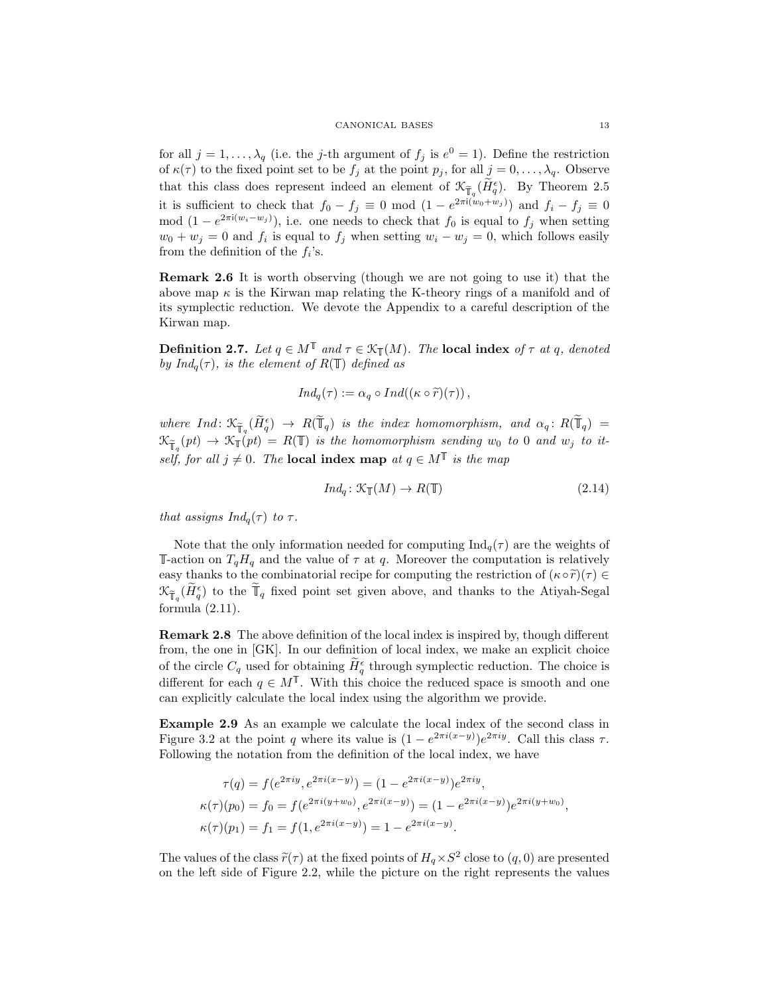for all  $j = 1, ..., \lambda_q$  (i.e. the j-th argument of  $f_j$  is  $e^0 = 1$ ). Define the restriction of  $\kappa(\tau)$  to the fixed point set to be  $f_j$  at the point  $p_j$ , for all  $j = 0, \ldots, \lambda_q$ . Observe that this class does represent indeed an element of  $\mathcal{K}_{\tilde{\mathbb{T}}_q}(\tilde{H}_q^{\epsilon})$ . By Theorem [2.5](#page-8-2) it is sufficient to check that  $f_0 - f_j \equiv 0 \mod (1 - e^{2\pi i(w_0 + w_j)})$  and  $f_i - f_j \equiv 0$ mod  $(1 - e^{2\pi i(w_i - w_j)})$ , i.e. one needs to check that  $f_0$  is equal to  $f_j$  when setting  $w_0 + w_j = 0$  and  $f_i$  is equal to  $f_j$  when setting  $w_i - w_j = 0$ , which follows easily from the definition of the  $f_i$ 's.

Remark 2.6 It is worth observing (though we are not going to use it) that the above map  $\kappa$  is the Kirwan map relating the K-theory rings of a manifold and of its symplectic reduction. We devote the Appendix to a careful description of the Kirwan map.

<span id="page-12-0"></span>**Definition 2.7.** Let  $q \in M^{\mathbb{T}}$  and  $\tau \in \mathcal{K}_{\mathbb{T}}(M)$ . The **local index** of  $\tau$  at q, denoted by  $Ind_q(\tau)$ , is the element of  $R(\mathbb{T})$  defined as

$$
Ind_q(\tau) := \alpha_q \circ Ind((\kappa \circ \widetilde{r})(\tau)),
$$

where  $Ind: \mathfrak{K}_{\widetilde{\mathbb{T}}_q}(\widetilde{H}_q^{\epsilon}) \to R(\widetilde{\mathbb{T}}_q)$  is the index homomorphism, and  $\alpha_q: R(\widetilde{\mathbb{T}}_q) =$  $\mathcal{K}_{\widetilde{\mathbb{T}}_{n}}(pt) \to \mathcal{K}_{\mathbb{T}}(pt) = R(\mathbb{T})$  is the homomorphism sending  $w_0$  to 0 and  $w_j$  to itself, for all  $j \neq 0$ . The **local index map** at  $q \in M^{\mathbb{T}}$  is the map

$$
Ind_q: \mathcal{K}_{\mathbb{T}}(M) \to R(\mathbb{T})
$$
\n
$$
(2.14)
$$

that assigns  $Ind_q(\tau)$  to  $\tau$ .

Note that the only information needed for computing  $\text{Ind}_{q}(\tau)$  are the weights of T-action on  $T_qH_q$  and the value of  $\tau$  at  $q$ . Moreover the computation is relatively easy thanks to the combinatorial recipe for computing the restriction of  $(\kappa \circ \tilde{r})(\tau) \in$  $\mathfrak{K}_{\widetilde{\mathbb{T}}_q}(\widetilde{H}_q^{\epsilon})$  to the  $\widetilde{\mathbb{T}}_q$  fixed point set given above, and thanks to the Atiyah-Segal formula  $(2.11)$ .

Remark 2.8 The above definition of the local index is inspired by, though different from, the one in [\[GK\]](#page-32-0). In our definition of local index, we make an explicit choice of the circle  $C_q$  used for obtaining  $\tilde{H}_q^{\epsilon}$  through symplectic reduction. The choice is different for each  $q \in M^{\mathbb{T}}$ . With this choice the reduced space is smooth and one can explicitly calculate the local index using the algorithm we provide.

Example 2.9 As an example we calculate the local index of the second class in Figure [3.2](#page-21-0) at the point q where its value is  $(1 - e^{2\pi i(x-y)})e^{2\pi iy}$ . Call this class  $\tau$ . Following the notation from the definition of the local index, we have

$$
\tau(q) = f(e^{2\pi i y}, e^{2\pi i (x-y)}) = (1 - e^{2\pi i (x-y)})e^{2\pi i y},
$$
  
\n
$$
\kappa(\tau)(p_0) = f_0 = f(e^{2\pi i (y+w_0)}, e^{2\pi i (x-y)}) = (1 - e^{2\pi i (x-y)})e^{2\pi i (y+w_0)},
$$
  
\n
$$
\kappa(\tau)(p_1) = f_1 = f(1, e^{2\pi i (x-y)}) = 1 - e^{2\pi i (x-y)}.
$$

The values of the class  $\tilde{r}(\tau)$  at the fixed points of  $H_a \times S^2$  close to  $(q, 0)$  are presented on the left side of Figure [2.2,](#page-13-0) while the picture on the right represents the values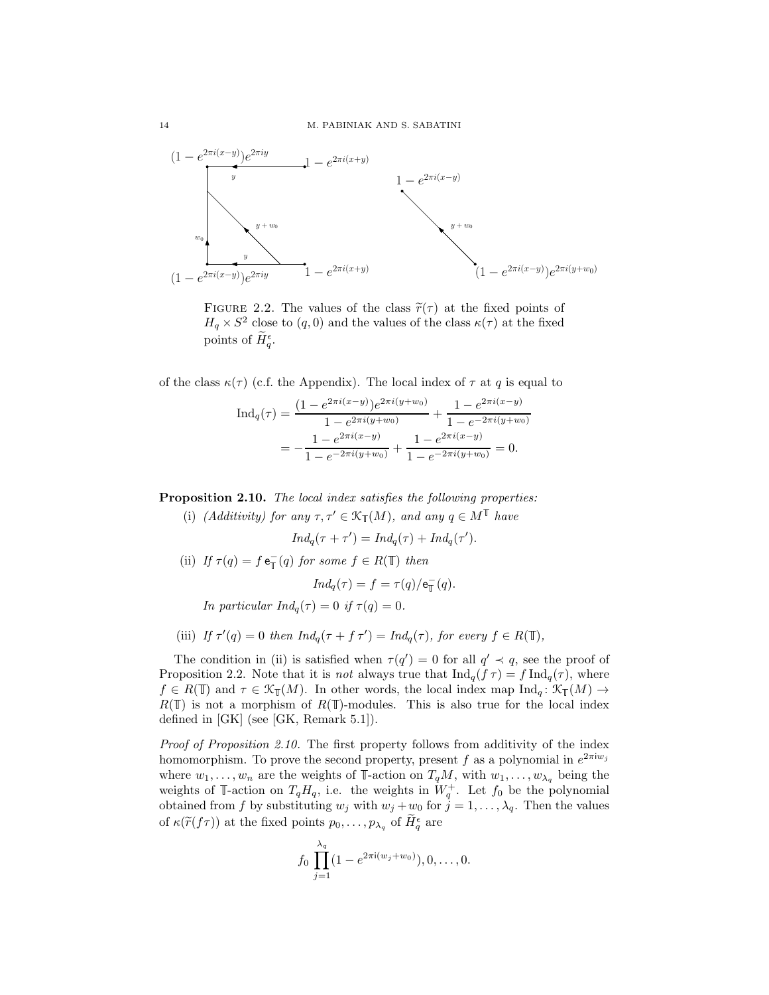

<span id="page-13-0"></span>FIGURE 2.2. The values of the class  $\tilde{r}(\tau)$  at the fixed points of  $H_q \times S^2$  close to  $(q, 0)$  and the values of the class  $\kappa(\tau)$  at the fixed points of  $\widetilde{H}_{q}^{\epsilon}$ .

of the class  $\kappa(\tau)$  (c.f. the Appendix). The local index of  $\tau$  at q is equal to

$$
\operatorname{Ind}_{q}(\tau) = \frac{(1 - e^{2\pi i(x-y)})e^{2\pi i(y+w_0)}}{1 - e^{2\pi i(y+w_0)}} + \frac{1 - e^{2\pi i(x-y)}}{1 - e^{-2\pi i(y+w_0)}}
$$

$$
= -\frac{1 - e^{2\pi i(x-y)}}{1 - e^{-2\pi i(y+w_0)}} + \frac{1 - e^{2\pi i(x-y)}}{1 - e^{-2\pi i(y+w_0)}} = 0.
$$

<span id="page-13-1"></span>Proposition 2.10. The local index satisfies the following properties:

(i) (Additivity) for any  $\tau, \tau' \in \mathcal{K}_{\mathbb{T}}(M)$ , and any  $q \in M^{\mathbb{T}}$  have

$$
Ind_q(\tau + \tau') = Ind_q(\tau) + Ind_q(\tau').
$$

(ii) If  $\tau(q) = f e_{\mathbb{T}}(q)$  for some  $f \in R(\mathbb{T})$  then

$$
Ind_q(\tau) = f = \tau(q)/e_{\mathbb{T}}^-(q).
$$

In particular  $Ind_{q}(\tau)=0$  if  $\tau(q)=0$ .

(iii) If  $\tau'(q) = 0$  then  $Ind_q(\tau + f \tau') = Ind_q(\tau)$ , for every  $f \in R(\mathbb{T})$ ,

The condition in (ii) is satisfied when  $\tau(q') = 0$  for all  $q' \prec q$ , see the proof of Proposition [2.2.](#page-5-1) Note that it is *not* always true that  $\text{Ind}_q(f \tau) = f \text{Ind}_q(\tau)$ , where  $f \in R(\mathbb{T})$  and  $\tau \in \mathcal{K}_{\mathbb{T}}(M)$ . In other words, the local index map  $\text{Ind}_q : \mathcal{K}_{\mathbb{T}}(M) \to$  $R(\mathbb{T})$  is not a morphism of  $R(\mathbb{T})$ -modules. This is also true for the local index defined in [\[GK\]](#page-32-0) (see [\[GK,](#page-32-0) Remark 5.1]).

Proof of Proposition [2.10.](#page-13-1) The first property follows from additivity of the index homomorphism. To prove the second property, present f as a polynomial in  $e^{2\pi i w_j}$ where  $w_1, \ldots, w_n$  are the weights of T-action on  $T_qM$ , with  $w_1, \ldots, w_{\lambda_q}$  being the weights of T-action on  $T_qH_q$ , i.e. the weights in  $W_q^+$ . Let  $f_0$  be the polynomial obtained from f by substituting  $w_j$  with  $w_j + w_0$  for  $\tilde{j} = 1, \ldots, \lambda_q$ . Then the values of  $\kappa(\widetilde{r}(f\tau))$  at the fixed points  $p_0, \ldots, p_{\lambda_q}$  of  $\widetilde{H}_q^{\epsilon}$  are

$$
f_0 \prod_{j=1}^{\lambda_q} (1 - e^{2\pi i (w_j + w_0)}), 0, \ldots, 0.
$$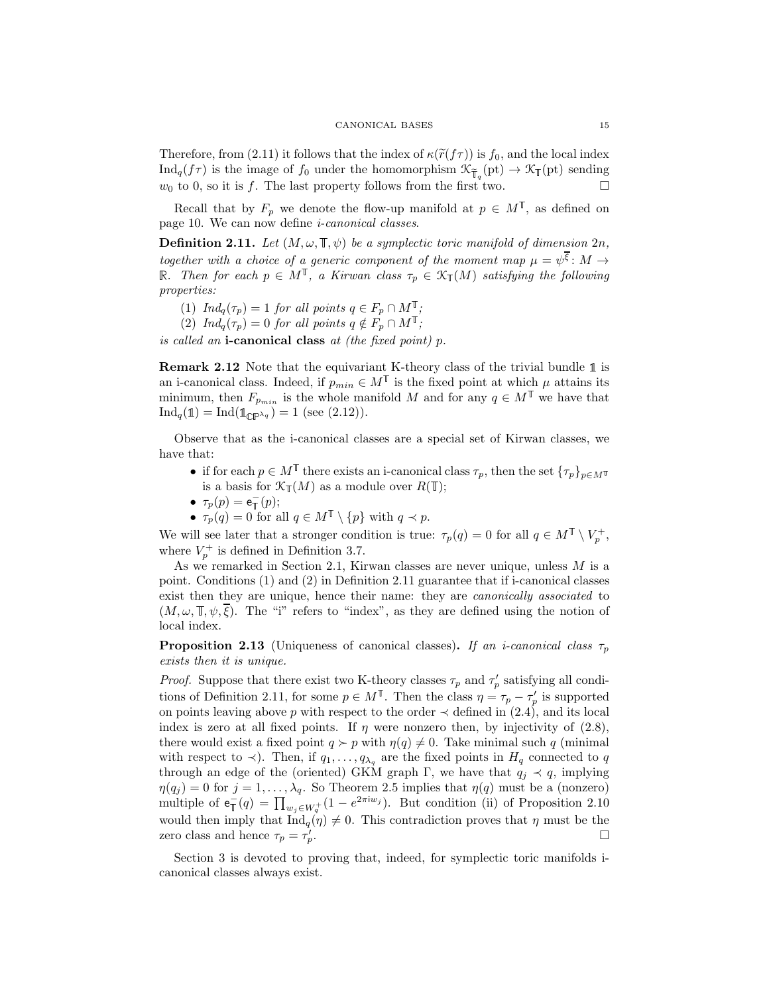Therefore, from [\(2.11\)](#page-8-3) it follows that the index of  $\kappa(\tilde{r}(f\tau))$  is  $f_0$ , and the local index  $\text{Ind}_q(f\tau)$  is the image of  $f_0$  under the homomorphism  $\mathcal{K}_{\tilde{\mathbb{T}}_q}(\text{pt}) \to \mathcal{K}_{\mathbb{T}}(\text{pt})$  sending  $w_0$  to 0, so it is f. The last property follows from the first two.  $w_0$  to 0, so it is f. The last property follows from the first two.

Recall that by  $F_p$  we denote the flow-up manifold at  $p \in M^{\mathbb{T}}$ , as defined on page [10.](#page-9-0) We can now define i-canonical classes.

<span id="page-14-0"></span>**Definition 2.11.** Let  $(M, \omega, \mathbb{T}, \psi)$  be a symplectic toric manifold of dimension  $2n$ , together with a choice of a generic component of the moment map  $\mu = \psi^{\xi} \colon M \to$ R. Then for each  $p \in M^{\mathbb{T}}$ , a Kirwan class  $\tau_p \in \mathcal{K}_{\mathbb{T}}(M)$  satisfying the following properties:

- (1)  $Ind_q(\tau_p)=1$  for all points  $q \in F_p \cap M^{\mathbb{T}}$ ;
- (2)  $Ind_q(\tau_p)=0$  for all points  $q \notin F_p \cap M^{\mathbb{T}}$ ;

is called an **i-canonical class** at (the fixed point)  $p$ .

**Remark 2.12** Note that the equivariant K-theory class of the trivial bundle  $\mathbb{1}$  is an i-canonical class. Indeed, if  $p_{min} \in M^{\mathbb{T}}$  is the fixed point at which  $\mu$  attains its minimum, then  $F_{p_{min}}$  is the whole manifold M and for any  $q \in M^{\mathbb{T}}$  we have that  $\text{Ind}_q(\mathbb{1}) = \text{Ind}(\mathbb{1}_{\mathbb{CP}^{\lambda_q}}) = 1$  (see [\(2.12\)](#page-9-0)).

Observe that as the i-canonical classes are a special set of Kirwan classes, we have that:

- if for each  $p \in M^{\mathbb{T}}$  there exists an i-canonical class  $\tau_p$ , then the set  $\{\tau_p\}_{p \in M^{\mathbb{T}}}$ is a basis for  $\mathcal{K}_{\mathbb{T}}(M)$  as a module over  $R(\mathbb{T});$
- $\tau_p(p) = e^-_{\mathbb{T}}(p);$
- $\tau_p(q) = 0$  for all  $q \in M^{\mathbb{T}} \setminus \{p\}$  with  $q \prec p$ .

We will see later that a stronger condition is true:  $\tau_p(q) = 0$  for all  $q \in M^{\mathbb{T}} \setminus V_p^+$ , where  $V_p^+$  is defined in Definition [3.7.](#page-19-0)

As we remarked in Section [2.1,](#page-3-3) Kirwan classes are never unique, unless  $M$  is a point. Conditions (1) and (2) in Definition [2.11](#page-14-0) guarantee that if i-canonical classes exist then they are unique, hence their name: they are *canonically associated* to  $(M, \omega, \mathbb{T}, \psi, \xi)$ . The "i" refers to "index", as they are defined using the notion of local index.

<span id="page-14-1"></span>**Proposition 2.13** (Uniqueness of canonical classes). If an *i*-canonical class  $\tau_p$ exists then it is unique.

*Proof.* Suppose that there exist two K-theory classes  $\tau_p$  and  $\tau'_p$  satisfying all condi-tions of Definition [2.11,](#page-14-0) for some  $p \in M^{\mathbb{T}}$ . Then the class  $\eta = \tau_p - \tau_p'$  is supported on points leaving above p with respect to the order  $\prec$  defined in [\(2.4\)](#page-5-0), and its local index is zero at all fixed points. If  $\eta$  were nonzero then, by injectivity of [\(2.8\)](#page-6-1), there would exist a fixed point  $q \succ p$  with  $\eta(q) \neq 0$ . Take minimal such q (minimal with respect to  $\prec$ ). Then, if  $q_1,\ldots,q_{\lambda_q}$  are the fixed points in  $H_q$  connected to q through an edge of the (oriented) GKM graph Γ, we have that  $q_j \prec q$ , implying  $\eta(q_j) = 0$  for  $j = 1, \ldots, \lambda_q$ . So Theorem [2.5](#page-8-2) implies that  $\eta(q)$  must be a (nonzero) multiple of  $e_{\mathbb{T}}^-(q) = \prod_{w_j \in W_q^+}(1 - e^{2\pi i w_j})$ . But condition (ii) of Proposition [2.10](#page-13-1) would then imply that  $\text{Ind}_q(\eta) \neq 0$ . This contradiction proves that  $\eta$  must be the zero class and hence  $\tau_p = \tau'_p$ .  $\mathbb{D}_{p}$ .

Section [3](#page-15-0) is devoted to proving that, indeed, for symplectic toric manifolds icanonical classes always exist.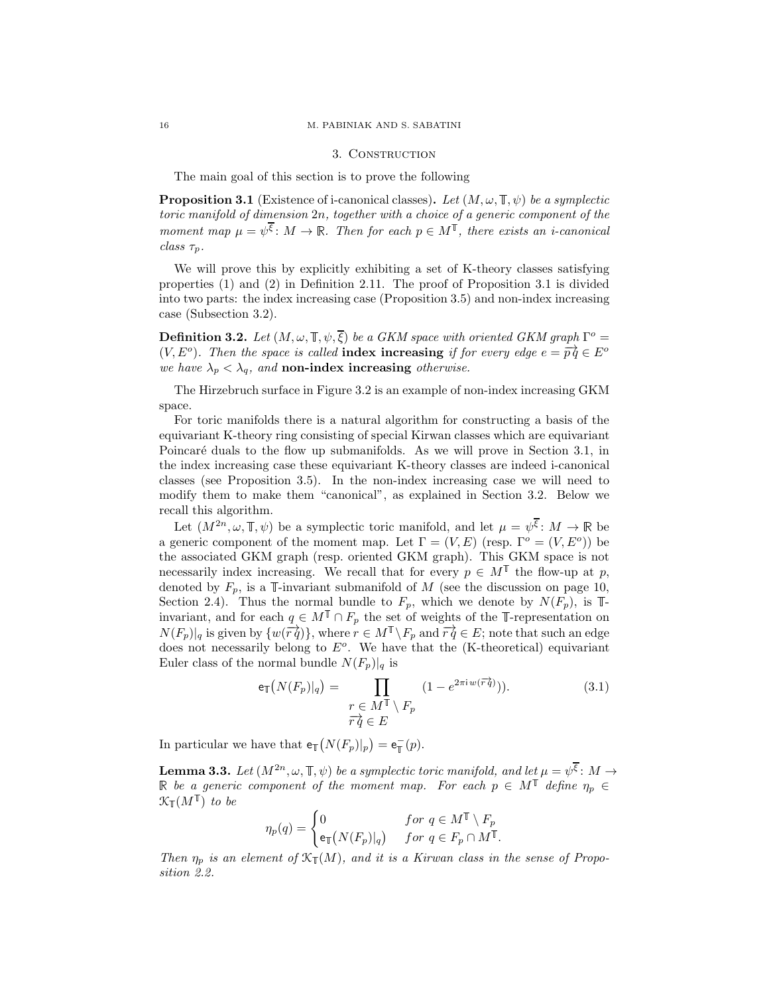### 16 M. PABINIAK AND S. SABATINI

## 3. Construction

The main goal of this section is to prove the following

<span id="page-15-2"></span>**Proposition 3.1** (Existence of i-canonical classes). Let  $(M, \omega, \mathbb{T}, \psi)$  be a symplectic toric manifold of dimension 2n, together with a choice of a generic component of the moment map  $\mu = \psi^{\overline{\xi}}$ :  $M \to \mathbb{R}$ . Then for each  $p \in M^{\mathbb{T}}$ , there exists an *i*-canonical class  $\tau_n$ .

We will prove this by explicitly exhibiting a set of K-theory classes satisfying properties (1) and (2) in Definition [2.11.](#page-14-0) The proof of Proposition [3.1](#page-15-2) is divided into two parts: the index increasing case (Proposition [3.5\)](#page-16-0) and non-index increasing case (Subsection [3.2\)](#page-19-1).

<span id="page-15-1"></span>**Definition 3.2.** Let  $(M, \omega, \mathbb{T}, \psi, \overline{\xi})$  be a GKM space with oriented GKM graph  $\Gamma^o$  = (V, E<sup>o</sup>). Then the space is called **index increasing** if for every edge  $e = \overrightarrow{pq} \in E^o$ we have  $\lambda_p < \lambda_q$ , and **non-index increasing** otherwise.

The Hirzebruch surface in Figure [3.2](#page-21-0) is an example of non-index increasing GKM space.

For toric manifolds there is a natural algorithm for constructing a basis of the equivariant K-theory ring consisting of special Kirwan classes which are equivariant Poincaré duals to the flow up submanifolds. As we will prove in Section [3.1,](#page-16-1) in the index increasing case these equivariant K-theory classes are indeed i-canonical classes (see Proposition [3.5\)](#page-16-0). In the non-index increasing case we will need to modify them to make them "canonical", as explained in Section [3.2.](#page-19-1) Below we recall this algorithm.

Let  $(M^{2n}, \omega, \mathbb{F}, \psi)$  be a symplectic toric manifold, and let  $\mu = \psi^{\xi} \colon M \to \mathbb{R}$  be a generic component of the moment map. Let  $\Gamma = (V, E)$  (resp.  $\Gamma^o = (V, E^o)$ ) be the associated GKM graph (resp. oriented GKM graph). This GKM space is not necessarily index increasing. We recall that for every  $p \in M^{\mathbb{T}}$  the flow-up at p, denoted by  $F_p$ , is a  $\mathbb{I}\text{-invariant submanifold of }M$  (see the discussion on page [10,](#page-9-0) Section [2.4\)](#page-8-0). Thus the normal bundle to  $F_p$ , which we denote by  $N(F_p)$ , is  $\mathbb{I}$ invariant, and for each  $q \in M^{\mathbb{T}} \cap F_p$  the set of weights of the  $\mathbb{T}$ -representation on  $N(F_p)|_q$  is given by  $\{w(\overrightarrow{rq})\},$  where  $r \in M^{\mathbb{T}} \setminus F_p$  and  $\overrightarrow{rq} \in E$ ; note that such an edge does not necessarily belong to  $E^o$ . We have that the (K-theoretical) equivariant Euler class of the normal bundle  $N(F_p)|_q$  is

<span id="page-15-4"></span>
$$
\mathsf{e}_{\mathbb{T}}\big(N(F_p)|_q\big) = \prod_{\substack{r \in M^{\mathbb{T}} \setminus F_p \\ r \, \dot{q} \in E}} \left(1 - e^{2\pi i w(\overrightarrow{r} \cdot \dot{q})})\right). \tag{3.1}
$$

In particular we have that  $\mathsf{e}_{\mathbb{T}}(N(F_p)|_p) = \mathsf{e}_{\mathbb{T}}^-(p)$ .

<span id="page-15-3"></span>**Lemma 3.3.** Let  $(M^{2n}, \omega, \mathbb{T}, \psi)$  be a symplectic toric manifold, and let  $\mu = \psi^{\xi} \colon M \to$ be a generic component of the moment map. For each  $p \in M^{\mathbb{T}}$  define  $\eta_p \in$  $\mathfrak{K}_{\mathbb T}(M^{\mathbb T})$  to be

$$
\eta_p(q) = \begin{cases} 0 & \text{for } q \in M^{\mathbb{T}} \setminus F_p \\ \exp\left(N(F_p)|_q\right) & \text{for } q \in F_p \cap M^{\mathbb{T}}. \end{cases}
$$

Then  $\eta_p$  is an element of  $\mathfrak{K}_{\mathbb{T}}(M)$ , and it is a Kirwan class in the sense of Proposition [2.2.](#page-5-1)

<span id="page-15-0"></span>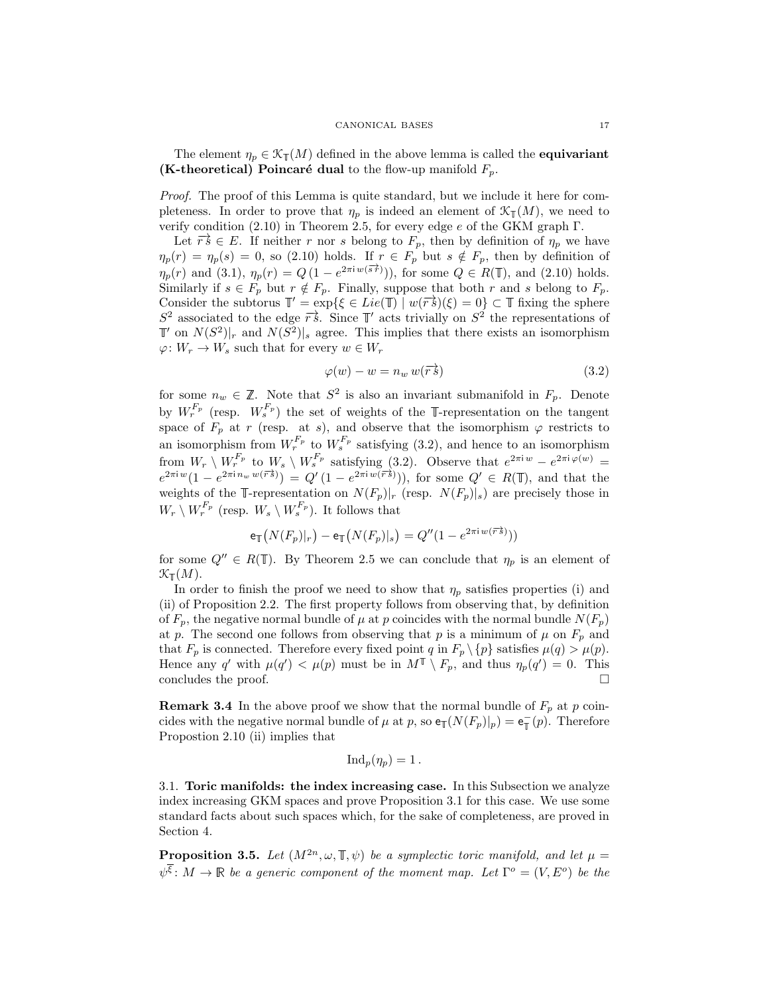#### CANONICAL BASES 17

The element  $\eta_p \in \mathcal{K}_{\mathbb{I}}(M)$  defined in the above lemma is called the **equivariant** (K-theoretical) Poincaré dual to the flow-up manifold  $F_p$ .

Proof. The proof of this Lemma is quite standard, but we include it here for completeness. In order to prove that  $\eta_p$  is indeed an element of  $\mathcal{K}_{\mathbb{F}}(M)$ , we need to verify condition  $(2.10)$  in Theorem [2.5,](#page-8-2) for every edge *e* of the GKM graph Γ.

Let  $\overrightarrow{rs} \in E$ . If neither r nor s belong to  $F_p$ , then by definition of  $\eta_p$  we have  $\eta_p(r) = \eta_p(s) = 0$ , so [\(2.10\)](#page-8-1) holds. If  $r \in F_p$  but  $s \notin F_p$ , then by definition of  $\eta_p(r)$  and [\(3.1\)](#page-15-4),  $\eta_p(r) = Q(1 - e^{2\pi i w(\vec{s} \cdot \vec{r})}))$ , for some  $Q \in R(\mathbb{T})$ , and [\(2.10\)](#page-8-1) holds. Similarly if  $s \in F_p$  but  $r \notin F_p$ . Finally, suppose that both r and s belong to  $F_p$ . Consider the subtorus  $\mathbb{T}' = \exp\{\xi \in Lie(\mathbb{T}) \mid w(\overrightarrow{rs})(\xi) = 0\} \subset \mathbb{T}$  fixing the sphere  $S^2$  associated to the edge  $\overrightarrow{r}$ . Since  $\mathbb{T}'$  acts trivially on  $S^2$  the representations of  $\mathbb{T}'$  on  $N(S^2)|_r$  and  $N(S^2)|_s$  agree. This implies that there exists an isomorphism  $\varphi \colon W_r \to W_s$  such that for every  $w \in W_r$ 

<span id="page-16-2"></span>
$$
\varphi(w) - w = n_w w(\overrightarrow{rs}) \tag{3.2}
$$

for some  $n_w \in \mathbb{Z}$ . Note that  $S^2$  is also an invariant submanifold in  $F_p$ . Denote by  $W_r^{F_p}$  (resp.  $W_s^{F_p}$ ) the set of weights of the I-representation on the tangent space of  $F_p$  at r (resp. at s), and observe that the isomorphism  $\varphi$  restricts to an isomorphism from  $W_r^{F_p}$  to  $W_s^{F_p}$  satisfying [\(3.2\)](#page-16-2), and hence to an isomorphism from  $W_r \setminus W_r^{F_p}$  to  $W_s \setminus W_s^{F_p}$  satisfying [\(3.2\)](#page-16-2). Observe that  $e^{2\pi i w} - e^{2\pi i \varphi(w)} =$  $e^{2\pi i w} (1 - e^{2\pi i n_w w(\vec{r}\cdot\vec{s})}) = Q'(1 - e^{2\pi i w(\vec{r}\cdot\vec{s})}))$ , for some  $Q' \in R(\mathbb{T})$ , and that the weights of the T-representation on  $N(F_p)|_r$  (resp.  $N(F_p)|_s$ ) are precisely those in  $W_r \setminus W_r^{F_p}$  (resp.  $W_s \setminus W_s^{F_p}$ ). It follows that

$$
\mathsf{e}_{\mathbb{T}}\big(N(F_p)|_r\big) - \mathsf{e}_{\mathbb{T}}\big(N(F_p)|_s\big) = Q''(1-e^{2\pi\mathrm{i}\, w(\overrightarrow{r}\cdot\overrightarrow{s})}))
$$

for some  $Q'' \in R(\mathbb{T})$ . By Theorem [2.5](#page-8-2) we can conclude that  $\eta_p$  is an element of  $\mathfrak{K}_{\mathbb T}(M).$ 

In order to finish the proof we need to show that  $\eta_p$  satisfies properties (i) and (ii) of Proposition [2.2.](#page-5-1) The first property follows from observing that, by definition of  $F_p$ , the negative normal bundle of  $\mu$  at  $p$  coincides with the normal bundle  $N(F_p)$ at p. The second one follows from observing that p is a minimum of  $\mu$  on  $F_p$  and that  $F_p$  is connected. Therefore every fixed point q in  $F_p \setminus \{p\}$  satisfies  $\mu(q) > \mu(p)$ . Hence any q' with  $\mu(q') < \mu(p)$  must be in  $M^{\mathbb{T}} \setminus F_p$ , and thus  $\eta_p(q') = 0$ . This concludes the proof.

<span id="page-16-3"></span>**Remark 3.4** In the above proof we show that the normal bundle of  $F_p$  at p coincides with the negative normal bundle of  $\mu$  at p, so  $e_{\mathbb{T}}(N(F_p)|_p) = e_{\mathbb{T}}(p)$ . Therefore Propostion [2.10](#page-13-1) (ii) implies that

$$
\mathrm{Ind}_p(\eta_p)=1\,.
$$

<span id="page-16-1"></span>3.1. Toric manifolds: the index increasing case. In this Subsection we analyze index increasing GKM spaces and prove Proposition [3.1](#page-15-2) for this case. We use some standard facts about such spaces which, for the sake of completeness, are proved in Section [4.](#page-20-0)

<span id="page-16-0"></span>**Proposition 3.5.** Let  $(M^{2n}, \omega, \mathbb{T}, \psi)$  be a symplectic toric manifold, and let  $\mu =$  $\psi^{\xi}$ :  $M \to \mathbb{R}$  be a generic component of the moment map. Let  $\Gamma^{o} = (V, E^{o})$  be the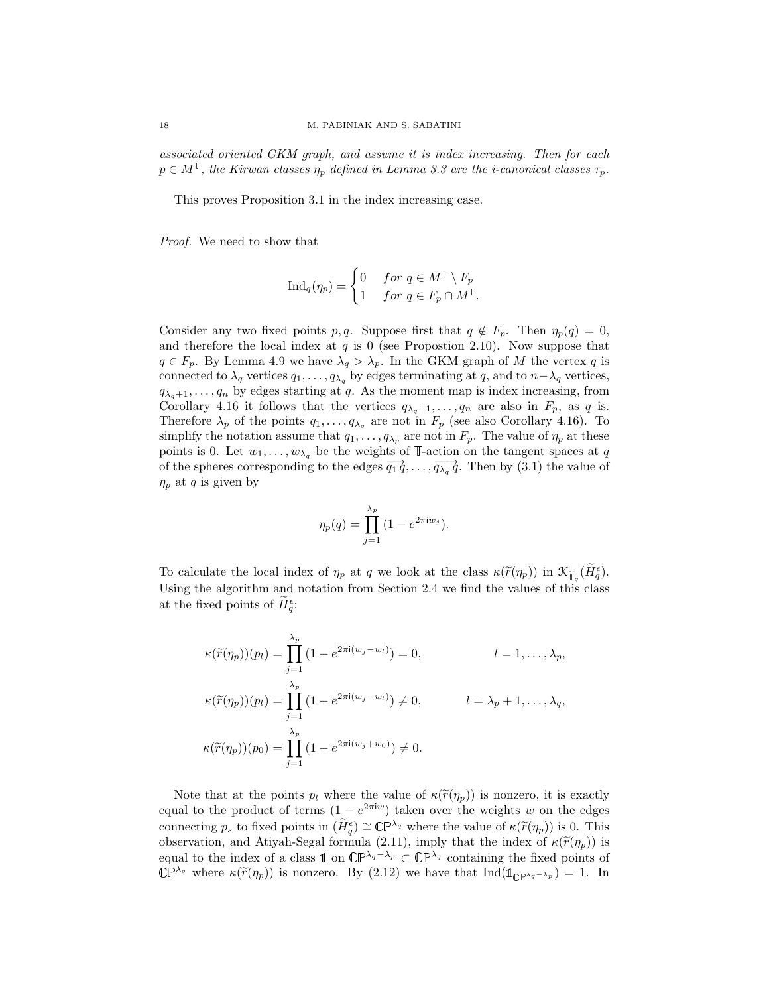associated oriented GKM graph, and assume it is index increasing. Then for each  $p \in M^{\mathbb{T}}$ , the Kirwan classes  $\eta_p$  defined in Lemma [3.3](#page-15-3) are the *i*-canonical classes  $\tau_p$ .

This proves Proposition [3.1](#page-15-2) in the index increasing case.

Proof. We need to show that

$$
\operatorname{Ind}_q(\eta_p) = \begin{cases} 0 & \text{for } q \in M^\mathbb{T} \setminus F_p \\ 1 & \text{for } q \in F_p \cap M^\mathbb{T} \end{cases}
$$

Consider any two fixed points p, q. Suppose first that  $q \notin F_p$ . Then  $\eta_p(q) = 0$ , and therefore the local index at  $q$  is 0 (see Propostion [2.10\)](#page-13-1). Now suppose that  $q \in F_p$ . By Lemma [4.9](#page-25-1) we have  $\lambda_q > \lambda_p$ . In the GKM graph of M the vertex q is connected to  $\lambda_q$  vertices  $q_1, \ldots, q_{\lambda_q}$  by edges terminating at  $q$ , and to  $n-\lambda_q$  vertices,  $q_{\lambda_q+1},\ldots,q_n$  by edges starting at q. As the moment map is index increasing, from Corollary [4.16](#page-27-1) it follows that the vertices  $q_{\lambda_q+1},...,q_n$  are also in  $F_p$ , as q is. Therefore  $\lambda_p$  of the points  $q_1, \ldots, q_{\lambda_q}$  are not in  $F_p$  (see also Corollary [4.16\)](#page-27-1). To simplify the notation assume that  $q_1, \ldots, q_{\lambda_p}$  are not in  $F_p$ . The value of  $\eta_p$  at these points is 0. Let  $w_1, \ldots, w_{\lambda_q}$  be the weights of T-action on the tangent spaces at q of the spheres corresponding to the edges  $\overline{q_1 q}, \ldots, \overline{q_{\lambda_q} q}$ . Then by [\(3.1\)](#page-15-4) the value of  $\eta_p$  at q is given by

$$
\eta_p(q) = \prod_{j=1}^{\lambda_p} (1 - e^{2\pi i w_j}).
$$

To calculate the local index of  $\eta_p$  at q we look at the class  $\kappa(\widetilde{r}(\eta_p))$  in  $\mathcal{K}_{\overline{f}_q}(\widetilde{H}_q^{\epsilon})$ . Using the algorithm and notation from Section [2.4](#page-8-0) we find the values of this class at the fixed points of  $H_q^{\epsilon}$ :

$$
\kappa(\widetilde{r}(\eta_p))(p_l) = \prod_{j=1}^{\lambda_p} (1 - e^{2\pi i(w_j - w_l)}) = 0, \qquad l = 1, ..., \lambda_p,
$$
  

$$
\kappa(\widetilde{r}(\eta_p))(p_l) = \prod_{j=1}^{\lambda_p} (1 - e^{2\pi i(w_j - w_l)}) \neq 0, \qquad l = \lambda_p + 1, ..., \lambda_q,
$$
  

$$
\kappa(\widetilde{r}(\eta_p))(p_0) = \prod_{j=1}^{\lambda_p} (1 - e^{2\pi i(w_j + w_0)}) \neq 0.
$$

Note that at the points  $p_l$  where the value of  $\kappa(\tilde{r}(\eta_p))$  is nonzero, it is exactly equal to the product of terms  $(1 - e^{2\pi i w})$  taken over the weights w on the edges connecting  $p_s$  to fixed points in  $(\widetilde{H}_q^{\epsilon}) \cong \mathbb{CP}^{\lambda_q}$  where the value of  $\kappa(\widetilde{r}(\eta_p))$  is 0. This observation, and Atiyah-Segal formula [\(2.11\)](#page-8-3), imply that the index of  $\kappa(\tilde{r}(\eta_p))$  is equal to the index of a class  $\mathbb{1}$  on  $\mathbb{CP}^{\lambda_q-\lambda_p} \subset \mathbb{CP}^{\lambda_q}$  containing the fixed points of  $\mathbb{CP}^{\lambda_q}$  where  $\kappa(\widetilde{r}(\eta_p))$  is nonzero. By [\(2.12\)](#page-9-0) we have that Ind( $\mathbb{1}_{\mathbb{CP}^{\lambda_q-\lambda_p}}$ ) = 1. In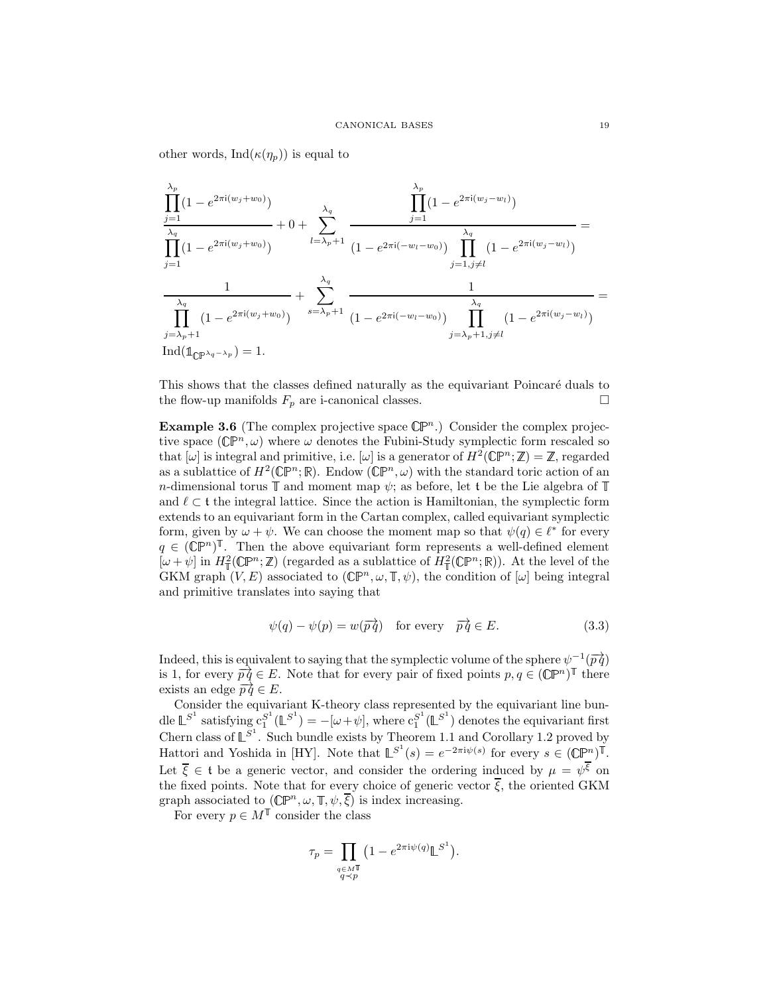other words, Ind $(\kappa(\eta_p))$  is equal to

$$
\frac{\prod_{j=1}^{\lambda_p} (1 - e^{2\pi i (w_j + w_0)})}{\prod_{j=1}^{\lambda_q} (1 - e^{2\pi i (w_j + w_0)})} + 0 + \sum_{l=\lambda_p+1}^{\lambda_q} \frac{\prod_{j=1}^{\lambda_p} (1 - e^{2\pi i (w_j - w_l)})}{(1 - e^{2\pi i (-w_l - w_0)})} \prod_{j=1, j\neq l}^{\lambda_q} (1 - e^{2\pi i (w_j - w_l)})
$$
\n
$$
\frac{1}{\prod_{j=\lambda_p+1}^{\lambda_q} (1 - e^{2\pi i (w_j + w_0)})} + \sum_{s=\lambda_p+1}^{\lambda_q} \frac{1}{(1 - e^{2\pi i (-w_l - w_0)})} \prod_{j=\lambda_p+1, j\neq l}^{\lambda_q} (1 - e^{2\pi i (w_j - w_l)})
$$
\n
$$
\frac{\prod_{j=\lambda_p+1}^{\lambda_q} (1 - e^{2\pi i (w_j - w_0)})}{\prod_{j=\lambda_p+1, j\neq l}^{\lambda_q} (1 - e^{2\pi i (w_j - w_l)})}
$$

This shows that the classes defined naturally as the equivariant Poincaré duals to the flow-up manifolds  $F_p$  are i-canonical classes.  $\Box$ 

<span id="page-18-0"></span>**Example 3.6** (The complex projective space  $\mathbb{CP}^n$ .) Consider the complex projective space  $(\mathbb{CP}^n, \omega)$  where  $\omega$  denotes the Fubini-Study symplectic form rescaled so that  $[\omega]$  is integral and primitive, i.e.  $[\omega]$  is a generator of  $H^2(\mathbb{CP}^n;\mathbb{Z}) = \mathbb{Z}$ , regarded as a sublattice of  $H^2(\mathbb{CP}^n;\mathbb{R})$ . Endow  $(\mathbb{CP}^n,\omega)$  with the standard toric action of an n-dimensional torus  $\mathbb T$  and moment map  $\psi$ ; as before, let t be the Lie algebra of  $\mathbb T$ and  $\ell \subset \mathfrak{t}$  the integral lattice. Since the action is Hamiltonian, the symplectic form extends to an equivariant form in the Cartan complex, called equivariant symplectic form, given by  $\omega + \psi$ . We can choose the moment map so that  $\psi(q) \in \ell^*$  for every  $q \in (\mathbb{C}\mathbb{P}^n)^{\mathbb{T}}$ . Then the above equivariant form represents a well-defined element  $[\omega + \psi]$  in  $H^2_{\mathbb{T}}(\mathbb{CP}^n;\mathbb{Z})$  (regarded as a sublattice of  $H^2_{\mathbb{T}}(\mathbb{CP}^n;\mathbb{R})$ ). At the level of the GKM graph  $(V, E)$  associated to  $(\mathbb{CP}^n, \omega, \mathbb{T}, \psi)$ , the condition of  $[\omega]$  being integral and primitive translates into saying that

$$
\psi(q) - \psi(p) = w(\overrightarrow{pq}) \quad \text{for every} \quad \overrightarrow{pq} \in E. \tag{3.3}
$$

Indeed, this is equivalent to saying that the symplectic volume of the sphere  $\psi^{-1}(\overrightarrow{pq})$ is 1, for every  $\overrightarrow{pq} \in E$ . Note that for every pair of fixed points  $p, q \in (\mathbb{C}\mathbb{P}^n)^{\mathbb{T}}$  there exists an edge  $\overrightarrow{pq} \in E$ .

Consider the equivariant K-theory class represented by the equivariant line bundle  $\mathbb{L}^{S^1}$  satisfying  $c_1^{S^1}(\mathbb{L}^{S^1}) = -[\omega + \psi]$ , where  $c_1^{S^1}(\mathbb{L}^{S^1})$  denotes the equivariant first Chern class of  $\mathbb{L}^{S^1}$ . Such bundle exists by Theorem 1.1 and Corollary 1.2 proved by Hattori and Yoshida in [\[HY\]](#page-32-13). Note that  $\mathbb{L}^{S^1}(s) = e^{-2\pi i \psi(s)}$  for every  $s \in (\mathbb{C}\mathbb{P}^n)^{\mathbb{T}}$ . Let  $\overline{\xi} \in \mathfrak{t}$  be a generic vector, and consider the ordering induced by  $\mu = \psi^{\overline{\xi}}$  on the fixed points. Note that for every choice of generic vector  $\overline{\xi}$ , the oriented GKM graph associated to  $(\mathbb{CP}^n, \omega, \mathbb{T}, \psi, \overline{\xi})$  is index increasing.

For every  $p \in M^{\mathbb{T}}$  consider the class

$$
\tau_p = \prod_{\substack{q \in M^{\mathbb{T}} \\ q \prec p}} \left( 1 - e^{2\pi i \psi(q)} \mathbb{L}^{S^1} \right).
$$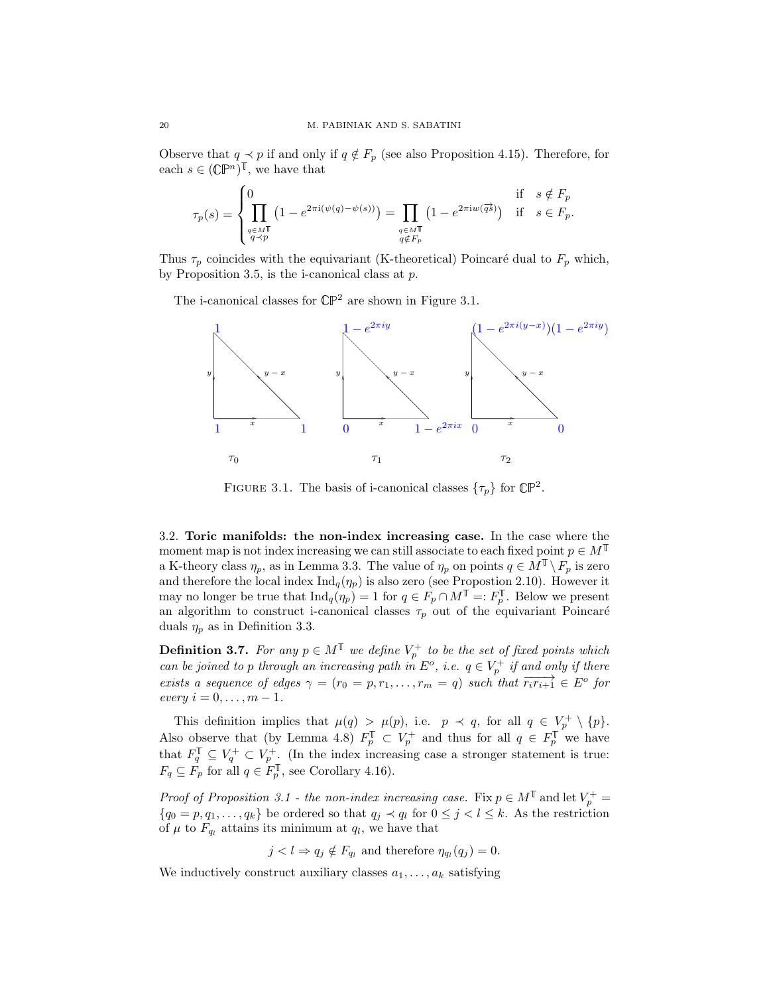Observe that  $q \prec p$  if and only if  $q \notin F_p$  (see also Proposition [4.15\)](#page-27-2). Therefore, for each  $s \in (\mathbb{C} \mathbb{P}^n)^{\mathbb{T}}$ , we have that

$$
\tau_p(s) = \begin{cases} 0 & \text{if } s \notin F_p \\ \prod_{\substack{q \in M^{\mathbb{T}} \\ q \prec p}} \left(1 - e^{2\pi i (\psi(q) - \psi(s))} \right) = \prod_{\substack{q \in M^{\mathbb{T}} \\ q \notin F_p}} \left(1 - e^{2\pi i w(\overrightarrow{qs})} \right) & \text{if } s \in F_p. \end{cases}
$$

Thus  $\tau_p$  coincides with the equivariant (K-theoretical) Poincaré dual to  $F_p$  which, by Proposition [3.5,](#page-16-0) is the i-canonical class at  $p$ .

The i-canonical classes for  $\mathbb{CP}^2$  are shown in Figure [3.1.](#page-19-2)



<span id="page-19-2"></span>FIGURE 3.1. The basis of i-canonical classes  $\{\tau_p\}$  for  $\mathbb{CP}^2$ .

<span id="page-19-1"></span>3.2. Toric manifolds: the non-index increasing case. In the case where the moment map is not index increasing we can still associate to each fixed point  $p \in M^{\mathbb{T}}$ a K-theory class  $\eta_p$ , as in Lemma [3.3.](#page-15-3) The value of  $\eta_p$  on points  $q \in M^{\mathbb{T}} \setminus F_p$  is zero and therefore the local index  $\text{Ind}_q(\eta_p)$  is also zero (see Propostion [2.10\)](#page-13-1). However it may no longer be true that  $\text{Ind}_q(\eta_p) = 1$  for  $q \in F_p \cap M^{\mathbb{T}} =: F_p^{\mathbb{T}}$ . Below we present an algorithm to construct i-canonical classes  $\tau_p$  out of the equivariant Poincaré duals  $\eta_p$  as in Definition [3.3.](#page-15-3)

<span id="page-19-0"></span>**Definition 3.7.** For any  $p \in M^{\mathbb{T}}$  we define  $V_p^+$  to be the set of fixed points which can be joined to p through an increasing path in  $E^o$ , i.e.  $q \in V_p^+$  if and only if there exists a sequence of edges  $\gamma = (r_0 = p, r_1, \ldots, r_m = q)$  such that  $\overrightarrow{r_ir_{i+1}} \in E^o$  for  $every \ i=0,\ldots,m-1.$ 

This definition implies that  $\mu(q) > \mu(p)$ , i.e.  $p \prec q$ , for all  $q \in V_p^+ \setminus \{p\}.$ Also observe that (by Lemma [4.8\)](#page-24-0)  $F_p^{\mathbb{T}} \subset V_p^+$  and thus for all  $q \in F_p^{\mathbb{T}}$  we have that  $F_q^{\mathbb{T}} \subseteq V_q^+ \subset V_p^+$ . (In the index increasing case a stronger statement is true:  $F_q \subseteq F_p$  for all  $q \in F_p^{\mathbb{I}}$ , see Corollary [4.16\)](#page-27-1).

*Proof of Proposition [3.1](#page-15-2) - the non-index increasing case.* Fix  $p \in M^{\mathbb{T}}$  and let  $V_p^+$  =  ${q_0 = p, q_1, \ldots, q_k}$  be ordered so that  $q_j \prec q_l$  for  $0 \leq j < l \leq k$ . As the restriction of  $\mu$  to  $F_{qi}$  attains its minimum at  $q_l$ , we have that

 $j < l \Rightarrow q_j \notin F_{q_l}$  and therefore  $\eta_{q_l}(q_j) = 0$ .

We inductively construct auxiliary classes  $a_1, \ldots, a_k$  satisfying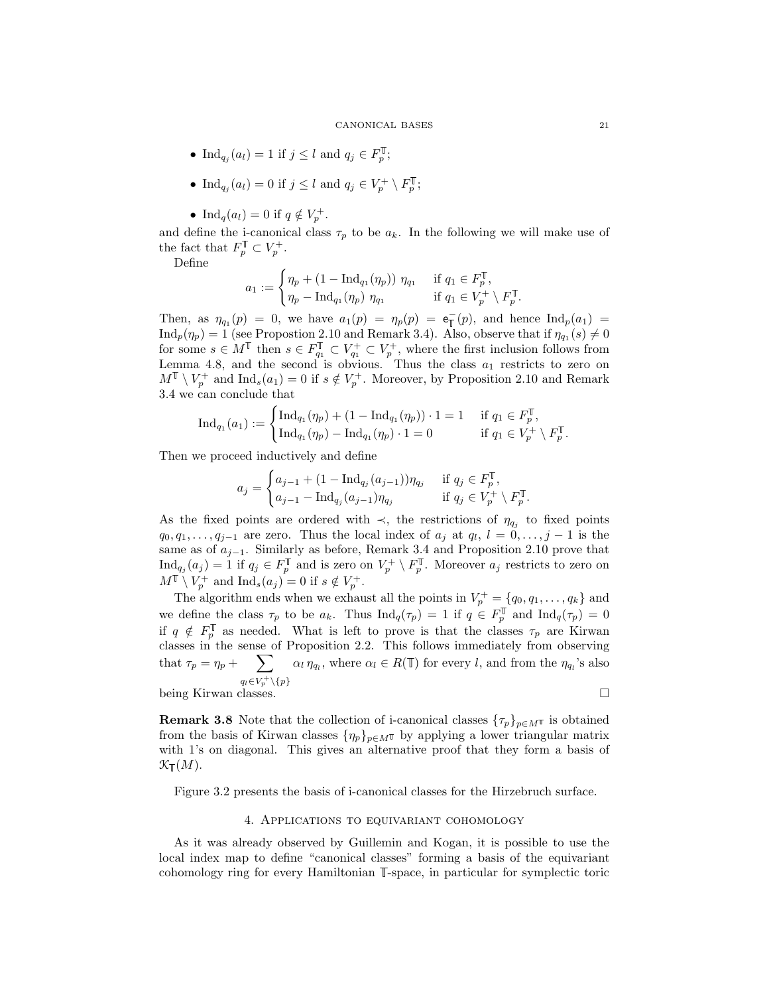- Ind<sub>qj</sub> $(a_l) = 1$  if  $j \leq l$  and  $q_j \in F_n^{\mathbb{T}}$ ;
- Ind<sub>q<sub>j</sub></sub> $(a_l) = 0$  if  $j \leq l$  and  $q_j \in V_p^+ \setminus F_p^{\mathbb{T}}$ ;
- Ind<sub>q</sub>( $a_l$ ) = 0 if  $q \notin V_p^+$ .

and define the i-canonical class  $\tau_p$  to be  $a_k$ . In the following we will make use of the fact that  $F_p^{\mathbb{T}} \subset V_p^+$ .

Define

$$
a_1 := \begin{cases} \eta_p + (1 - \operatorname{Ind}_{q_1}(\eta_p)) \; \eta_{q_1} & \text{if } q_1 \in F_p^{\mathbb{T}}, \\ \eta_p - \operatorname{Ind}_{q_1}(\eta_p) \; \eta_{q_1} & \text{if } q_1 \in V_p^+ \setminus F_p^{\mathbb{T}}. \end{cases}
$$

Then, as  $\eta_{q_1}(p) = 0$ , we have  $a_1(p) = \eta_p(p) = e_{\overline{p}}(p)$ , and hence  $\text{Ind}_p(a_1) =$  $\text{Ind}_p(\eta_p) = 1$  (see Propostion [2.10](#page-13-1) and Remark [3.4\)](#page-16-3). Also, observe that if  $\eta_{q_1}(s) \neq 0$ for some  $s \in M^{\mathbb{T}}$  then  $s \in F_{q_1}^{\mathbb{T}} \subset V_{q_1}^+ \subset V_p^+$ , where the first inclusion follows from Lemma [4.8,](#page-24-0) and the second is obvious. Thus the class  $a_1$  restricts to zero on  $M^{\mathbb{T}} \setminus V_p^+$  and  $\text{Ind}_s(a_1) = 0$  if  $s \notin V_p^+$ . Moreover, by Proposition [2.10](#page-13-1) and Remark [3.4](#page-16-3) we can conclude that

$$
\mathrm{Ind}_{q_1}(a_1) := \begin{cases} \mathrm{Ind}_{q_1}(\eta_p) + (1 - \mathrm{Ind}_{q_1}(\eta_p)) \cdot 1 = 1 & \text{if } q_1 \in F_p^{\mathbb{T}}, \\ \mathrm{Ind}_{q_1}(\eta_p) - \mathrm{Ind}_{q_1}(\eta_p) \cdot 1 = 0 & \text{if } q_1 \in V_p^+ \setminus F_p^{\mathbb{T}}. \end{cases}
$$

Then we proceed inductively and define

$$
a_j = \begin{cases} a_{j-1} + (1 - \text{Ind}_{q_j}(a_{j-1})) \eta_{q_j} & \text{if } q_j \in F_p^{\mathbb{T}}, \\ a_{j-1} - \text{Ind}_{q_j}(a_{j-1}) \eta_{q_j} & \text{if } q_j \in V_p^+ \setminus F_p^{\mathbb{T}}. \end{cases}
$$

As the fixed points are ordered with  $\prec$ , the restrictions of  $\eta_{q_j}$  to fixed points  $q_0, q_1, \ldots, q_{j-1}$  are zero. Thus the local index of  $a_j$  at  $q_l$ ,  $l = 0, \ldots, j-1$  is the same as of  $a_{j-1}$ . Similarly as before, Remark [3.4](#page-16-3) and Proposition [2.10](#page-13-1) prove that  $\text{Ind}_{q_j}(a_j) = 1$  if  $q_j \in F_p^{\mathbb{T}}$  and is zero on  $V_p^+ \setminus F_p^{\mathbb{T}}$ . Moreover  $a_j$  restricts to zero on  $M^{\mathbb{T}} \setminus V_p^+$  and  $\text{Ind}_s(a_j) = 0$  if  $s \notin V_p^+$ .

The algorithm ends when we exhaust all the points in  $V_p^+ = \{q_0, q_1, \ldots, q_k\}$  and we define the class  $\tau_p$  to be  $a_k$ . Thus  $\text{Ind}_q(\tau_p)=1$  if  $q \in F_p^{\mathbb{I}}$  and  $\text{Ind}_q(\tau_p)=0$ if  $q \notin F_p^{\mathbb{I}}$  as needed. What is left to prove is that the classes  $\tau_p$  are Kirwan classes in the sense of Proposition [2.2.](#page-5-1) This follows immediately from observing that  $\tau_p = \eta_p + \sum_{\alpha_l} \alpha_l \eta_{q_l}$ , where  $\alpha_l \in R(\mathbb{T})$  for every l, and from the  $\eta_{q_l}$ 's also  $q_l \in V_p^+ \setminus \{p\}$ being Kirwan classes.

**Remark 3.8** Note that the collection of i-canonical classes  $\{\tau_p\}_{p\in M}$  is obtained from the basis of Kirwan classes  $\{\eta_p\}_{p \in M}$ <sup> $\mathbb{T}$ </sup> by applying a lower triangular matrix with 1's on diagonal. This gives an alternative proof that they form a basis of  $\mathcal{K}_{\mathbb{T}}(M)$ .

<span id="page-20-0"></span>Figure [3.2](#page-21-0) presents the basis of i-canonical classes for the Hirzebruch surface.

# 4. Applications to equivariant cohomology

As it was already observed by Guillemin and Kogan, it is possible to use the local index map to define "canonical classes" forming a basis of the equivariant cohomology ring for every Hamiltonian  $\mathbb{T}\text{-space}$ , in particular for symplectic toric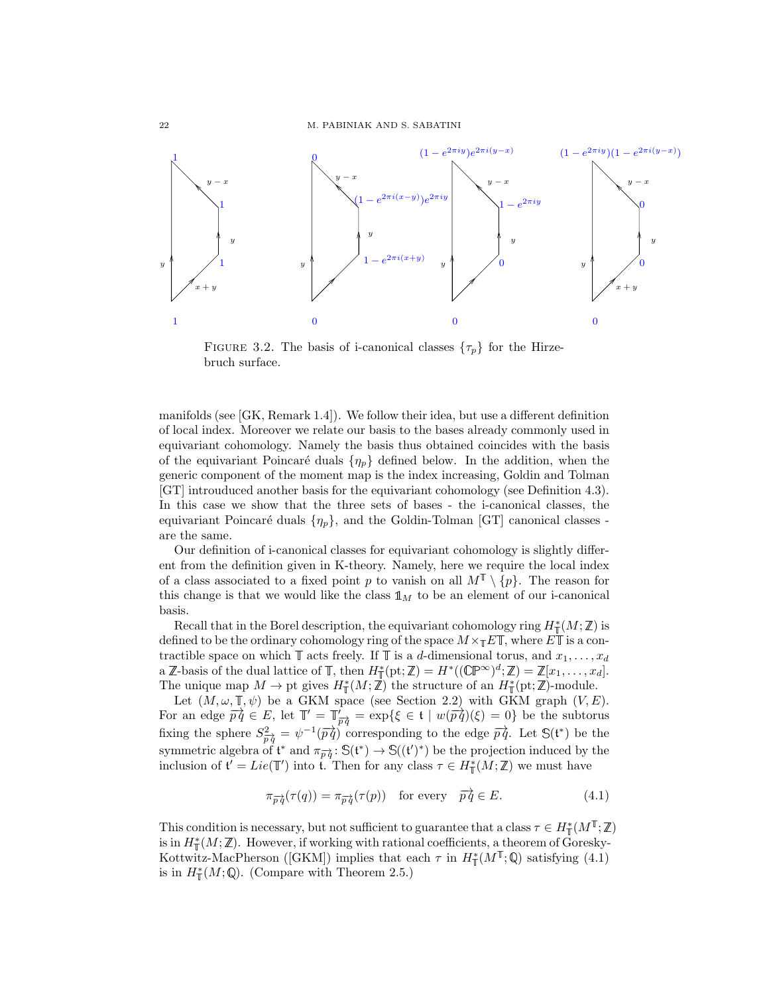

<span id="page-21-0"></span>FIGURE 3.2. The basis of i-canonical classes  $\{\tau_p\}$  for the Hirzebruch surface.

manifolds (see [\[GK,](#page-32-0) Remark 1.4]). We follow their idea, but use a different definition of local index. Moreover we relate our basis to the bases already commonly used in equivariant cohomology. Namely the basis thus obtained coincides with the basis of the equivariant Poincaré duals  $\{\eta_p\}$  defined below. In the addition, when the generic component of the moment map is the index increasing, Goldin and Tolman [\[GT\]](#page-32-1) introuduced another basis for the equivariant cohomology (see Definition [4.3\)](#page-23-1). In this case we show that the three sets of bases - the i-canonical classes, the equivariant Poincaré duals  $\{\eta_p\}$ , and the Goldin-Tolman [\[GT\]](#page-32-1) canonical classes are the same.

Our definition of i-canonical classes for equivariant cohomology is slightly different from the definition given in K-theory. Namely, here we require the local index of a class associated to a fixed point p to vanish on all  $M^{\mathbb{T}} \setminus \{p\}$ . The reason for this change is that we would like the class  $\mathbb{1}_M$  to be an element of our i-canonical basis.

Recall that in the Borel description, the equivariant cohomology ring  $H^*(M; \mathbb{Z})$  is defined to be the ordinary cohomology ring of the space  $M \times_{\mathbb{T}} E \mathbb{T}$ , where  $E \mathbb{T}$  is a contractible space on which  $\mathbb T$  acts freely. If  $\mathbb T$  is a d-dimensional torus, and  $x_1,\ldots,x_d$ a  $\mathbb{Z}$ -basis of the dual lattice of  $\mathbb{T}$ , then  $H^*_{\mathbb{T}}(\text{pt}; \mathbb{Z}) = H^*((\mathbb{CP}^{\infty})^d; \mathbb{Z}) = \mathbb{Z}[x_1, \ldots, x_d].$ The unique map  $M \to \text{pt}$  gives  $H^*_\mathbb{T}(M;\mathbb{Z})$  the structure of an  $H^*_\mathbb{T}(\text{pt};\mathbb{Z})$ -module.

Let  $(M, \omega, \mathbb{T}, \psi)$  be a GKM space (see Section [2.2\)](#page-7-0) with GKM graph  $(V, E)$ . For an edge  $\overrightarrow{pq} \in E$ , let  $\mathbb{T}' = \mathbb{T}'_{\overrightarrow{pq}} = \exp\{\xi \in \mathfrak{t} \mid w(\overrightarrow{pq})(\xi) = 0\}$  be the subtorus fixing the sphere  $S_{\vec{p}\vec{q}}^2 = \psi^{-1}(\vec{p}\vec{q})$  corresponding to the edge  $\vec{p}\vec{q}$ . Let  $\mathbb{S}(\mathfrak{t}^*)$  be the symmetric algebra of  $\mathfrak{t}^*$  and  $\pi_{\overrightarrow{pq}} : \mathbb{S}(\mathfrak{t}^*) \to \mathbb{S}((\mathfrak{t}')^*)$  be the projection induced by the inclusion of  $\mathfrak{t}' = Lie(\mathbb{T}')$  into  $\mathfrak{t}$ . Then for any class  $\tau \in H^*_{\mathbb{T}}(M;\mathbb{Z})$  we must have

<span id="page-21-1"></span>
$$
\pi_{\overrightarrow{p}\overrightarrow{q}}(\tau(q)) = \pi_{\overrightarrow{p}\overrightarrow{q}}(\tau(p)) \quad \text{for every} \quad \overrightarrow{p}\overrightarrow{q} \in E. \tag{4.1}
$$

This condition is necessary, but not sufficient to guarantee that a class  $\tau \in H^*_\mathbb{T}(M^\mathbb{T};\mathbb{Z})$ is in  $H^*_\mathbb{T}(M;\mathbb{Z})$ . However, if working with rational coefficients, a theorem of Goresky-Kottwitz-MacPherson ([\[GKM\]](#page-32-9)) implies that each  $\tau$  in  $H^*_\mathbb{T}(M^\mathbb{T};\mathbb{Q})$  satisfying [\(4.1\)](#page-21-1) is in  $H^*_{\mathbb{T}}(M; \mathbb{Q})$ . (Compare with Theorem [2.5.](#page-8-2))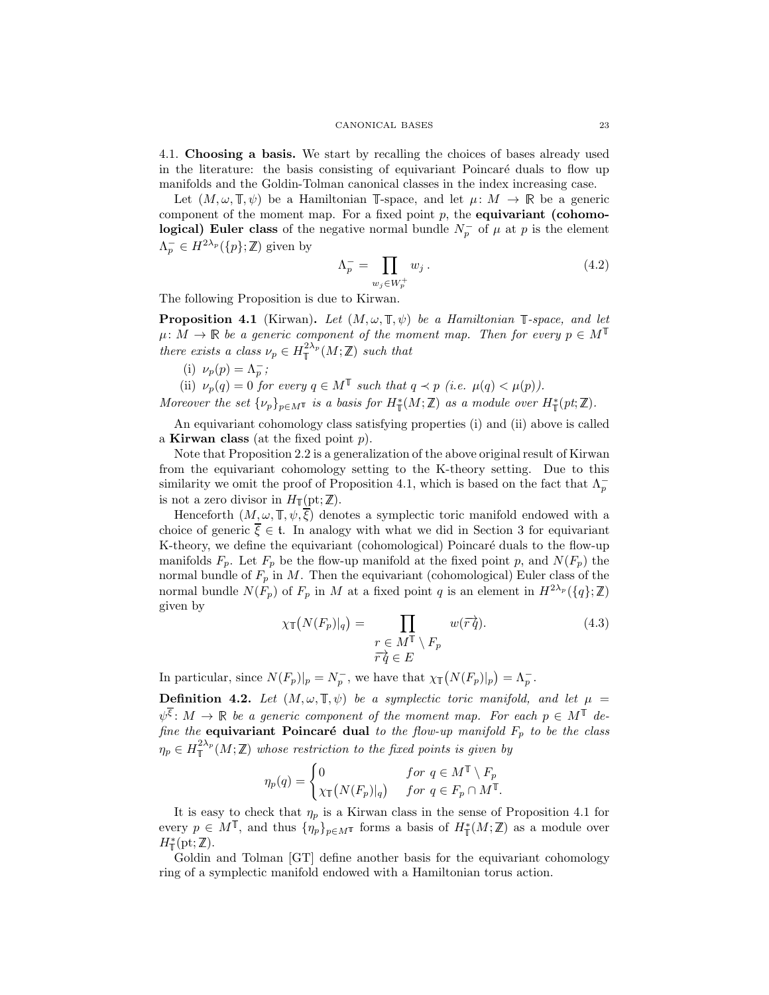4.1. Choosing a basis. We start by recalling the choices of bases already used in the literature: the basis consisting of equivariant Poincaré duals to flow up manifolds and the Goldin-Tolman canonical classes in the index increasing case.

Let  $(M, \omega, \mathbb{T}, \psi)$  be a Hamiltonian T-space, and let  $\mu \colon M \to \mathbb{R}$  be a generic component of the moment map. For a fixed point  $p$ , the **equivariant (cohomo**logical) Euler class of the negative normal bundle  $N_p^-$  of  $\mu$  at p is the element  $\Lambda_p^- \in H^{2\lambda_p}(\lbrace p \rbrace;\mathbb{Z})$  given by

$$
\Lambda_p^- = \prod_{w_j \in W_p^+} w_j \,. \tag{4.2}
$$

The following Proposition is due to Kirwan.

<span id="page-22-0"></span>**Proposition 4.1** (Kirwan). Let  $(M, \omega, \mathbb{T}, \psi)$  be a Hamiltonian  $\mathbb{T}$ -space, and let  $\mu: M \to \mathbb{R}$  be a generic component of the moment map. Then for every  $p \in M^{\mathbb{T}}$ there exists a class  $\nu_p \in H_{\mathbb{T}}^{2\lambda_p}(M;\mathbb{Z})$  such that

(i)  $\nu_p(p) = \Lambda_p^-;$ 

(ii)  $\nu_p(q) = 0$  for every  $q \in M^{\mathbb{T}}$  such that  $q \prec p$  (i.e.  $\mu(q) < \mu(p)$ ).

Moreover the set  $\{\nu_p\}_{p \in M^{\mathbb{T}}}$  is a basis for  $H^*_{\mathbb{T}}(M; \mathbb{Z})$  as a module over  $H^*_{\mathbb{T}}(pt; \mathbb{Z})$ .

An equivariant cohomology class satisfying properties (i) and (ii) above is called a **Kirwan class** (at the fixed point  $p$ ).

Note that Proposition [2.2](#page-5-1) is a generalization of the above original result of Kirwan from the equivariant cohomology setting to the K-theory setting. Due to this similarity we omit the proof of Proposition [4.1,](#page-22-0) which is based on the fact that  $\Lambda_p^$ is not a zero divisor in  $H_{\mathbb{I}}(\text{pt};\mathbb{Z}).$ 

Henceforth  $(M, \omega, \mathbb{T}, \psi, \overline{\xi})$  denotes a symplectic toric manifold endowed with a choice of generic  $\overline{\xi} \in \mathfrak{t}$ . In analogy with what we did in Section [3](#page-15-0) for equivariant K-theory, we define the equivariant (cohomological) Poincaré duals to the flow-up manifolds  $F_p$ . Let  $F_p$  be the flow-up manifold at the fixed point p, and  $N(F_p)$  the normal bundle of  $F_p$  in M. Then the equivariant (cohomological) Euler class of the normal bundle  $N(F_p)$  of  $F_p$  in M at a fixed point q is an element in  $H^{2\lambda_p}(\lbrace q \rbrace;\mathbb{Z})$ given by

$$
\chi_{\mathbb{T}}(N(F_p)|_q) = \prod_{\substack{r \in M^{\mathbb{T}} \setminus F_p \\ \overrightarrow{r} \overrightarrow{q} \in E}} w(\overrightarrow{r} \overrightarrow{q}). \tag{4.3}
$$

In particular, since  $N(F_p)|_p = N_p^-$ , we have that  $\chi_{\mathbb{T}}(N(F_p)|_p) = \Lambda_p^-$ .

<span id="page-22-1"></span>**Definition 4.2.** Let  $(M, \omega, \mathbb{T}, \psi)$  be a symplectic toric manifold, and let  $\mu$  =  $\psi^{\overline{\xi}}\colon M\to\mathbb{R}$  be a generic component of the moment map. For each  $p\in M^{\mathbb{T}}$  define the equivariant Poincaré dual to the flow-up manifold  $F_p$  to be the class  $\eta_p \in H_{\mathbb{T}}^{2\lambda_p}(M;\mathbb{Z})$  whose restriction to the fixed points is given by

$$
\eta_p(q) = \begin{cases} 0 & \text{for } q \in M^{\mathbb{T}} \setminus F_p \\ \chi_{\mathbb{T}}\big(N(F_p)|_q\big) & \text{for } q \in F_p \cap M^{\mathbb{T}}. \end{cases}
$$

It is easy to check that  $\eta_p$  is a Kirwan class in the sense of Proposition [4.1](#page-22-0) for every  $p \in M^{\mathbb{T}}$ , and thus  $\{\hat{\eta}_p\}_{p \in M^{\mathbb{T}}}$  forms a basis of  $H^*_{\mathbb{T}}(M;\mathbb{Z})$  as a module over  $H^*_{\mathbb{T}}(\text{pt};\mathbb{Z}).$ 

Goldin and Tolman [\[GT\]](#page-32-1) define another basis for the equivariant cohomology ring of a symplectic manifold endowed with a Hamiltonian torus action.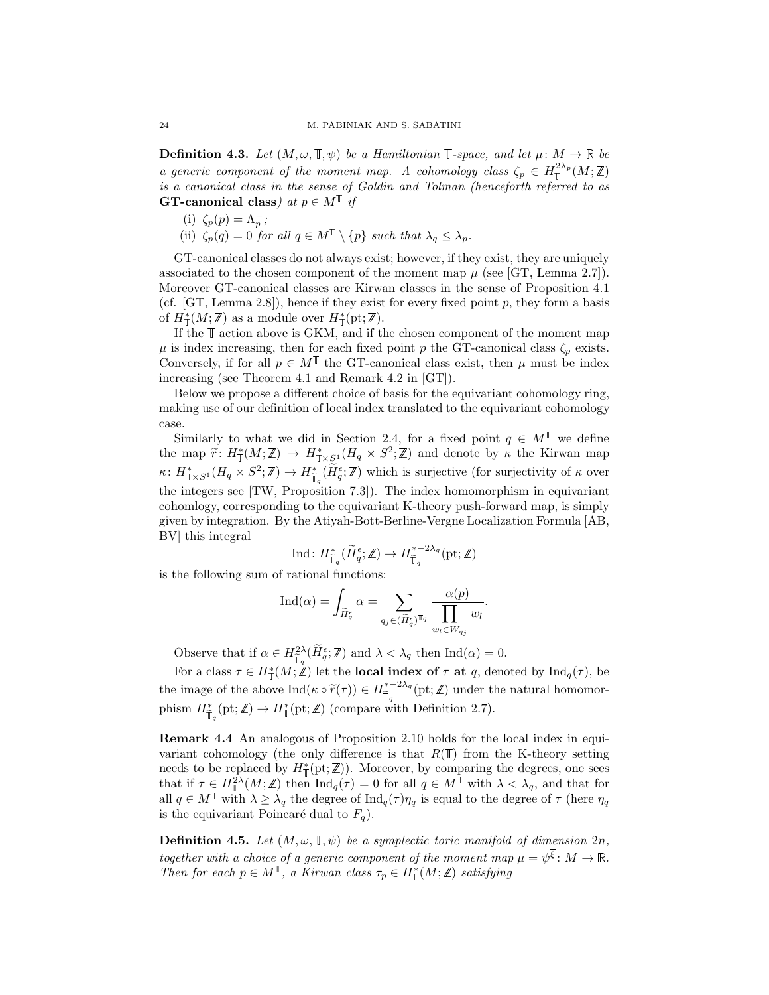<span id="page-23-1"></span>**Definition 4.3.** Let  $(M, \omega, \mathbb{T}, \psi)$  be a Hamiltonian  $\mathbb{T}$ -space, and let  $\mu \colon M \to \mathbb{R}$  be a generic component of the moment map. A cohomology class  $\zeta_p \in H^{\frac{2\lambda_p}{\lambda}}_+(M;\mathbb{Z})$ is a canonical class in the sense of Goldin and Tolman (henceforth referred to as **GT-canonical class**) at  $p \in M^{\mathbb{T}}$  if

- (i)  $\zeta_p(p) = \Lambda_p^-;$
- (ii)  $\zeta_p(q) = 0$  for all  $q \in M^{\mathbb{T}} \setminus \{p\}$  such that  $\lambda_q \leq \lambda_p$ .

GT-canonical classes do not always exist; however, if they exist, they are uniquely associated to the chosen component of the moment map  $\mu$  (see [\[GT,](#page-32-1) Lemma 2.7]). Moreover GT-canonical classes are Kirwan classes in the sense of Proposition [4.1](#page-22-0) (cf. [\[GT,](#page-32-1) Lemma 2.8]), hence if they exist for every fixed point  $p$ , they form a basis of  $H^*_{\mathbb{T}}(M;\mathbb{Z})$  as a module over  $H^*_{\mathbb{T}}(\text{pt};\mathbb{Z})$ .

If the  $\mathbb T$  action above is GKM, and if the chosen component of the moment map  $\mu$  is index increasing, then for each fixed point p the GT-canonical class  $\zeta_p$  exists. Conversely, if for all  $p \in M^{\mathbb{T}}$  the GT-canonical class exist, then  $\mu$  must be index increasing (see Theorem 4.1 and Remark 4.2 in [\[GT\]](#page-32-1)).

Below we propose a different choice of basis for the equivariant cohomology ring, making use of our definition of local index translated to the equivariant cohomology case.

Similarly to what we did in Section [2.4,](#page-8-0) for a fixed point  $q \in M^{\mathbb{T}}$  we define the map  $\widetilde{r}: H^*_\mathbb{T}(M;\mathbb{Z}) \to H^*_{\mathbb{T} \times \mathbb{S}^1}(H_q \times S^2;\mathbb{Z})$  and denote by  $\kappa$  the Kirwan map  $\kappa: H^*_{\mathbb{T} \times S^1}(H_q \times S^2; \mathbb{Z}) \to H^*_{\mathbb{T}_q}(\widetilde{H}_q^{\epsilon}; \mathbb{Z})$  which is surjective (for surjectivity of  $\kappa$  over the integers see [\[TW,](#page-32-14) Proposition 7.3]). The index homomorphism in equivariant cohomlogy, corresponding to the equivariant K-theory push-forward map, is simply given by integration. By the Atiyah-Bott-Berline-Vergne Localization Formula [\[AB,](#page-32-15) [BV\]](#page-32-16) this integral

$$
\mathrm{Ind}\colon H^*_{\widetilde{\mathbb{T}}_q}(\widetilde{H}^{\epsilon}_q;{\mathbb{Z}})\to H^{*-2\lambda_q}_{\widetilde{\mathbb{T}}_q}(\mathrm{pt};{\mathbb{Z}})
$$

is the following sum of rational functions:

$$
\mathrm{Ind}(\alpha)=\int_{\widetilde{H}^{\epsilon}_{q}}\alpha=\sum_{q_{j}\in (\widetilde{H}^{\epsilon}_{q})^{\mathbb{T}_{q}}}\frac{\alpha(p)}{\displaystyle\prod_{w_{l}\in W_{q_{j}}}}w_{l}.
$$

Observe that if  $\alpha \in H_{\overline{\mathbb{T}}_q}^{2\lambda}(\overline{H}_q^{\epsilon}; \mathbb{Z})$  and  $\lambda < \lambda_q$  then  $\text{Ind}(\alpha) = 0$ .

For a class  $\tau \in H^*_{\mathbb{T}}(M;\mathbb{Z})$  let the **local index of**  $\tau$  at q, denoted by  $\text{Ind}_q(\tau)$ , be the image of the above  $\text{Ind}(\kappa \circ \tilde{r}(\tau)) \in H^{*-2\lambda_q}_{\tilde{\mathbb{T}}_q}(\text{pt};\mathbb{Z})$  under the natural homomorphism  $H^*_{\overline{\mathbb{F}}_q}(\text{pt}; \mathbb{Z}) \to H^*_{\mathbb{T}}(\text{pt}; \mathbb{Z})$  (compare with Definition [2.7\)](#page-12-0).

<span id="page-23-2"></span>Remark 4.4 An analogous of Proposition [2.10](#page-13-1) holds for the local index in equivariant cohomology (the only difference is that  $R(\mathbb{T})$  from the K-theory setting needs to be replaced by  $H^*_{\mathbb{T}}(\text{pt}; \mathbb{Z})$ . Moreover, by comparing the degrees, one sees that if  $\tau \in H^2_{\mathbb{T}}(M;\mathbb{Z})$  then  $\text{Ind}_q(\tau) = 0$  for all  $q \in M^{\mathbb{T}}$  with  $\lambda < \lambda_q$ , and that for all  $q \in M^{\mathbb{T}}$  with  $\lambda \geq \lambda_q$  the degree of  $\text{Ind}_q(\tau) \eta_q$  is equal to the degree of  $\tau$  (here  $\eta_q$ is the equivariant Poincaré dual to  $F_q$ ).

<span id="page-23-0"></span>**Definition 4.5.** Let  $(M, \omega, \mathbb{T}, \psi)$  be a symplectic toric manifold of dimension  $2n$ , together with a choice of a generic component of the moment map  $\mu = \psi^{\overline{\xi}} \colon M \to \mathbb{R}$ . Then for each  $p \in M^{\mathbb{T}}$ , a Kirwan class  $\tau_p \in H^*_{\mathbb{T}}(M;\mathbb{Z})$  satisfying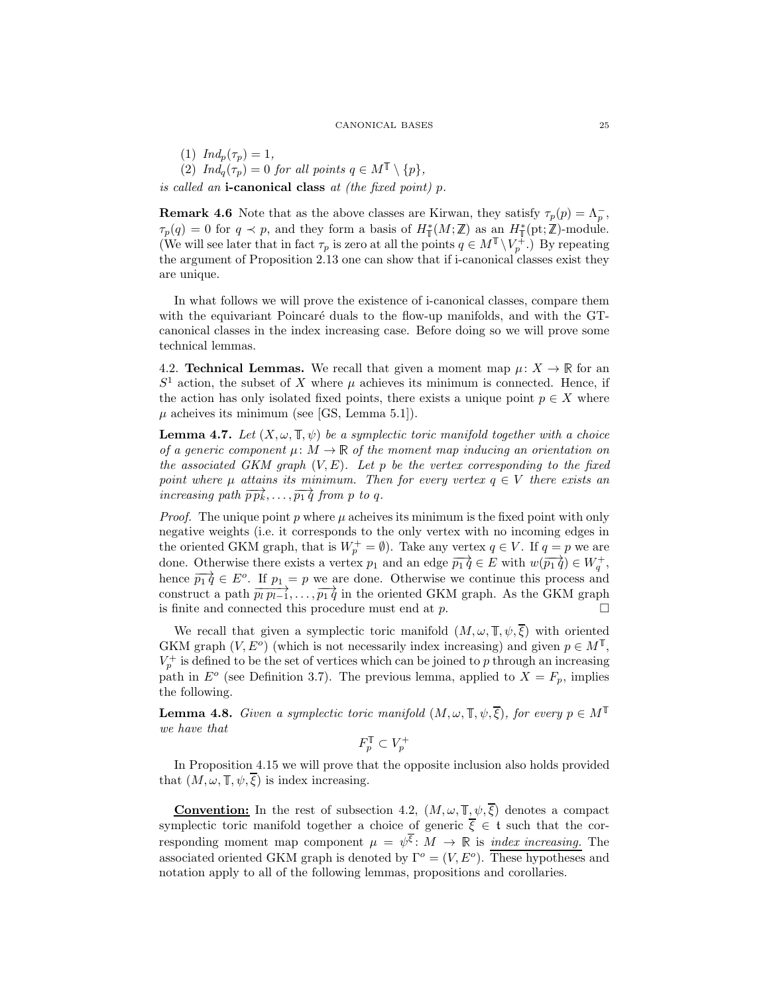(1)  $Ind_p(\tau_p)=1,$ (2)  $Ind_q(\tau_p)=0$  for all points  $q \in M^{\mathbb{T}} \setminus \{p\},\$ is called an **i-canonical class** at (the fixed point)  $p$ .

**Remark 4.6** Note that as the above classes are Kirwan, they satisfy  $\tau_p(p) = \Lambda_p^-$ ,  $\tau_p(q) = 0$  for  $q \prec p$ , and they form a basis of  $H^*_{\mathbb{I}}(M;\mathbb{Z})$  as an  $H^*_{\mathbb{I}}(\text{pt};\mathbb{Z})$ -module. (We will see later that in fact  $\tau_p$  is zero at all the points  $q \in M^{\mathbb{T}} \setminus V_p^+$ .) By repeating the argument of Proposition [2.13](#page-14-1) one can show that if i-canonical classes exist they are unique.

In what follows we will prove the existence of i-canonical classes, compare them with the equivariant Poincaré duals to the flow-up manifolds, and with the GTcanonical classes in the index increasing case. Before doing so we will prove some technical lemmas.

<span id="page-24-1"></span>4.2. **Technical Lemmas.** We recall that given a moment map  $\mu: X \to \mathbb{R}$  for an  $S<sup>1</sup>$  action, the subset of X where  $\mu$  achieves its minimum is connected. Hence, if the action has only isolated fixed points, there exists a unique point  $p \in X$  where  $\mu$  acheives its minimum (see [\[GS,](#page-32-17) Lemma 5.1]).

<span id="page-24-2"></span>**Lemma 4.7.** Let  $(X, \omega, \mathbb{T}, \psi)$  be a symplectic toric manifold together with a choice of a generic component  $\mu: M \to \mathbb{R}$  of the moment map inducing an orientation on the associated GKM graph  $(V, E)$ . Let p be the vertex corresponding to the fixed point where  $\mu$  attains its minimum. Then for every vertex  $q \in V$  there exists an increasing path  $\overrightarrow{pp_k}, \ldots, \overrightarrow{p_1 q}$  from p to q.

*Proof.* The unique point p where  $\mu$  acheives its minimum is the fixed point with only negative weights (i.e. it corresponds to the only vertex with no incoming edges in the oriented GKM graph, that is  $W_p^+ = \emptyset$ ). Take any vertex  $q \in V$ . If  $q = p$  we are done. Otherwise there exists a vertex  $p_1$  and an edge  $\overrightarrow{p_1 q} \in E$  with  $w(\overrightarrow{p_1 q}) \in W_q^+$ , hence  $\overrightarrow{p_1 q} \in E^o$ . If  $p_1 = p$  we are done. Otherwise we continue this process and construct a path  $\overrightarrow{p_l p_{l-1}}, \ldots, \overrightarrow{p_1 q}$  in the oriented GKM graph. As the GKM graph is finite and connected this procedure must end at  $p$ .  $\Box$ 

We recall that given a symplectic toric manifold  $(M, \omega, \mathbb{T}, \psi, \overline{\xi})$  with oriented GKM graph  $(V, E^o)$  (which is not necessarily index increasing) and given  $p \in M^{\mathbb{T}}$ ,  $V_p^+$  is defined to be the set of vertices which can be joined to p through an increasing path in  $E^o$  (see Definition [3.7\)](#page-19-0). The previous lemma, applied to  $X = F_p$ , implies the following.

<span id="page-24-0"></span>**Lemma 4.8.** Given a symplectic toric manifold  $(M, \omega, \mathbb{T}, \psi, \overline{\xi})$ , for every  $p \in M^{\mathbb{T}}$ we have that

$$
F_p^{\mathbb{T}} \subset V_p^+
$$

In Proposition [4.15](#page-27-2) we will prove that the opposite inclusion also holds provided that  $(M, \omega, \mathbb{T}, \psi, \overline{\xi})$  is index increasing.

**Convention:** In the rest of subsection [4.2,](#page-24-1)  $(M, \omega, \mathbb{T}, \psi, \overline{\xi})$  denotes a compact symplectic toric manifold together a choice of generic  $\overline{\xi} \in \mathfrak{t}$  such that the corresponding moment map component  $\mu = \psi^{\overline{\xi}}$ :  $M \to \mathbb{R}$  is *index increasing*. The associated oriented GKM graph is denoted by  $\Gamma^o = (V, E^o)$ . These hypotheses and notation apply to all of the following lemmas, propositions and corollaries.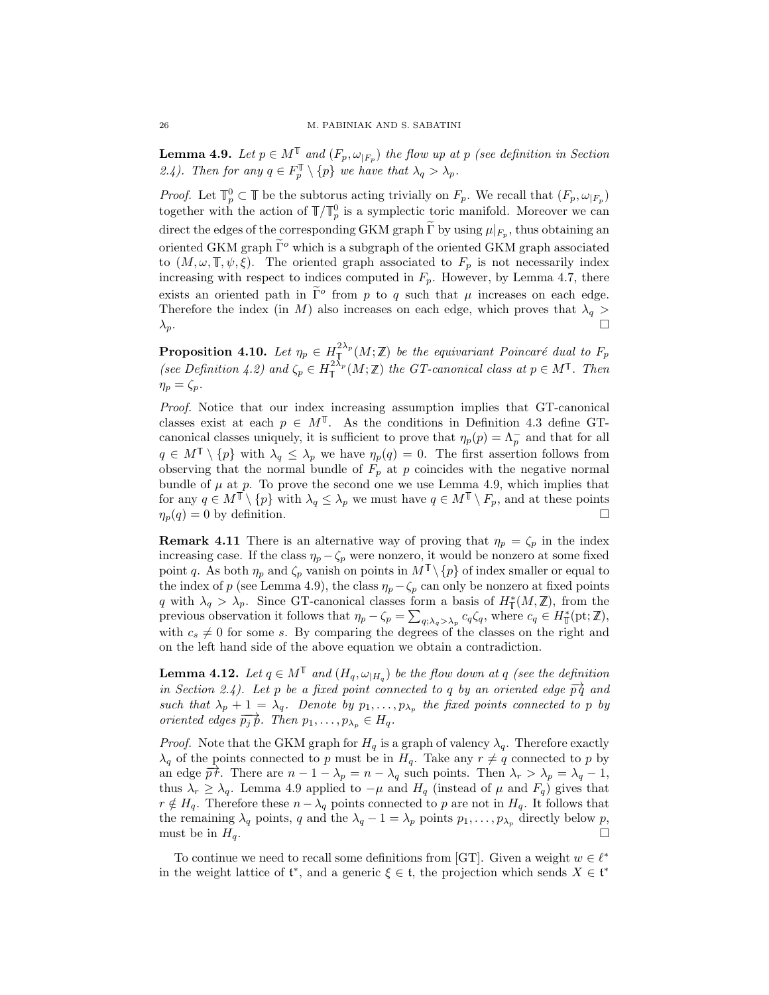<span id="page-25-1"></span>**Lemma 4.9.** Let  $p \in M^{\mathbb{T}}$  and  $(F_p, \omega_{|F_p})$  the flow up at p (see definition in Section [2.4\)](#page-8-0). Then for any  $q \in F_p^{\mathbb{T}} \setminus \{p\}$  we have that  $\lambda_q > \lambda_p$ .

*Proof.* Let  $\mathbb{T}_p^0 \subset \mathbb{T}$  be the subtorus acting trivially on  $F_p$ . We recall that  $(F_p, \omega_{|F_p})$ together with the action of  $\mathbb{T}/\mathbb{T}_p^0$  is a symplectic toric manifold. Moreover we can direct the edges of the corresponding GKM graph  $\tilde{\Gamma}$  by using  $\mu|_{F_p}$ , thus obtaining an oriented GKM graph  $\tilde{\Gamma}^o$  which is a subgraph of the oriented GKM graph associated to  $(M, \omega, \mathbb{T}, \psi, \xi)$ . The oriented graph associated to  $F_p$  is not necessarily index increasing with respect to indices computed in  $F_p$ . However, by Lemma [4.7,](#page-24-2) there exists an oriented path in  $\tilde{\Gamma}^o$  from p to q such that  $\mu$  increases on each edge. Therefore the index (in M) also increases on each edge, which proves that  $\lambda_q > \lambda_n$ .  $\lambda_p$ .

<span id="page-25-0"></span>**Proposition 4.10.** Let  $\eta_p \in H^{\frac{2\lambda_p}{2}}(M;\mathbb{Z})$  be the equivariant Poincaré dual to  $F_p$ (see Definition [4.2\)](#page-22-1) and  $\zeta_p \in H_{\mathbb{T}}^{2\lambda_p}(M;\mathbb{Z})$  the GT-canonical class at  $p \in M^{\mathbb{T}}$ . Then  $\eta_p = \zeta_p$ 

Proof. Notice that our index increasing assumption implies that GT-canonical classes exist at each  $p \in M^{\mathbb{T}}$ . As the conditions in Definition [4.3](#page-23-1) define GTcanonical classes uniquely, it is sufficient to prove that  $\eta_p(p) = \Lambda_p^-$  and that for all  $q \in M^{\mathbb{T}} \setminus \{p\}$  with  $\lambda_q \leq \lambda_p$  we have  $\eta_p(q) = 0$ . The first assertion follows from observing that the normal bundle of  $F_p$  at p coincides with the negative normal bundle of  $\mu$  at p. To prove the second one we use Lemma [4.9,](#page-25-1) which implies that for any  $q \in M^{\mathbb{T}} \setminus \{p\}$  with  $\lambda_q \leq \lambda_p$  we must have  $q \in M^{\mathbb{T}} \setminus F_p$ , and at these points  $\eta_p(q) = 0$  by definition.

**Remark 4.11** There is an alternative way of proving that  $\eta_p = \zeta_p$  in the index increasing case. If the class  $\eta_p - \zeta_p$  were nonzero, it would be nonzero at some fixed point q. As both  $\eta_p$  and  $\zeta_p$  vanish on points in  $M^{\mathbb{T}} \setminus \{p\}$  of index smaller or equal to the index of p (see Lemma [4.9\)](#page-25-1), the class  $\eta_p - \zeta_p$  can only be nonzero at fixed points q with  $\lambda_q > \lambda_p$ . Since GT-canonical classes form a basis of  $H^*_\mathbb{T}(M,\mathbb{Z})$ , from the previous observation it follows that  $\eta_p - \zeta_p = \sum_{q; \lambda_q > \lambda_p} c_q \zeta_q$ , where  $c_q \in H^*_{\mathbb{I}}(\text{pt}; \mathbb{Z})$ , with  $c_s \neq 0$  for some s. By comparing the degrees of the classes on the right and on the left hand side of the above equation we obtain a contradiction.

**Lemma 4.12.** Let  $q \in M^{\mathbb{T}}$  and  $(H_q, \omega_{|H_q})$  be the flow down at q (see the definition in Section [2.4\)](#page-8-0). Let p be a fixed point connected to q by an oriented edge  $\overrightarrow{pq}$  and such that  $\lambda_p + 1 = \lambda_q$ . Denote by  $p_1, \ldots, p_{\lambda_p}$  the fixed points connected to p by oriented edges  $\overrightarrow{p_j p}$ . Then  $p_1,\ldots,p_{\lambda_p} \in H_q$ .

*Proof.* Note that the GKM graph for  $H_q$  is a graph of valency  $\lambda_q$ . Therefore exactly  $\lambda_q$  of the points connected to p must be in  $H_q$ . Take any  $r \neq q$  connected to p by an edge  $\overrightarrow{pr}$ . There are  $n-1-\lambda_p = n-\lambda_q$  such points. Then  $\lambda_r > \lambda_p = \lambda_q - 1$ , thus  $\lambda_r \geq \lambda_q$ . Lemma [4.9](#page-25-1) applied to  $-\mu$  and  $H_q$  (instead of  $\mu$  and  $F_q$ ) gives that  $r \notin H_q$ . Therefore these  $n - \lambda_q$  points connected to p are not in  $H_q$ . It follows that the remaining  $\lambda_q$  points, q and the  $\lambda_q - 1 = \lambda_p$  points  $p_1, \ldots, p_{\lambda_p}$  directly below p, must be in  $H_q$ .

To continue we need to recall some definitions from [\[GT\]](#page-32-1). Given a weight  $w \in \ell^*$ in the weight lattice of  $\mathfrak{t}^*$ , and a generic  $\xi \in \mathfrak{t}$ , the projection which sends  $X \in \mathfrak{t}^*$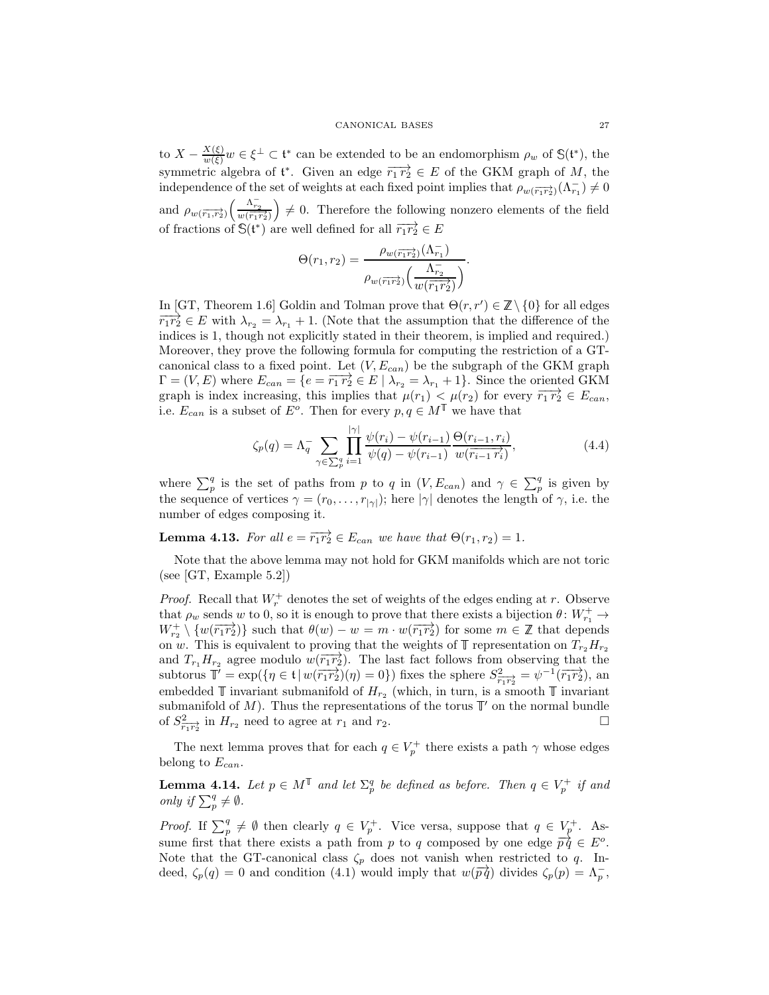to  $X - \frac{X(\xi)}{w(\xi)}w \in \xi^{\perp} \subset \mathfrak{t}^*$  can be extended to be an endomorphism  $\rho_w$  of  $\mathbb{S}(\mathfrak{t}^*)$ , the symmetric algebra of  $\mathfrak{t}^*$ . Given an edge  $\overrightarrow{r_1 r_2} \in E$  of the GKM graph of M, the independence of the set of weights at each fixed point implies that  $\rho_{w(\overrightarrow{r_1r_2})}(\Lambda_{r_1}^-) \neq 0$ and  $\rho_{w(\overrightarrow{r_1},\overrightarrow{r_2})}\left(\frac{\Lambda_{r_2}^-}{w(\overrightarrow{r_1}\overrightarrow{r_2})}\right)$  $\Big) \neq 0$ . Therefore the following nonzero elements of the field of fractions of  $\mathbb{S}(\mathfrak{t}^*)$  are well defined for all  $\overrightarrow{r_1r_2} \in E$ 

$$
\Theta(r_1, r_2) = \frac{\rho_w(\overline{r_1 r_2})(\Lambda_{r_1}^{-})}{\rho_w(\overline{r_1 r_2})\left(\frac{\Lambda_{r_2}^{-}}{w(\overline{r_1 r_2})}\right)}.
$$

In [\[GT,](#page-32-1) Theorem 1.6] Goldin and Tolman prove that  $\Theta(r, r') \in \mathbb{Z} \setminus \{0\}$  for all edges  $\overline{r_1r_2} \in E$  with  $\lambda_{r_2} = \lambda_{r_1} + 1$ . (Note that the assumption that the difference of the indices is 1, though not explicitly stated in their theorem, is implied and required.) Moreover, they prove the following formula for computing the restriction of a GTcanonical class to a fixed point. Let  $(V, E_{can})$  be the subgraph of the GKM graph  $\Gamma = (V, E)$  where  $E_{can} = \{e = \overrightarrow{r_1 r_2} \in E \mid \lambda_{r_2} = \lambda_{r_1} + 1\}$ . Since the oriented GKM graph is index increasing, this implies that  $\mu(r_1) < \mu(r_2)$  for every  $\overrightarrow{r_1 r_2} \in E_{can}$ , i.e.  $E_{can}$  is a subset of  $E^o$ . Then for every  $p, q \in M^{\mathbb{T}}$  we have that

<span id="page-26-0"></span>
$$
\zeta_p(q) = \Lambda_q^- \sum_{\gamma \in \sum_{j}^{q}} \prod_{i=1}^{|\gamma|} \frac{\psi(r_i) - \psi(r_{i-1})}{\psi(q) - \psi(r_{i-1})} \frac{\Theta(r_{i-1}, r_i)}{w(\overline{r_{i-1} r_i})},
$$
(4.4)

where  $\sum_{p=1}^{q}$  is the set of paths from p to q in  $(V, E_{can})$  and  $\gamma \in \sum_{p=1}^{q}$  is given by the sequence of vertices  $\gamma = (r_0, \ldots, r_{|\gamma|})$ ; here  $|\gamma|$  denotes the length of  $\gamma$ , i.e. the number of edges composing it.

<span id="page-26-2"></span>**Lemma 4.13.** For all  $e = \overrightarrow{r_1r_2} \in E_{can}$  we have that  $\Theta(r_1, r_2) = 1$ .

Note that the above lemma may not hold for GKM manifolds which are not toric (see [\[GT,](#page-32-1) Example 5.2])

*Proof.* Recall that  $W_r^+$  denotes the set of weights of the edges ending at r. Observe that  $\rho_w$  sends w to 0, so it is enough to prove that there exists a bijection  $\theta \colon W^+_{r_1} \to$  $W_{r_2}^+ \setminus \{w(\overrightarrow{r_1r_2})\}$  such that  $\theta(w) - w = m \cdot w(\overrightarrow{r_1r_2})$  for some  $m \in \mathbb{Z}$  that depends on w. This is equivalent to proving that the weights of  $\mathbb T$  representation on  $T_{r_2}H_{r_2}$ and  $T_{r_1}H_{r_2}$  agree modulo  $w(\overrightarrow{r_1r_2})$ . The last fact follows from observing that the subtorus  $\mathbb{T}' = \exp(\{\eta \in \mathfrak{t} \mid w(\overrightarrow{r_1r_2})(\eta) = 0\})$  fixes the sphere  $S^2_{\overrightarrow{r_1r_2}} = \psi^{-1}(\overrightarrow{r_1r_2})$ , and embedded  $\mathbb T$  invariant submanifold of  $H_{r_2}$  (which, in turn, is a smooth  $\mathbb T$  invariant submanifold of  $M$ ). Thus the representations of the torus  $\mathbb{T}'$  on the normal bundle of  $S^2_{\overline{r_1r_2}}$  in  $H_{r_2}$  need to agree at  $r_1$  and  $r_2$ .

The next lemma proves that for each  $q \in V_p^+$  there exists a path  $\gamma$  whose edges belong to  $E_{can}$ .

<span id="page-26-1"></span>**Lemma 4.14.** Let  $p \in M^{\mathbb{T}}$  and let  $\Sigma_p^q$  be defined as before. Then  $q \in V_p^+$  if and only if  $\sum_{p}^{q} \neq \emptyset$ .

*Proof.* If  $\sum_{p}^{q} \neq \emptyset$  then clearly  $q \in V_p^+$ . Vice versa, suppose that  $q \in V_p^+$ . Assume first that there exists a path from p to q composed by one edge  $\overrightarrow{pq} \in E^o$ . Note that the GT-canonical class  $\zeta_p$  does not vanish when restricted to q. Indeed,  $\zeta_p(q) = 0$  and condition [\(4.1\)](#page-21-1) would imply that  $w(\overrightarrow{pq})$  divides  $\zeta_p(p) = \Lambda_p^-$ ,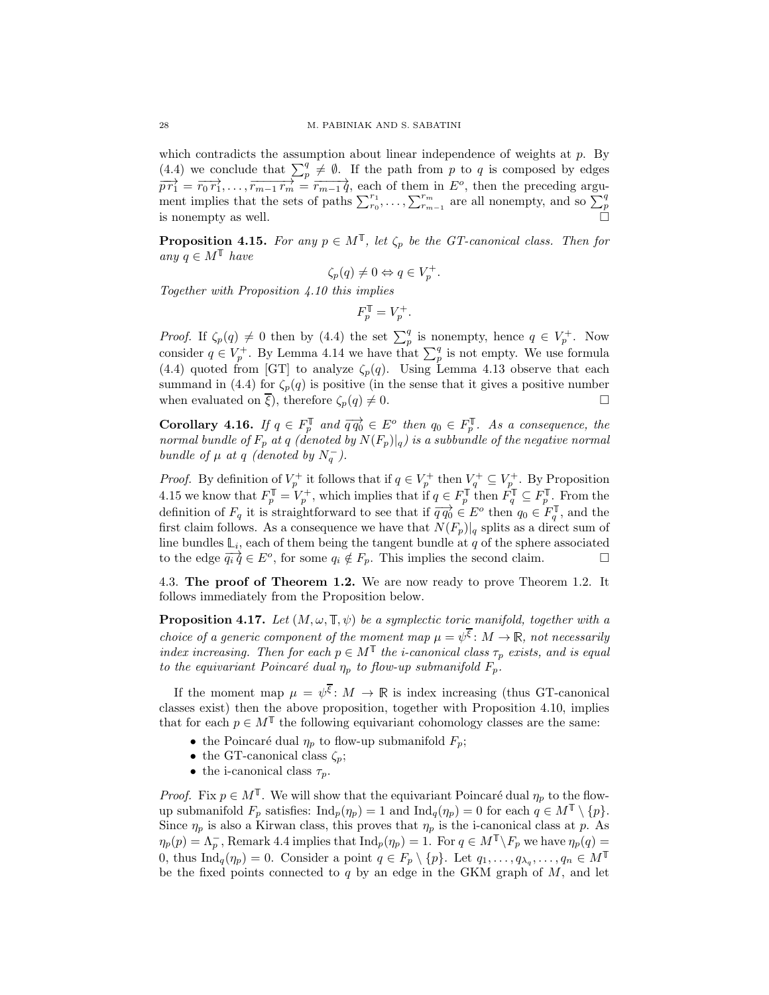which contradicts the assumption about linear independence of weights at  $p$ . By [\(4.4\)](#page-26-0) we conclude that  $\sum_{p}^{q} \neq \emptyset$ . If the path from p to q is composed by edges  $\overrightarrow{pr_1} = \overrightarrow{r_0 r_1}, \ldots, \overrightarrow{r_{m-1} r_m} = \overrightarrow{r_{m-1} q}$ , each of them in  $E^o$ , then the preceding argument implies that the sets of paths  $\sum_{r_0}^{r_1}, \ldots, \sum_{r_{m-1}}^{r_m}$  are all nonempty, and so  $\sum_{p=1}^{q}$  is nonempty as well.

<span id="page-27-2"></span>**Proposition 4.15.** For any  $p \in M^{\mathbb{T}}$ , let  $\zeta_p$  be the GT-canonical class. Then for any  $q \in M^{\mathbb{T}}$  have

$$
\zeta_p(q) \neq 0 \Leftrightarrow q \in V_p^+.
$$

Together with Proposition [4.10](#page-25-0) this implies

$$
F_p^{\mathbb T} = V_p^+.
$$

*Proof.* If  $\zeta_p(q) \neq 0$  then by [\(4.4\)](#page-26-0) the set  $\sum_p^q$  is nonempty, hence  $q \in V_p^+$ . Now consider  $q \in V_p^+$ . By Lemma [4.14](#page-26-1) we have that  $\sum_p^q$  is not empty. We use formula [\(4.4\)](#page-26-0) quoted from [\[GT\]](#page-32-1) to analyze  $\zeta_p(q)$ . Using Lemma [4.13](#page-26-2) observe that each summand in [\(4.4\)](#page-26-0) for  $\zeta_p(q)$  is positive (in the sense that it gives a positive number when evaluated on  $\overline{\xi}$ ), therefore  $\zeta_p(q) \neq 0$ .

<span id="page-27-1"></span>**Corollary 4.16.** If  $q \in F_p^{\mathbb{T}}$  and  $\overrightarrow{q q_0} \in E^o$  then  $q_0 \in F_p^{\mathbb{T}}$ . As a consequence, the normal bundle of  $F_p$  at  $q$  (denoted by  $N(F_p)|_q$ ) is a subbundle of the negative normal bundle of  $\mu$  at  $q$  (denoted by  $N_q^-$ ).

*Proof.* By definition of  $V_p^+$  it follows that if  $q \in V_p^+$  then  $V_q^+ \subseteq V_p^+$ . By Proposition [4.15](#page-27-2) we know that  $F_p^{\mathbb{T}} = V_p^+$ , which implies that if  $q \in F_p^{\mathbb{T}}$  then  $F_q^{\mathbb{T}} \subseteq F_p^{\mathbb{T}}$ . From the definition of  $F_q$  it is straightforward to see that if  $\overrightarrow{q q_0} \in E^o$  then  $q_0 \in F_q^{\mathbb{T}}$ , and the first claim follows. As a consequence we have that  $N(F_p)|_q$  splits as a direct sum of line bundles  $\mathbb{L}_i$ , each of them being the tangent bundle at q of the sphere associated to the edge  $\overrightarrow{q_i q} \in E^o$ , for some  $q_i \notin F_p$ . This implies the second claim.  $\Box$ 

4.3. The proof of Theorem [1.2.](#page-2-0) We are now ready to prove Theorem 1.2. It follows immediately from the Proposition below.

<span id="page-27-0"></span>**Proposition 4.17.** Let  $(M, \omega, \mathbb{T}, \psi)$  be a symplectic toric manifold, together with a choice of a generic component of the moment map  $\mu = \psi^{\overline{\xi}}$ :  $M \to \mathbb{R}$ , not necessarily index increasing. Then for each  $p \in M^{\mathbb{T}}$  the *i*-canonical class  $\tau_p$  exists, and is equal to the equivariant Poincaré dual  $\eta_p$  to flow-up submanifold  $F_p$ .

If the moment map  $\mu = \psi^{\overline{\xi}}$ :  $M \to \mathbb{R}$  is index increasing (thus GT-canonical classes exist) then the above proposition, together with Proposition [4.10,](#page-25-0) implies that for each  $p \in M^{\mathbb{T}}$  the following equivariant cohomology classes are the same:

- the Poincaré dual  $\eta_p$  to flow-up submanifold  $F_p$ ;
- the GT-canonical class  $\zeta_p$ ;
- the i-canonical class  $\tau_p$ .

*Proof.* Fix  $p \in M^T$ . We will show that the equivariant Poincaré dual  $\eta_p$  to the flowup submanifold  $F_p$  satisfies:  $\text{Ind}_p(\eta_p) = 1$  and  $\text{Ind}_q(\eta_p) = 0$  for each  $q \in M^{\mathbb{T}} \setminus \{p\}.$ Since  $\eta_p$  is also a Kirwan class, this proves that  $\eta_p$  is the i-canonical class at p. As  $\eta_p(p) = \Lambda_p^-$ , Remark [4.4](#page-23-2) implies that  $\text{Ind}_p(\eta_p) = 1$ . For  $q \in M^{\mathbb{T}} \setminus F_p$  we have  $\eta_p(q) = 1$ 0, thus  $\text{Ind}_q(\eta_p) = 0$ . Consider a point  $q \in F_p \setminus \{p\}$ . Let  $q_1, \ldots, q_{\lambda_q}, \ldots, q_n \in M^{\mathbb{T}}$ be the fixed points connected to  $q$  by an edge in the GKM graph of  $M$ , and let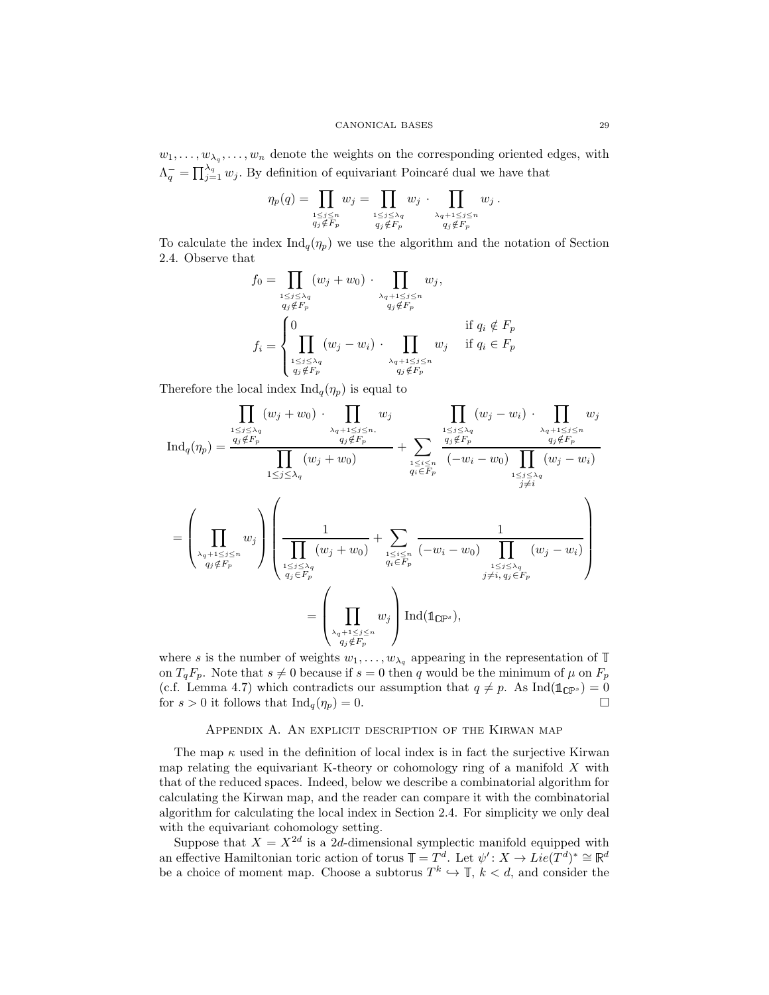$w_1, \ldots, w_{\lambda_q}, \ldots, w_n$  denote the weights on the corresponding oriented edges, with  $\Lambda_q^- = \prod_{j=1}^{\lambda_q} w_j$ . By definition of equivariant Poincaré dual we have that

$$
\eta_p(q) = \prod_{\substack{1 \le j \le n \\ q_j \notin F_p}} w_j = \prod_{\substack{1 \le j \le \lambda_q \\ q_j \notin F_p}} w_j \cdot \prod_{\substack{\lambda_q + 1 \le j \le n \\ q_j \notin F_p}} w_j.
$$

To calculate the index  $\text{Ind}_q(\eta_p)$  we use the algorithm and the notation of Section [2.4.](#page-8-0) Observe that

$$
f_0 = \prod_{\substack{1 \le j \le \lambda_q \\ q_j \notin F_p}} (w_j + w_0) \cdot \prod_{\substack{\lambda_q + 1 \le j \le n \\ q_j \notin F_p}} w_j,
$$
  

$$
f_i = \begin{cases} 0 & \text{if } q_i \notin F_p \\ \prod_{\substack{1 \le j \le \lambda_q \\ q_j \notin F_p}} (w_j - w_i) \cdot \prod_{\substack{\lambda_q + 1 \le j \le n \\ q_j \notin F_p}} w_j & \text{if } q_i \in F_p \end{cases}
$$

Therefore the local index  $\text{Ind}_q(\eta_p)$  is equal to

$$
\prod_{\substack{1 \leq j \leq \lambda_q \\ q_j \notin F_p}} (w_j + w_0) \cdot \prod_{\substack{\lambda_q + 1 \leq j \leq n, \\ q_j \notin F_p \\ q_j \notin F_p}} w_j
$$
\n
$$
\text{Ind}_q(\eta_p) = \frac{\prod_{\substack{q_j \leq \lambda_q \\ q_j \notin F_p}} (w_j + w_0) + \prod_{\substack{1 \leq i \leq n \\ q_i \in F_p \\ q_i \in F_p}} (w_j + w_0)}{\prod_{\substack{1 \leq j \leq \lambda_q \\ q_j \notin F_p}} (w_j + w_0)} + \sum_{\substack{1 \leq i \leq n \\ q_i \in F_p \\ q_j \notin F_p}} \frac{\prod_{\substack{1 \leq j \leq \lambda_q \\ q_j \notin F_p}} (w_j - w_i) \cdot \prod_{\substack{1 \leq j \leq \lambda_q \\ q_j \notin F_p}} (w_j - w_i)}{\prod_{\substack{1 \leq j \leq \lambda_q \\ q_j \in F_p \\ q_j \notin F_p}} (w_j + w_0)} + \sum_{\substack{1 \leq i \leq n \\ q_i \in F_p \\ q_j \notin F_p}} \frac{1}{(-w_i - w_0) \prod_{\substack{1 \leq j \leq \lambda_q \\ q_j \notin F_p}} (w_j - w_i)}{\prod_{\substack{1 \leq j \leq \lambda_q \\ j \neq i, q_j \in F_p}} (w_j - w_i)}
$$
\n
$$
= \left(\prod_{\substack{\lambda_q + 1 \leq j \leq n \\ q_j \notin F_p \\ q_j \notin F_p}} w_j\right) \text{Ind}(\mathbb{1}_{\mathbb{CP}^s}),
$$

where s is the number of weights  $w_1, \ldots, w_{\lambda_q}$  appearing in the representation of  $\mathbb T$ on  $T_qF_p$ . Note that  $s \neq 0$  because if  $s = 0$  then q would be the minimum of  $\mu$  on  $F_p$ (c.f. Lemma [4.7\)](#page-24-2) which contradicts our assumption that  $q \neq p$ . As Ind( $\mathbb{1}_{\mathbb{CP}^s}$ ) = 0 for  $s > 0$  it follows that  $\text{Ind}_q(\eta_p) = 0$ .

## Appendix A. An explicit description of the Kirwan map

<span id="page-28-0"></span>The map  $\kappa$  used in the definition of local index is in fact the surjective Kirwan map relating the equivariant K-theory or cohomology ring of a manifold X with that of the reduced spaces. Indeed, below we describe a combinatorial algorithm for calculating the Kirwan map, and the reader can compare it with the combinatorial algorithm for calculating the local index in Section [2.4.](#page-8-0) For simplicity we only deal with the equivariant cohomology setting.

Suppose that  $X = X^{2d}$  is a 2d-dimensional symplectic manifold equipped with an effective Hamiltonian toric action of torus  $\mathbb{T} = T^d$ . Let  $\psi' : X \to Lie(T^d)^* \cong \mathbb{R}^d$ be a choice of moment map. Choose a subtorus  $T^k \hookrightarrow \mathbb{T}$ ,  $k < d$ , and consider the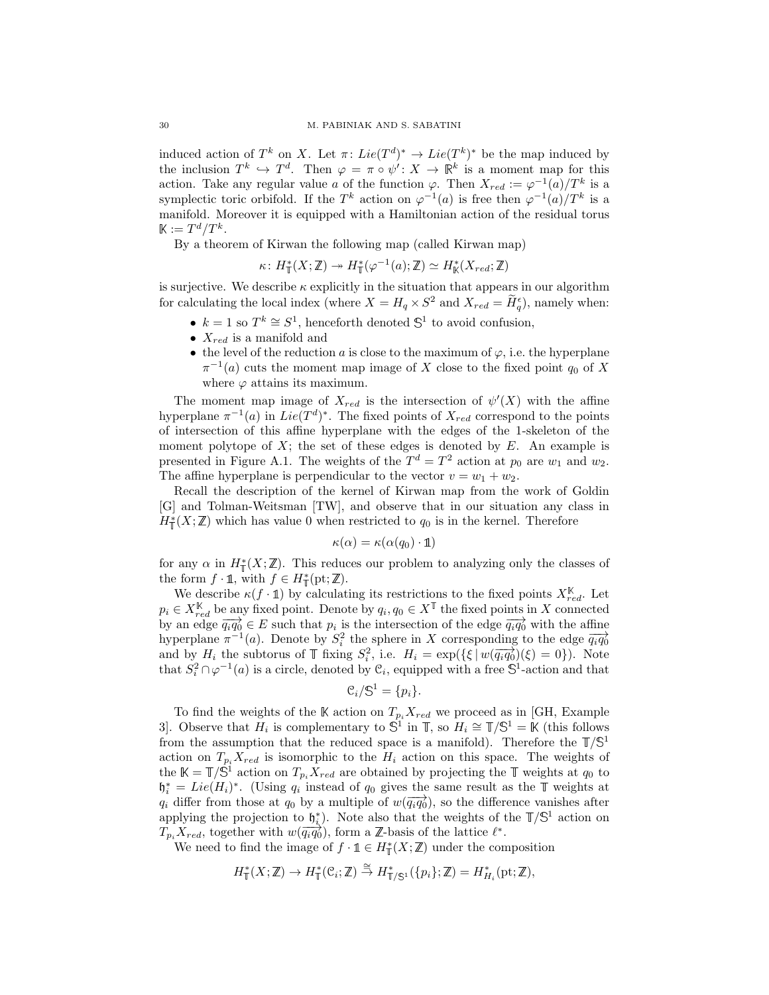induced action of  $T^k$  on X. Let  $\pi: Lie(T^d)^* \to Lie(T^k)^*$  be the map induced by the inclusion  $T^k \hookrightarrow T^d$ . Then  $\varphi = \pi \circ \psi' : X \to \mathbb{R}^k$  is a moment map for this action. Take any regular value a of the function  $\varphi$ . Then  $X_{red} := \varphi^{-1}(a)/T^k$  is a symplectic toric orbifold. If the T<sup>k</sup> action on  $\varphi^{-1}(a)$  is free then  $\varphi^{-1}(a)/T^k$  is a manifold. Moreover it is equipped with a Hamiltonian action of the residual torus  $\mathbb{K} := T^d/T^k$ .

By a theorem of Kirwan the following map (called Kirwan map)

$$
\kappa\colon H^*_\mathbb{T}(X;\mathbb{Z})\twoheadrightarrow H^*_\mathbb{T}(\varphi^{-1}(a);\mathbb{Z})\simeq H^*_\mathbb{K}(X_{red};\mathbb{Z})
$$

is surjective. We describe  $\kappa$  explicitly in the situation that appears in our algorithm for calculating the local index (where  $X = H_q \times S^2$  and  $X_{red} = \tilde{H}_q^{\epsilon}$ ), namely when:

- $k = 1$  so  $T^k \cong S^1$ , henceforth denoted  $\mathbb{S}^1$  to avoid confusion,
- $X_{red}$  is a manifold and
- the level of the reduction a is close to the maximum of  $\varphi$ , i.e. the hyperplane  $\pi^{-1}(a)$  cuts the moment map image of X close to the fixed point  $q_0$  of X where  $\varphi$  attains its maximum.

The moment map image of  $X_{red}$  is the intersection of  $\psi'(X)$  with the affine hyperplane  $\pi^{-1}(a)$  in  $Lie(T^d)^*$ . The fixed points of  $X_{red}$  correspond to the points of intersection of this affine hyperplane with the edges of the 1-skeleton of the moment polytope of  $X$ ; the set of these edges is denoted by  $E$ . An example is presented in Figure [A.1.](#page-30-0) The weights of the  $T^d = T^2$  action at  $p_0$  are  $w_1$  and  $w_2$ . The affine hyperplane is perpendicular to the vector  $v = w_1 + w_2$ .

Recall the description of the kernel of Kirwan map from the work of Goldin [\[G\]](#page-32-18) and Tolman-Weitsman [\[TW\]](#page-32-14), and observe that in our situation any class in  $H^*_{\mathbb{T}}(X;\mathbb{Z})$  which has value 0 when restricted to  $q_0$  is in the kernel. Therefore

$$
\kappa(\alpha) = \kappa(\alpha(q_0) \cdot \mathbb{1})
$$

for any  $\alpha$  in  $H^*_{\mathbb{T}}(X;\mathbb{Z})$ . This reduces our problem to analyzing only the classes of the form  $f \cdot \mathbb{1}$ , with  $f \in H^*_{\mathbb{T}}(\text{pt}; \mathbb{Z})$ .

We describe  $\kappa(f \cdot \mathbf{1})$  by calculating its restrictions to the fixed points  $X_{red}^{\mathbb{K}}$ . Let  $p_i \in X_{red}^{\mathbb{K}}$  be any fixed point. Denote by  $q_i, q_0 \in X^{\mathbb{I}}$  the fixed points in X connected by an edge  $\overrightarrow{q_iq_0} \in E$  such that  $p_i$  is the intersection of the edge  $\overrightarrow{q_iq_0}$  with the affine hyperplane  $\pi^{-1}(a)$ . Denote by  $S_i^2$  the sphere in X corresponding to the edge  $\overrightarrow{q_i q_0}$ and by  $H_i$  the subtorus of  $\mathbb T$  fixing  $S_i^2$ , i.e.  $H_i = \exp(\{\xi \mid w(\overrightarrow{q_i q_0})(\xi)=0\})$ . Note that  $S_i^2 \cap \varphi^{-1}(a)$  is a circle, denoted by  $\mathfrak{C}_i$ , equipped with a free  $\mathbb{S}^1$ -action and that

$$
\mathcal{C}_i/\mathbb{S}^1 = \{p_i\}.
$$

To find the weights of the K action on  $T_{p_i}X_{red}$  we proceed as in [\[GH,](#page-32-19) Example 3]. Observe that  $H_i$  is complementary to  $\mathbb{S}^1$  in  $\mathbb{T}$ , so  $H_i \cong \mathbb{T}/\mathbb{S}^1 = \mathbb{K}$  (this follows from the assumption that the reduced space is a manifold). Therefore the  $\mathbb{T}/\mathbb{S}^1$ action on  $T_{p_i}X_{red}$  is isomorphic to the  $H_i$  action on this space. The weights of the  $\mathbb{K} = \mathbb{T}/\mathbb{S}^1$  action on  $T_{p_i}X_{red}$  are obtained by projecting the  $\mathbb{T}$  weights at  $q_0$  to  $\mathfrak{h}_i^* = Lie(H_i)^*$ . (Using  $q_i$  instead of  $q_0$  gives the same result as the  $\mathbb T$  weights at  $q_i$  differ from those at  $q_0$  by a multiple of  $w(\overrightarrow{q_iq_0})$ , so the difference vanishes after applying the projection to  $\mathfrak{h}_{i}^{*}$ ). Note also that the weights of the  $\mathbb{T}/\mathbb{S}^{1}$  action on  $T_{p_i} X_{red}$ , together with  $w(\overrightarrow{q_i q_0})$ , form a  $\mathbb{Z}$ -basis of the lattice  $\ell^*$ .

We need to find the image of  $f \cdot \mathbb{1} \in H^*_{\mathbb{T}}(X;\mathbb{Z})$  under the composition

$$
H^*_{\mathbb{T}}(X;\mathbb{Z}) \to H^*_{\mathbb{T}}(\mathfrak{C}_i;\mathbb{Z}) \stackrel{\cong}{\to} H^*_{\mathbb{T}/\mathbb{S}^1}(\{p_i\};\mathbb{Z}) = H^*_{H_i}(\mathrm{pt};\mathbb{Z}),
$$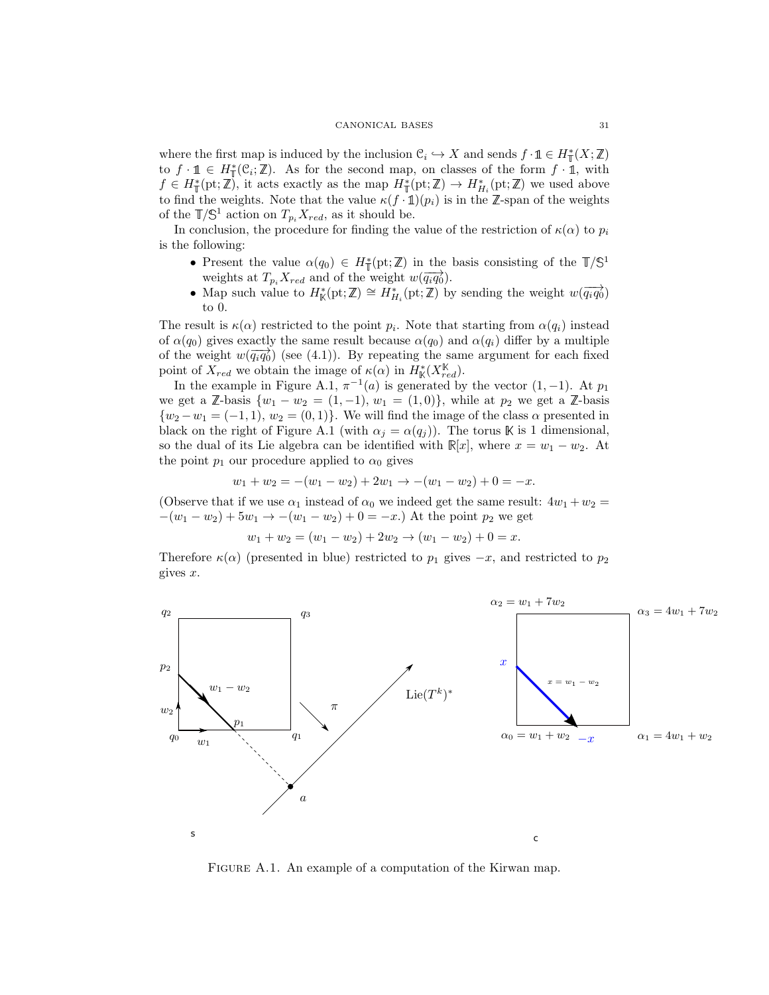where the first map is induced by the inclusion  $\mathfrak{C}_i \hookrightarrow X$  and sends  $f \cdot \mathbb{1} \in H^*_\mathbb{I}(X;\mathbb{Z})$ to  $f \cdot \mathbb{1} \in H^*_{\mathbb{T}}(\mathcal{C}_i;\mathbb{Z})$ . As for the second map, on classes of the form  $f \cdot \mathbb{1}$ , with  $f \in H^*_{\mathbb{T}}(\text{pt}; \mathbb{Z})$ , it acts exactly as the map  $H^*_{\mathbb{T}}(\text{pt}; \mathbb{Z}) \to H^*_{H_i}(\text{pt}; \mathbb{Z})$  we used above to find the weights. Note that the value  $\kappa(f \cdot \mathbb{1})(p_i)$  is in the Z-span of the weights of the  $\mathbb{T}/\mathbb{S}^1$  action on  $T_{p_i}X_{red}$ , as it should be.

In conclusion, the procedure for finding the value of the restriction of  $\kappa(\alpha)$  to  $p_i$ is the following:

- Present the value  $\alpha(q_0) \in H^*_{\mathbb{T}}(\text{pt}; \mathbb{Z})$  in the basis consisting of the  $\mathbb{T}/\mathbb{S}^1$ weights at  $T_{p_i} X_{red}$  and of the weight  $w(\overrightarrow{q_i q_0})$ .
- Map such value to  $H^*_{\mathbb{K}}(\mathrm{pt}; \mathbb{Z}) \cong H^*_{H_i}(\mathrm{pt}; \mathbb{Z})$  by sending the weight  $w(\overrightarrow{q_i q_0})$ to 0.

The result is  $\kappa(\alpha)$  restricted to the point  $p_i$ . Note that starting from  $\alpha(q_i)$  instead of  $\alpha(q_0)$  gives exactly the same result because  $\alpha(q_0)$  and  $\alpha(q_i)$  differ by a multiple of the weight  $w(\overrightarrow{q_iq_0})$  (see [\(4.1\)](#page-21-1)). By repeating the same argument for each fixed point of  $X_{red}$  we obtain the image of  $\kappa(\alpha)$  in  $H^*_{\mathbb{K}}(X_{red}^{\mathbb{K}})$ .

In the example in Figure [A.1,](#page-30-0)  $\pi^{-1}(a)$  is generated by the vector  $(1, -1)$ . At  $p_1$ we get a  $\mathbb{Z}$ -basis  $\{w_1 - w_2 = (1, -1), w_1 = (1, 0)\}\$ , while at  $p_2$  we get a  $\mathbb{Z}$ -basis  $\{w_2 - w_1 = (-1, 1), w_2 = (0, 1)\}\.$  We will find the image of the class  $\alpha$  presented in black on the right of Figure [A.1](#page-30-0) (with  $\alpha_j = \alpha(q_j)$ ). The torus K is 1 dimensional, so the dual of its Lie algebra can be identified with  $\mathbb{R}[x]$ , where  $x = w_1 - w_2$ . At the point  $p_1$  our procedure applied to  $\alpha_0$  gives

$$
w_1 + w_2 = -(w_1 - w_2) + 2w_1 \rightarrow -(w_1 - w_2) + 0 = -x.
$$

(Observe that if we use  $\alpha_1$  instead of  $\alpha_0$  we indeed get the same result:  $4w_1 + w_2 =$  $-(w_1 - w_2) + 5w_1 \rightarrow -(w_1 - w_2) + 0 = -x$ . At the point  $p_2$  we get

$$
w_1 + w_2 = (w_1 - w_2) + 2w_2 \rightarrow (w_1 - w_2) + 0 = x.
$$

Therefore  $\kappa(\alpha)$  (presented in blue) restricted to  $p_1$  gives  $-x$ , and restricted to  $p_2$ gives  $x$ .



<span id="page-30-0"></span>FIGURE A.1. An example of a computation of the Kirwan map.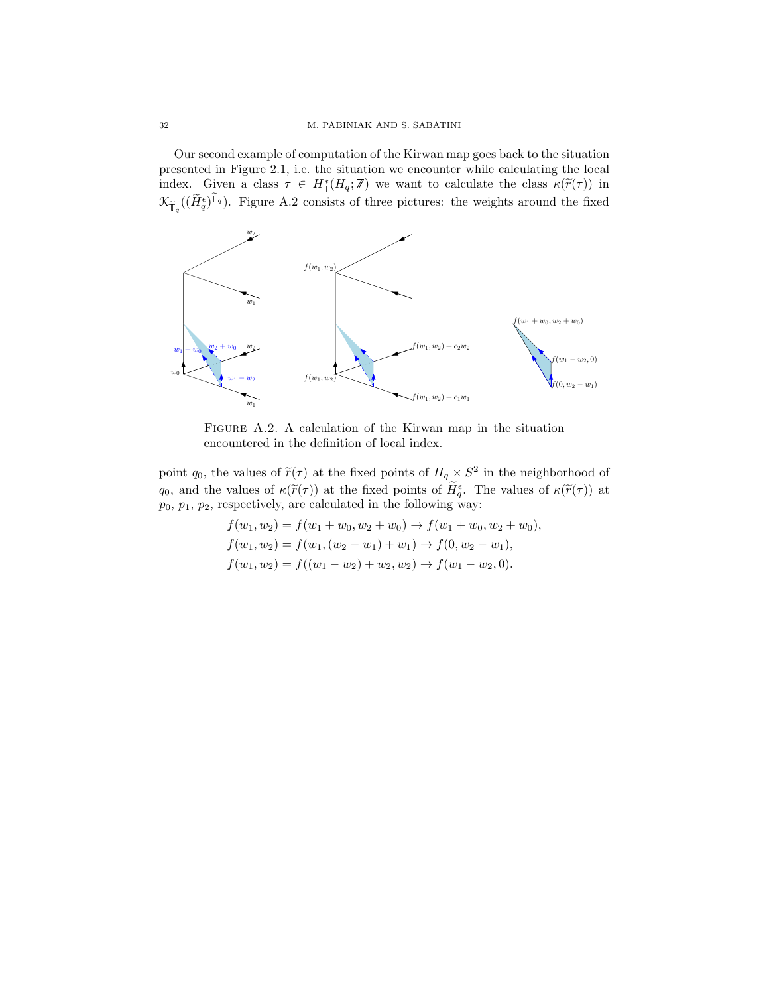Our second example of computation of the Kirwan map goes back to the situation presented in Figure [2.1,](#page-10-0) i.e. the situation we encounter while calculating the local index. Given a class  $\tau \in H^*_\mathbb{T}(H_q;\mathbb{Z})$  we want to calculate the class  $\kappa(\widetilde{r}(\tau))$  in  $\mathcal{K}_{\widetilde{\mathbb{F}}_q}((\widetilde{H}_q^{\epsilon})^{\widetilde{\mathbb{T}}_q})$ . Figure [A.2](#page-31-0) consists of three pictures: the weights around the fixed



<span id="page-31-0"></span>Figure A.2. A calculation of the Kirwan map in the situation encountered in the definition of local index.

point q<sub>0</sub>, the values of  $\tilde{r}(\tau)$  at the fixed points of  $H_q \times S^2$  in the neighborhood of  $q_0$ , and the values of  $\kappa(\widetilde{r}(\tau))$  at the fixed points of  $H_0^{\epsilon}$ . The values of  $\kappa(\widetilde{r}(\tau))$  at  $p_0, p_1, p_2$ , respectively, are calculated in the following way:

$$
f(w_1, w_2) = f(w_1 + w_0, w_2 + w_0) \rightarrow f(w_1 + w_0, w_2 + w_0),
$$
  
\n
$$
f(w_1, w_2) = f(w_1, (w_2 - w_1) + w_1) \rightarrow f(0, w_2 - w_1),
$$
  
\n
$$
f(w_1, w_2) = f((w_1 - w_2) + w_2, w_2) \rightarrow f(w_1 - w_2, 0).
$$